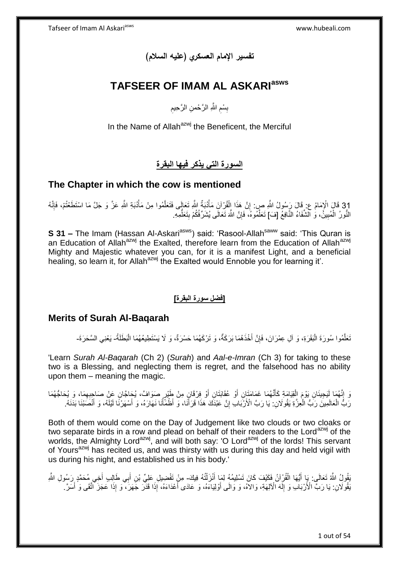**تفسير اإلمام العسكري )عليه السالم(**

# **TAFSEER OF IMAM AL ASKARIasws**

ِ بِسْمِ اللَّهِ الرَّحْمنِ الرَّحِيمِ ِ **∣** 

In the Name of Allah<sup>azwj</sup> the Beneficent, the Merciful

**السورة التي يذكر فيها البقرة**

# **The Chapter in which the cow is mentioned**

31 قَالَ الْإِمَامُ عِ ۚ قَالَ رَسُولُ اللَّهِ صِ: إِنَّ هَذَا الْقُرْآنَ مَأْذُبَةٌ اللَّهِ تَعَإِلَى فَتَعَلَّمُوا مِنْ مَأْذُبَةِ اللَّهِ عَزَّ وَ جَلَّ مَا اسْتَطَعْتُمْ، فَإِنَّهُ<br>وَمَنْ مَا اللَّهُ عَنَّ مَا اسْتَطَ ا<br>ا ه ْ ْ ِ  $\frac{1}{2}$ النُّورُ الْمُبِينَْ، وَ ٱلشَّفَاءُ النَّافِعُ [فَ) تَعَلَّمُوهُ، فَإِنَّ اللَّهَ تَعَالَى يُشَرِّفُكُمْ بِتَعَلَّمِهِ. ِ ه **!** ْ ُّ  $\frac{1}{2}$ 

**S 31 –** The Imam (Hassan Al-Askari<sup>asws</sup>) said: 'Rasool-Allah<sup>saww</sup> said: 'This Quran is an Education of Allah<sup>azwj</sup> the Exalted, therefore learn from the Education of Allah<sup>azwj</sup> Mighty and Majestic whatever you can, for it is a manifest Light, and a beneficial healing, so learn it, for Allah<sup>azwj</sup> the Exalted would Ennoble you for learning it'.

## **]فضل سورة البقرة[**

## **Merits of Surah Al-Baqarah**

نَعَلَّمُوا سُورَةَ الْبَقَرَةِ، وَ آلِ عِمْرَانَ، فَإِنَّ أَخْذَهُمَا بَرَكَةٌ، وَ تَرْكَهُمَا حَسْرَةٌ، وَ لَا يَسْتَطِيعُهُمَا الْبَطَلَةُ- يَعْنِي السَّحَرَةَ-َ ِ ْ ه

'Learn *Surah Al-Baqarah* (Ch 2) (*Surah*) and *Aal-e-Imran* (Ch 3) for taking to these two is a Blessing, and neglecting them is regret, and the falsehood has no ability upon them – meaning the magic.

نَ إِنَّهُمَا لَيَجِيئَانِ يَوْمَ الْقِيَامَةِ كَأَنَّهُمَا غَمَامَتَانِ أَوْ عُقَابَتَانِ أَوْ فِرْقَانٍ مِنْ طَيْرٍ صَوَافٌ، يُحَاجُّونَ عَنْ صَاحِبِهِمَا، وَ يُحَاجُّهُمَا<br>وَيَمْ إِنَّهُمَا لَيَجِيئَانِ يَوْمَ الْقِيَام َ َ ْ ֺ֦֦֦֦֦֧֧ׅ֧֦֧ׅ֧֦֧ׅ֧֦֧ׅ֧֧֧ׅ֧ׅ֧֦֧ׅ֧֧ׅ֧֚֚֚֚֚֚֚֚֚֚֚֚֚֚֝֓֡֡֓֓֡֟֓֡֟֓֡֟֓֡֟֓֡֟֓֡֟֓֡֟֓֡֟֓֡֟֓֡֬֓֓֓֓֓֓֝֬֓ َ ِ رَبُّ الْعَالَمِينَ رَبُّ الْعِزَّةِ يَقُولَانِ: يَا رَبَّ الْأَرْبَابِ إِنَّ عَبْدَكَ هَذَا قَرَأَنَا، وَ أَظْمَأْنَا نَهَارَهُ، وَ أَسْهَرْنَا لَيْلَهُ، وَ أَنْصَبْنَا بَدَنَهُ. ْ َ ِ ْ َ َ

Both of them would come on the Day of Judgement like two clouds or two cloaks or two separate birds in a row and plead on behalf of their readers to the Lord<sup>azwj</sup> of the worlds, the Almighty Lord<sup>azwj</sup>, and will both say: 'O Lord<sup>azwj</sup> of the lords! This servant of Yours<sup>azwj</sup> has recited us, and was thirsty with us during this day and held vigil with us during his night, and established us in his body.'

َقُولُ اللَّهُ تَعَالَى: بَإِ أَيُّهَا الْقُرْآنُ فَكَيْفَ كَانَ تَسْلِيمُهُ لِمَا أَنْزَلْتُهُ فِيكَ- مِنْ تَفْضِيلِ عَلِيٍّ بْنِ أَبِي طَالِبٍ أَخِي مُحَمَّدٍ رَسُولِ اللَّهِ ْ َ ْ َ ْ َ َ َفُوكَانِ: يَا رَبَّ الْأَرْبَاٰبِ وَ إِلَّهَ الْآلِهَةِ، وَالاَهُ، وَ وَالَى أَوْلِيَاءَهُ، وَ عَادَى أَعْدَاءَهُ، إِذَا هَذَرّ جَهَزَ، وَ إِذَا عَجَزَ أَتَّقَى وَ أَسَرٌ . َ َ لَ  $\frac{1}{2}$ َ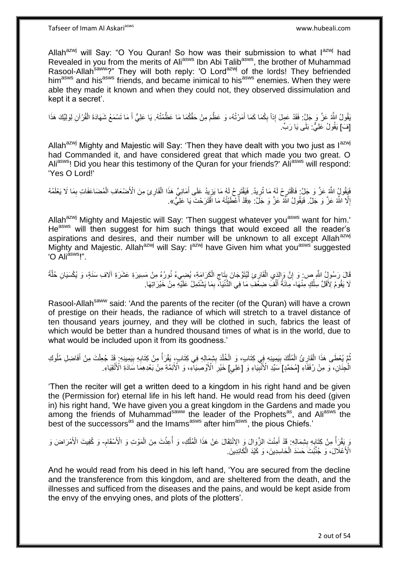Allah<sup>azwj</sup> will Say: "O You Quran! So how was their submission to what l<sup>azwj</sup> had Revealed in you from the merits of Ali<sup>asws</sup> Ibn Abi Talib<sup>asws</sup>, the brother of Muhammad Rasool-Allah<sup>saww</sup>?" They will both reply: 'O Lord<sup>azwj</sup> of the lords! They befriended him<sup>asws</sup> and his<sup>asws</sup> friends, and became inimical to his<sup>asws</sup> enemies. When they were able they made it known and when they could not, they observed dissimulation and kept it a secret'.

َبَقُولُ اللَّهُ عَنَّ وَ جَلٍّ: فَقَدْ عَمِلَ إِذاً بِكُمَا كَمَا أَمَرْتُهُ، وَ عَظَّمَ مِنْ حَقِّكُمَا مَا عَظَّمْتُهُ. يَا عَلِيُّ أَ مَا تَسْمَعُ شَهَادَةَ الْقُرْآنِ لِوَلِيِّكَ هَذَا َ ِ ْ َ [فَ] يَقُولُ عَلِيٌّ. بَلَى يَا رَبٍّ.

Allah<sup>azwj</sup> Mighty and Majestic will Say: 'Then they have dealt with you two just as  $I^{azwj}$ had Commanded it, and have considered great that which made you two great. O Ali<sup>asws</sup>! Did you hear this testimony of the Quran for your friends?' Ali<sup>asws</sup> will respond: 'Yes O Lord!'

ِ فَيَقُولُ اللَّهُ عَنَّ وَ جَلَّ: فَاقْتَرِحْ لَهُ مَا تُرِيدُ. فَيَقْتَرِحُ لَهُ مَا يَزِيدُ عَلَى أَمَانِيِّ هَذَا الْقَارِئِ مِنَ الْأَصْنُعَافِ الْمُضَاعَفَاتِ بِمَا لَا يَعْلَمُهُ<br>يَقِي مَّا يَسْرَفَ عَنَّ مَا يَجْمَ ِ ِ ِ ْ ْ َ ِ إِلَّا اللَّهُ عَزَّ وَ جَلَّ. فَيَقُولُ اللَّهُ عَزَّ وَ جَلَّ: «قَدْ أَعْطَيْتُهُ مَا اَقْتَرَحْتَ يَا عَلِيُّ». ِ المستقبل المستقبل المستقبل المستقبل المستقبل المستقبل المستقبل المستقبل المستقبل المستقبل المستقبل المستقبل ال<br>المستقبل المستقبل المستقبل المستقبل المستقبل المستقبل المستقبل المستقبل المستقبل المستقبل المستقبل المستقبل ال

Allah<sup>azwj</sup> Mighty and Majestic will Say: 'Then suggest whatever you<sup>asws</sup> want for him.' He<sup>asws</sup> will then suggest for him such things that would exceed all the reader's aspirations and desires, and their number will be unknown to all except Allah<sup>azwj</sup> Mighty and Majestic. Allah<sup>azwj</sup> will Say: I<sup>azwj</sup> have Given him what you<sup>asws</sup> suggested "O Ali<sup>asws</sup>!".

قَالَ رَسُولُ اللَّهِ ص: وَ إِنَّ وَالذَي الْقَارِئِ لَمُنَوَّجَانَ بِنَاجِ الْكَرَامَةِ، يُضِيءُ نُورُهُ مِنْ مَسِيرَةِ عَشَرَةِ آلَافِ سَنَةٍ، وَ يُكْسَيَانِ خُلَّةً<br>ِ يَسْمِدُ إِنَّ اللَّهِ مِن وَ إِنَّ وَالزَّمِي الْق ْ ِ ¦ ْ  $\frac{1}{2}$ ِ ه ْ لَا يَقُومُ لِأَقَلِّ سِلْكٍ مِنْهَا- مِلَئَةُ أَلْفَ ضِغْفَ مَا فِي الدُّنْيَا، بِمَا يَشْتَمِلُ عَلَيْهِ مِنْ خَيْرَ اتِهَا. ِ ْ َ

Rasool-Allah<sup>saww</sup> said: 'And the parents of the reciter (of the Quran) will have a crown of prestige on their heads, the radiance of which will stretch to a travel distance of ten thousand years journey, and they will be clothed in such, fabrics the least of which would be better than a hundred thousand times of what is in the world, due to what would be included upon it from its goodness.'

ِ ُمَّ يُعْطَى هَذَا الْقَارِئُ الْمُلْكَ بِيَمِينِهِ فِي كِتَابٍ، وَ الْخُلْدَ بِشِمَالِهِ فِي كِتَابٍ، يَقْرَأُ مِنْ كِتَابِهِ بِيَمِينِهِم ۚ قَدْ جُعِلْتَ مِنْ أَفَاضِلِ مُلُوكِ ا<br>ا **∣** ْ **!** ْ ْ ِ ْ ُ ِ ا<br>ا َ ْ الْجِنَانِ، ۖ وَ مِنْ رُفَقَاءِ [مُحَمَّدٍ] سَيِّدِ الْأُنْبِيَاءِ وَ [عَلِّيٍ] خَيْرِ الْأَوْصِيَاءِ، وَ الْأَئِمَّةِ مِنْ بَعْدِهِمَا سَادَةِ الْأَنْقِيَاءِ. **!** ْ **∶** 

'Then the reciter will get a written deed to a kingdom in his right hand and be given the (Permission for) eternal life in his left hand. He would read from his deed (given in) his right hand, 'We have given you a great kingdom in the Gardens and made you among the friends of Muhammad<sup>saww</sup> the leader of the Prophets<sup>as</sup>, and Ali<sup>asws</sup> the best of the successors<sup>as</sup> and the Imams<sup>asws</sup> after him<sup>asws</sup>, the pious Chiefs.'

وَ ِيَقْرَأُ مِنْ كِتَابِهِ بِشِمَالِهِ ۚ قَدْ أَمِنْتَ الزَّوَالَ مِى الِانْتِقَالَ عَنْ هَذَا الْمُلْكِ، وَ أُعِنْتَ مِنَ الْمَوْتِ وَ الْأَسْقَامِ- وَ كُفِيتَ الْأَمْرَاضَ وَ ْ **ٔ:** ُ ْ ْ َ **∣ ∶** ِ الْأَعْلَالَ، وَ جُنِّبْتَ حَسَدَ الْحَاسِدِينَ، وَ كَيْدَ الْكَائِدِينَ. ْ ْ

And he would read from his deed in his left hand, 'You are secured from the decline and the transference from this kingdom, and are sheltered from the death, and the illnesses and sufficed from the diseases and the pains, and would be kept aside from the envy of the envying ones, and plots of the plotters'.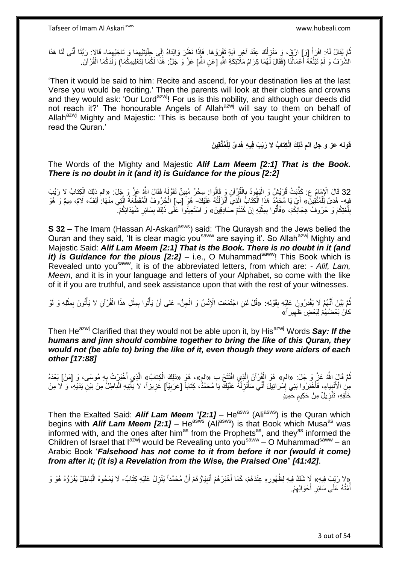Tafseer of Imam Al Askariasws www.hubeali.com

نُمَّ يُقَالُ لَهُ: اقْرَأُ [وَ] ارْقَ، وَ مَنْزِلُكَ عِنْدَ آخِرٍ آيَةٍ تَقْرَرُوهَا. فَإِذَا نَظَرَ وَالذَاهُ إِلَى جِلْيَتَيْهِمَا وَ تَاجَيْهِهَا- قَالا: رَبَّنَا أَنَّى لَنَا هَذَا اُ ِ ْ ِ ِ ِ ْ ِ َ الشَّرَفُ وَ لَمْ تَبْلُغْهُ أَعْمَالُنَا (فَقَالَ لَهُمَا كِرَامُ مَلَّائِكَةِ اللَّهِ [عَنِ اللَّهِ] عَزَّ وَ جَلَّ: هَذَا لَكُمَا لِتَغْلِيمِكُمَا) وَلَدَكُمَا الْقُرْآنَ ׇ֧֝֓֝֓֓֓֓֓֓֓֓֓֓֓֡׆<br>ׇׇ֧֧֧֛֧֧֜֜֜֜֜ َ ُ ْ

'Then it would be said to him: Recite and ascend, for your destination lies at the last Verse you would be reciting.' Then the parents will look at their clothes and crowns and they would ask: 'Our Lord<sup>azwj</sup>! For us is this nobility, and although our deeds did not reach it?' The honourable Angels of Allah<sup>azwj</sup> will say to them on behalf of Allah<sup>azwj</sup> Mighty and Majestic: 'This is because both of you taught your children to read the Quran.'

> **ل ُمَّتقِي َن ل ِكتا ُب ال َرْي َب فِي ِه ُهد ًى لِ قوله عز و جل الم ذلِ َك اْ ْ**

The Words of the Mighty and Majestic *Alif Lam Meem [2:1] That is the Book. There is no doubt in it (and it) is Guidance for the pious [2:2]*

32 قَالَ الْإِمَامُ ع: كَذَّبَتْ قُرَيْشٌ وَ الْيَهُودُ بِالْقُرْآنِ وَ قَالُوا: سِحْرٌ مُبِينٌ تَقَوَّلُهُ فَقَالَ اللَّهُ عَزَّ وَ جَلَ: «الم ذلِكَ الْكِتابُ لا رَيْبَ<br>- يَمْسَعُونَ مَنْ الْمَرْضَ عَنْ مَا يَسْتَمِمُونَ ْ ِ ْ ِ :<br>ا فِيهِ- هُدىً لِّلْمُتَّقِينَ» أَيْ يَا مُحَمَّدُ هَذَا الْكِتَابُ اِلَّذِيَ أَنْزَلْتُهُ عَلَيْكَ- هُوَ [ب] الْحُرُوفُ الْمُقَطِّعَةُ الَّتِي مِنْهَا: أَلِفٌ، لَامٌ، مِيمٌ وَ هُوَ ْ َ ه ْ َ ه ْ ْ بِلُغَتِكُمْ وَ حُرُوفُ هِجَائِكُمْ، «فَأَتُوا بِمِثْلِهِ إِنْ كُنْتُمْ صَادِقِينَ» وَ اسْتَعِينُوا عَلَى ذَلِكَ بِسَائِرِ شُهَدَائِكُمْ. ُ ِ **ٔ** ِ ֘֟֟֓֟׆֧֧ ِ ِ

**S 32 –** The Imam (Hassan Al-Askari<sup>asws</sup>) said: 'The Quraysh and the Jews belied the Quran and they said. 'It is clear magic you<sup>saww</sup> are saying it'. So Allah<sup>azwj</sup> Mighty and Majestic Said: *Alif Lam Meem [2:1] That is the Book. There is no doubt in it (and it) is Guidance for the pious*  $[2:2]$  *– i.e., O Muhammad<sup>saww</sup>! This Book which is* Revealed unto you<sup>saww</sup>, it is of the abbreviated letters, from which are: - Alif, Lam, *Meem*, and it is in your language and letters of your Alphabet, so come with the like of it if you are truthful, and seek assistance upon that with the rest of your witnesses.

تُمَّ بَيَّنَ أَنَّهُمْ لَا يَقْدِرُونَ عَلَيْهِ بِقَوْلِهِ: «قُلْ لَئِنِ اجْتَمَعَتِ الْإِنْسُ وَ الْحِنُّ- عَلى أَنْ يَأْتُوا بِمِثْلِ هذَا الْقُرْآنِ لا يَأْتُونَ بِمِثْلِهِ وَ لَوْ َ ُ ْ ْ ِ ْ ْ ْ ِ **ٔ** َ كانَ بَعْضُهُمْ لِبَعْضٍ ظَهِيراً» ِ

Then He<sup>azwj</sup> Clarified that they would not be able upon it, by His<sup>azwj</sup> Words Say: If the *humans and jinn should combine together to bring the like of this Quran, they would not (be able to) bring the like of it, even though they were aiders of each other [17:88]*

ثُمَّ قَالٍَ اللَّهُ عَزَّ ٍ وَ جَلَ: «الم» هُوَ الْقُرْآنُ إِلَّذِي افْتَتَحَ ب «الم»، هُوَ «ذلِكَ الْكِتابُ» الَّذِي أَخْبَرْتُ بِهِ مُوسَى، وَ [مَنْ] بَعْدَهُ ه َ مِنٍَ الْأَنْبِيَاءِ، فَأَخْبَرُوا بَنِي إِسْرَائِيلَ أَنِّي سَأُنْزِلْهُ عَلَيْكَ يَا مُحَمَّدُ، كِتَاباً [عَرَبِيّاً] عَزِيزاً، لا يَأْتِيهِ الْباطِلُ مِنْ بَيْنِ يَدَيْهِ، وَ لا مِنْ ِ ِ ا<br>ا ِ ُ َ ِ َ  $\frac{1}{1}$ ْ ْ خَلْفِهِ، تَثَّزِيلٌ مِنْ حَكِيم حَمِيدٍ ٍ **∶** ْ

Then the Exalted Said: *Alif Lam Meem* "*[2:1]* – He<sup>asws</sup> (Ali<sup>asws</sup>) is the Quran which begins with *Alif Lam Meem [2:1]* – He<sup>asws</sup> (Ali<sup>asws</sup>) is that Book which Musa<sup>as</sup> was informed with, and the ones after him<sup>as</sup> from the Prophets<sup>as</sup>, and they<sup>as</sup> informed the Children of Israel that  $I^{azwj}$  would be Revealing unto you<sup>saww</sup> – O Muhammad<sup>saww</sup> – an Arabic Book '*Falsehood has not come to it from before it nor (would it come) from after it; (it is) a Revelation from the Wise, the Praised One*" *[41:42]*.

«لا رَيْبَ فِيهِ» لَا شَكَّ فِيهِ لِظُهُورِهِ عِنْدَهُمْ، كَمَا أَخْبَرَهُمْ أَنْيِبَاؤُهُمْ أَنَّ مُحَمَّداً يَنْزِلُ عَلَيْهِ كِتَابٌ- لَا يَمْحُوهُ الْبَاطِلُ يَقْرَؤُهُ هُوَ وَ<br>أَيُّهُ بِيَنَا بِهِ مَنْ أَيْسَنَ فَيَس ْ َ **! ٔ** َ َ ُ أَمَّتُهُ عَلَى سَائِرِ أَحْوَالِهِمْ. ِ َ **∶**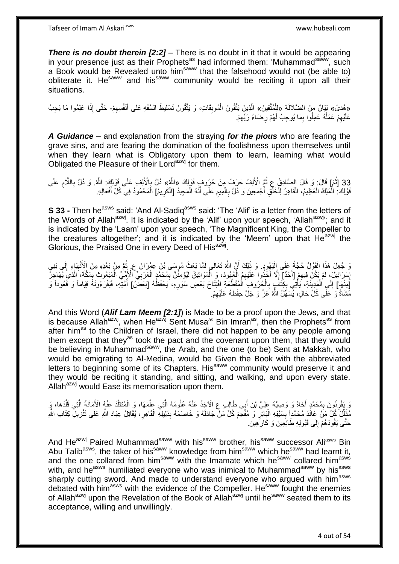**There is no doubt therein [2:2]** – There is no doubt in it that it would be appearing in your presence just as their Prophets<sup>as</sup> had informed them: 'Muhammad<sup>saww</sup>, such a Book would be Revealed unto him<sup>saww</sup> that the falsehood would not (be able to) obliterate it. He<sup>saww</sup> and his<sup>saww</sup> community would be reciting it upon all their situations.

«هُدىً» بَيَانٌ مِنَ الضّلَالَةِ «لِلْمُثَّقِينَ» الَّذِينَ يَتَّقُونَ الْمُوبِقَاتِ، وَ يَتَّقُونَ تَسْلِيطَ السَّفَهِ عَلَى أَنْفُسِهِمْ- حَتَّى إِذَا عَلِمُوا مَا يَجِبُ َ ِ ْ َ **!** ْ ه ْ عَلَيْهِمْ عَمَلُهُ عَمِلُوا بِمَا يُوحِبُ لَهُمْ رِضَاءُ رَبِّهِمْ. :<br>ا ِ ِ **∶** ِ

*A Guidance* – and explanation from the straying *for the pious* who are fearing the grave sins, and are fearing the domination of the foolishness upon themselves until when they learn what is Obligatory upon them to learn, learning what would Obligated the Pleasure of their Lord<sup>azwj</sup> for them.

33 [ثُمَ] قَالَ: وَ قَالَ الصَّادِقُ عِ ثُمَّ الْأَلِفُ حَرْفٌ مِنْ حُرُوفٍ قَوْلِكَ «اللَّهُ» ذُلَّ بِالْأَلِفِ عَلَى قَوْلِكَ: اللَّهُ. وَ ذُلَّ بِاللَّامِ عَلَى<br>وَذِلا اللَّهُ إِنَّ اللَّهُ عَلَى اللَّهُ عَلَى اللَّهُ ا<br>ا ِ ْ قَوْلِكَ: الْمَلِكُ الْعَظِيمُ، الْقَاهِرُ لِلْخَلْقِ أَجْمَعِينَ وَ دُلَّ بِالْمِيمِ عَلَى أَنَّهُ الْمَحِيدُ [الْكَرِيمُ] الْمَحْمُودُ فِي كُلِّ أَفْعَالِهِ. ْ َ ِ ْ **∶** َ ْ ْ ْ ْ ْ ِ َ ْ

**S 33 -** Then he<sup>asws</sup> said: 'And Al-Sadiq<sup>asws</sup> said: 'The 'Alif' is a letter from the letters of the Words of Allah<sup>azwj</sup>. It is indicated by the 'Alif' upon your speech, 'Allah<sup>azwj</sup>'; and it is indicated by the 'Laam' upon your speech, 'The Magnificent King, the Compeller to the creatures altogether'; and it is indicated by the 'Meem' upon that  $He^{azwj}$  the Glorious, the Praised One in every Deed of His<sup>azwj</sup>.

وَ جُعِلَ هَذَا الْقَوْلُ حُجَّةً عَلَى الْيَهُودِ. وَ ذَلِكَ أَنَّ اللَّهَ تَعَالَى لَمَّا بَعَثَ مُوسَى بْنَ عِمْرَانَ ع. ثُمَّ مِنْ بَعْدِهِ مِنَ الْأُنْبِيَاءِ إِلَى بَنِي :<br>ا ْ لَ ِ ِ ا پایا<br>ا اُ إِسْرَائِيلَ، لَمْ يَكُنَّ فِيهِمْ [أَحَدٌ] إِلَّا أُخِّذُوا عَلَيْهِمُ الْعُهُودَ، وَ الْمَوَاثِيقَ لَيُؤْمِثْنَ بِمُحَمَّدٍ الْعَرَبِيِّ الْأُمِيِّ الْمَفْعُوبُ بِمَكَّةَ، الَّذِي يُهَاجِرُ َ ِ ِ ِ **∶** ْ ِ ْ ه ֦֧֦֧֦֧֦֧֦֧֝֝ ْ [مِنْهَا] إِلَى الْمَدِينَةِ، يَأْتِي بِكِتَاَبٍ بِالْحِرُوفِ الْمُقَطِّعَةِ افْتِتَاحَ بَعْضِ سُوَرِهِ، يَحْفَظُهُ [بَعْضٌ] أُمَّتِهِ، فَيَقْرَعُونَهُ قِيَاماً وَ فُعُوداً وَ ْ ِ ِ ْ ْ  $\frac{1}{2}$ ِ ُ مُّشَاةً وَ عَلَى كُلِّ حَالٍ، يُسَهِّلُ اللَّهُ عَنَّ وَ جَلَّ حِفْظَهُ عَلَيْهِمْ. ِ

And this Word (*Alif Lam Meem [2:1]*) is Made to be a proof upon the Jews, and that is because Allah<sup>azwj</sup>, when He<sup>azwj</sup> Sent Musa<sup>as</sup> Bin Imran<sup>as</sup>, then the Prophets<sup>as</sup> from after him<sup>as</sup> to the Children of Israel, there did not happen to be any people among them except that they<sup>as</sup> took the pact and the covenant upon them, that they would be believing in Muhammad<sup>saww</sup>, the Arab, and the one (to be) Sent at Makkah, who would be emigrating to Al-Medina, would be Given the Book with the abbreviated letters to beginning some of its Chapters. His<sup>saww</sup> community would preserve it and they would be reciting it standing, and sitting, and walking, and upon every state. Allah $a^{2xy}$  would Ease its memorisation upon them.

َرَ يَقْرِنُونَ بِمُحَمَّدٍ أَخَاهُ وَ وَصِيَّهُ عَلِيَّ بْنَ أَبِي طَالِبٍ عِ الْآخِذَ عَنْهُ عُلُومَهُ الَّتِي عَلَّمَهَا، وَ الْمُتَقَلِّدَ عَنْهُ الْأَمَانَةَ الَّتِي قَلَّدَهَا، وَ ه َ َ **∶ ∶** ه ه ِّ ْ ه مُذَلِّلَ كُلِّ مَنْ عِانَدَ مُحَمَّداً بِسَيْفِهِ الْبَاتِرِ وَ مُفْحَمَ كُلِّ مَنْ جَادَلَهُ وَ خَاصَمَهُ بِدَلِيلِهِ الْقَاهِرِ ، يُقَاتِلُ عِبَادَ اللَّهِ عَلَى تَتْزِيلِ كِتَابِ اللَّهِ ِّ ِ :<br>ا **∣ ٍ** ِ ْ ِ حَتَّى يَقُودَهُمْ إِلَى قَبُولِهِ طَائِعِينَ وَ كَارِهِينَ. **∶**  $\frac{1}{2}$ 

And He<sup>azwj</sup> Paired Muhammad<sup>saww</sup> with his<sup>saww</sup> brother, his<sup>saww</sup> successor Ali<sup>asws</sup> Bin Abu Talib<sup>asws</sup>, the taker of his<sup>saww</sup> knowledge from him<sup>saww</sup> which he<sup>saww</sup> had learnt it, and the one collared from him<sup>saww</sup> with the Imamate which he<sup>saww</sup> collared him<sup>asws</sup> with, and he<sup>asws</sup> humiliated everyone who was inimical to Muhammad<sup>saww</sup> by his<sup>asws</sup> sharply cutting sword. And made to understand everyone who arqued with him<sup>asws</sup> debated with him<sup>asws</sup> with the evidence of the Compeller. He<sup>saww</sup> fought the enemies of Allah<sup>azwj</sup> upon the Revelation of the Book of Allah<sup>azwj</sup> until he<sup>saww</sup> seated them to its acceptance, willing and unwillingly.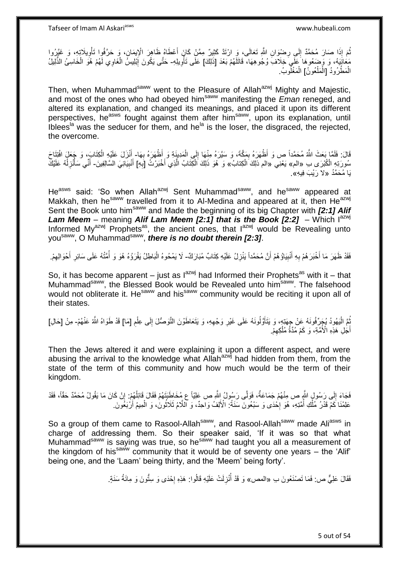ثُمَ إِذَا صَارَ مُحَمَّدٌ إِلَى رِضْوَا*نِ* اللَّهِ تَعَالَى، وَ ارْتَدَّ كَثِيرٌ مِمَّنْ كَانَ أَعْطَاهُ ظَاهِرَ الْإِيمَانِ، وَ حَرَّفُوا تَأْوِيلَآتِهِ، وَ غَيَّرُوا<br>وَيَقْطَعُ الْجَمَعِينَ الْجَمَعِينَ الْجَمَعِينَ و َ **ٍ**  $\frac{1}{2}$ ِ ْ مَعَانَيِهَهُ، وَ وَصَعُوهَا عَلَّمٍ خِلَافٌ وُجُوهِهَا، قَاتَلُهُمْ بَعْدَ [ذَلِكَ] عَلَى تَأْوِيلِهِ- حَتَّى يَكُونَ إِبْلِيسُ الْغَاوِي لَهُمْ هُوَ الْخَاسِئُ الذَّلِيلُ **∶** ا<br>ا ْ ِ ْ الْمَطْرُودُ [الْمَلْعُونُ] الْمَغْلُوبُ. ْ ْ ْ ً<br>ا ْ

Then, when Muhammad<sup>saww</sup> went to the Pleasure of Allah<sup>azwj</sup> Mighty and Majestic, and most of the ones who had obeyed him<sup>saww</sup> manifesting the *Eman* reneged, and altered its explanation, and changed its meanings, and placed it upon its different perspectives, he<sup>asws</sup> fought against them after him<sup>saww</sup>, upon its explanation, until Iblees<sup>la</sup> was the seducer for them, and he<sup>la</sup> is the loser, the disgraced, the rejected, the overcome.

قَالَ: فَلَمَّا بَعَثَ اللَّهُ مُحَمَّداً ص وَ أَظْهَرَهُ بِمَكَّةَ، وَ سَيَّرَهُ مِنْهَا إِلَى الْمَدِينَةِ وَ أَظْهَرَهُ بِهَا- أَنْزَلَ عَلَيْهِ الْكِتَابَ، وَ جَعَلَ افْتِتَاحَ ِ ِ ْ ِ ْ سُورَتِهِ الْكُبْرَى بِ «الم» يَعْنِي «الم ذلِكَ الْكِتابُ» وَ هُوَ ذَلِكَ الْكِتَابُ الَّذِي أَخْبَرْتُ [بَهِ] أَنْبِيَائِيَ السَّالِفِينَ- أَنِّي سَأْنْزِ لُهُ عَلَيْكَ ِ َ ه ْ ِ ُ ِ ر<br>أنا َ دَا مُحَمَّدُ «لا رَبْبَ فِيهِ».

He<sup>asws</sup> said: 'So when Allah<sup>azwj</sup> Sent Muhammad<sup>saww</sup>, and he<sup>saww</sup> appeared at Makkah, then he<sup>saww</sup> travelled from it to Al-Medina and appeared at it, then He<sup>azwj</sup> Sent the Book unto himsaww and Made the beginning of its big Chapter with *[2:1] Alif*  **Lam Meem** – meaning *Alif Lam Meem [2:1] that is the Book [2:2]* – Which  $I^{azwj}$ Informed My $a^{2x}$  Prophets<sup>as</sup>, the ancient ones, that  $1^{2x}$  would be Revealing unto you<sup>saww</sup>, O Muhammad<sup>saww</sup>, *there is no doubt therein [2:3]*.

فَقَدْ ظَهَرَ مَا أَخْبَرَ هُمْ بِهِ أَنْبِيَاؤُ هُمْ أَنَّ مُحَمَّداً يَنْزِلُ عَلَيْهِ كِتَابٌ مُبَارَكٌ- لَا يَمْحُوهُ الْبَاطِلُ يَقْرَؤُهُ هُوَ وَ أُمَّتُهُ عَلَى سَائِرِ أَحْوَالِهِمْ. ِ َ **∶** َ ِ ْ ِ َ ِ

So, it has become apparent – just as  $I^{azwj}$  had Informed their Prophets<sup>as</sup> with it – that Muhammad<sup>saww</sup>, the Blessed Book would be Revealed unto him<sup>saww</sup>. The falsehood would not obliterate it. He<sup>saww</sup> and his<sup>saww</sup> community would be reciting it upon all of their states.

بُّعَ الْيَهُودُ يُجَرِّفُونَهُ عِنْ جِهَتِهِ، وَ يَتَأَوَّلُونَهُ عَلَى غَيْرِ وَجْهِهِ، وَ يَتَعَاطَوْنَ الثَّوصُلَ إِلَى عِلْمِ [مَا] قَدْ طَوَاهُ اللَّهُ عَنْهُمْ- مِنْ [حَالِ] َ :<br>ا ُ ِ ْ ِ ِ **∶** أَجْلِ هَذِهِ الْأُمَّةِ، وَ كَمْ مُدَّةُ مُلْكِهِمْ. ِ ْ َ

Then the Jews altered it and were explaining it upon a different aspect, and were abusing the arrival to the knowledge what Allah<sup>azwj</sup> had hidden from them, from the state of the term of this community and how much would be the term of their kingdom.

فَجَاءَ إِلَى رَسُولٍ اللَّهِ ص مِنْهُمْ جَمَاعَةٌ، فَوَلَّى رَسُولُ اللَّهِ ص عَلِيّاً ع مُخَاطِّبَتَهُمْ فَقَالَ قَائِلُهُمْ: إِنْ كَانَ مَا يَقُولُ مُحَمَّدٌ حَقَّاً، فَقَدْ ا<br>ا  $\frac{1}{2}$ ֧֦֧֦֧֦֧֦֧֦֧֦֧֦֧ׅ֦֧ׅ֦֦֧ׅ֦֦֧ׅ֦֧ׅ֦֧֦֧ׅ֧ׅ֧ׅ֧֦֧֚֚֓֝֜֝֜֜֡֜֓֡֜֓֡֜֓֡֜֓֡֜֓֞ عَلِمْنَا كَمْ قَدْرُ مُلْكِ أُمَّتِهِ، هُوَ إِحْدَى وَ سَبْعُونَ سَنَةً ۚ الْأَلِفُ وَاحِدٌ، وَ اللَّامُ ثَلَاثُونَٰ، وَ الْمِيمُ أَرْبَغُونَ ْ ا<br>أما من ا ·<br>∶ ِ<br>ا ْ َ

So a group of them came to Rasool-Allah<sup>saww</sup>, and Rasool-Allah<sup>saww</sup> made Ali<sup>asws</sup> in charge of addressing them. So their speaker said, 'If it was so that what Muhammad<sup>saww</sup> is saying was true, so he<sup>saww</sup> had taught you all a measurement of the kingdom of hissaww community that it would be of seventy one years – the 'Alif' being one, and the 'Laam' being thirty, and the 'Meem' being forty'.

> فَقَالَ عَلِيٌّ ص: فَمَا تَصْنَعُونَ بِ «المص» وَ قَدْ أُنْزِلَتْ عَلَيْهِ قَالُوا: هَذِهِ إِحْدَى وَ سِتُّونَ وَ مِائَةُ سَنَةٍ. |.<br>יִי ِ ا<br>ا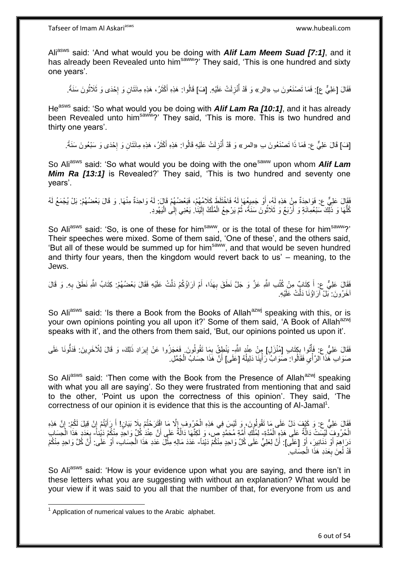Aliasws said: 'And what would you be doing with *Alif Lam Meem Suad [7:1]*, and it has already been Revealed unto him<sup>saww</sup>? They said, 'This is one hundred and sixty one years'.

فَقَالَ [عَلِيٌّ ع]: فَمَا تَصْنَعُونَ بِ «الر» وَ قَدْ أُنْزِلَتْ عَلَيْهِ. [فَ] قَالُوا: هَذِهِ أَكْثَرُ، هَذِهِ مِائَتَانِ وَ إِحْدَى وَ ثَلَاثُونَ سَنَةً. ِ ا<br>ا ان<br>سانت |.<br>יִי َ َ

He<sup>asws</sup> said: 'So what would you be doing with *Alif Lam Ra [10:1]*, and it has already been Revealed unto him<sup>saww</sup>?' They said, 'This is more. This is two hundred and thirty one years'.

[فَ] قَالَ عَلِيٌّ ع: فَمَا ذَا تَصْنَعُونَ بِ «المر » وَ قَدْ أُنْزِلَتْ عَلَيْهِ قَالُوا: هَذِهِ أَكْثَرُ، هَذِهِ مِائَتَانِ وَ إِحْدَى وَ سَبْعُونَ سَنَةً. ِ ا<br>ا ┆ َ َ

So Ali<sup>asws</sup> said: 'So what would you be doing with the one<sup>saww</sup> upon whom **Alif Lam** *Mim Ra [13:1]* is Revealed?' They said, 'This is two hundred and seventy one years'.

فَقَالَ عَلِيٌّ ع: فَوَاحِدَةٌ مِنْ هَذِهِ لَهُ، أَوْ جَمِيعُهَا لَهُ فَاخْتَلَطَ كَلَامُهُمْ، فَبَعْضُهُمْ قَالَ: لَهُ وَاحِدَةٌ مِنْهَا. وَ قَالَ بَعْضُهُمْ. بَلْ يُجْمَعُ لَهُ ْ كُلَّهَا وَ ذَلِّكَ سَبْعُمِانَةٍ وَ أَرْبَعٌ وَ ثَلَاثُونَ سَنَةً، ثُمَّ يَرْجِعُ الْمُلْكُ إِلَيْنَا ۚ يَعْنِي إِلَى الْيَهُودِ. ُ ر<br>با ُّ ْ ِ لَ  $\frac{1}{2}$ ْ

So Aliasws said: 'So, is one of these for him<sup>saww</sup>, or is the total of these for him<sup>saww</sup>?' Their speeches were mixed. Some of them said, 'One of these', and the others said, 'But all of these would be summed up for him<sup>saww</sup>, and that would be seven hundred and thirty four years, then the kingdom would revert back to us' – meaning, to the Jews.

فَقَالَ عَلِيٌّ ع: أَ كِتَابٌٍ مِنْ كُتُبِ اللَّهِ عَزَّ وَ جَلَّ نَطَقَ بِهَذَا، أَمْ آرَاؤُكُمْ دَلَّتْ عَلَيْهِ فَقَالَ بَعْضُهُمْ: كِتَابُ اللَّهِ نَطَقَ بِهِ. وَ قَالَ َ ِ َ **∶** أَخَرُونَ: بَلْ آرَاؤُنَا دَلَّتْ عَلَيْهِ.

So Ali<sup>asws</sup> said: 'Is there a Book from the Books of Allah<sup>azwj</sup> speaking with this, or is your own opinions pointing you all upon it?' Some of them said, 'A Book of Allah<sup>azwj</sup> speaks with it', and the others from them said, 'But, our opinions pointed us upon it'.

فَقَالَ عَلِيٌّ ع: فَأَتُوا بِكِتَابِ [مُنْزَلِ] مِنْ عِنْدٍ اللَّهِ- يَنْطِقُ بِمَا تَقُولُونَ. فَعَجَزُوا عَنْ إِيرَادِ ذَلِكَ، وَ قَالَ لِلْأَخَرِينَ: فَذَلُونَا عَلَى ِ ֧֟֟֟֓֟֓֟׆֧֧ ُ ِ ِ ׀ו<br>֞ صَوَابِ هَذَا الرَّأْيِ فَقَالُوا: صَوَابٌ رَأْيِنَا دَلِيلُهُ [عَلَى] أَنَّ هَذَا حِسَابُ الْجُمَّلِ. ُ ِ :<br>ا  $\ddot{\phantom{0}}$ ة<br>أ ْ اُ

So Aliasws said: 'Then come with the Book from the Presence of Allah<sup>azwj</sup> speaking with what you all are saying'. So they were frustrated from mentioning that and said to the other, 'Point us upon the correctness of this opinion'. They said, 'The correctness of our opinion it is evidence that this is the accounting of Al-Jamal<sup>1</sup>.

ْفَقَالَ عَلِيٌّ عِ: وَ كَيْفَ ذِلَّ عَلَى مَا تَقُولُونَ، وَ لَيْسَ فِي هَذِهِ الْحُرُوفِ إِلَّا مَا اقْتَرَحْتُمْ بِلَا بَيَانٍ! أَ رَأَيْتُمْ إِنْ قِيلَ لَكُمْ: إِنَّ هَذِهِ ِ ِ َ َ ِ ِ ْ لَ الْحُرُوفِ لَّيْسَتْ دَالَّةٌ عَلَى هَذِهِ الْمُدَّةِ- لِمُلْكِ أُمَّةِ مُحَمَّدٍ صّ، وَ لِكِنَّهَا دَالَّةٌ عَلَى أَنَّ عِنْدَٰ كُلِّ وَاحِدٍ مِنْكُمْ دَيْناً- بِعَدَدِ هَذَا الْحِسَابِ ْ ه َ ه ُ ْ ْ **∶** َدَرَاهِمَ أَوْ دَنَانِيرَ ، أَوْ [عَلَى]: أَنَّ لِعَلِيٍّ عَلَى كُلِّ وَاحِدٍ مِنْكُمْ دَيْنَاً- عَدَدَ مَالِهِ مِثْلَ عَدَدِ هَذَا الْحِسَابَ، أَوْ عَلَى: أَنَّ كُلَّ وَاحِدٍ مِنْكُمْ َ **ٔ** أ َ ْ ْ قَدْ لُعِنَ بِعَدَدِ هَذَا الْحِسَابِ. **∶** 

So Ali<sup>asws</sup> said: 'How is your evidence upon what you are saying, and there isn't in these letters what you are suggesting with without an explanation? What would be your view if it was said to you all that the number of that, for everyone from us and

 1 Application of numerical values to the Arabic alphabet.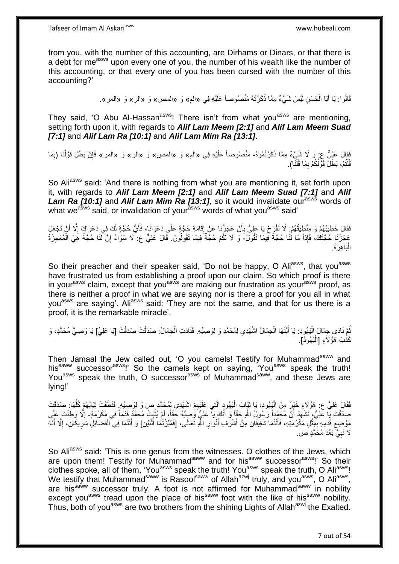from you, with the number of this accounting, are Dirhams or Dinars, or that there is a debt for me<sup>asws</sup> upon every one of you, the number of his wealth like the number of this accounting, or that every one of you has been cursed with the number of this accounting?'

> قَالُوا: يَا أَبَا الْحَسَنِ لَيْسَ شَيْءٌ مِمَّا ذَكَرْتَهُ مَنْصُوصـاً عَلَيْهِ فِي «الم» وَ «المص» وَ «الر» وَ «المر». ْ َ

They said, 'O Abu Al-Hassan<sup>asws</sup>! There isn't from what you<sup>asws</sup> are mentioning, setting forth upon it, with regards to *Alif Lam Meem [2:1]* and *Alif Lam Meem Suad [7:1]* and *Alif Lam Ra [10:1]* and *Alif Lam Mim Ra [13:1]*.

فَقَالَ عَلِيٌّ ع: وَ لَا شَيْءٌ مِمَّا ذَكَرْتُمُوهُ- مَنْصُوصـاً عَلَيْهِ فِي «الم» وَ «المص» وَ «الر» وَ «المر» فَإِنْ بَطَلَ قَوْلُنَا (بِمَا ِ ُ ∣lٍ قُلْتُمْ، بَطَلَ قَوْلُكُمْ بِمَا قُلْنًا). ْ ِ ֺ֦֦֪֦֧֦֦֖֦֦֪֦֧֦֪֦֧֦֪֪֦֧֦֪֦֪֪֦֧֦֪֦֧֦֧֦֪֦֧֦֧֦֪֪֦֧֪֦֧֪֦֧֦֧֦֧֝֟֟֟֟֟֟֟֟֟֟֟֟֟֟֟֟֟֟֟֟֟֟֓֕֬֟֓֡֟֓֟֓֞֟֟֓֞֟֟֟֟֟֟֟֩֓֞֟֟֟֟֟֟

So Aliasws said: 'And there is nothing from what you are mentioning it, set forth upon it, with regards to *Alif Lam Meem [2:1]* and *Alif Lam Meem Suad [7:1]* and *Alif*  **Lam Ra [10:1] and Alif Lam Mim Ra [13:1]**, so it would invalidate our<sup>asws</sup> words of what we<sup>asws</sup> said, or invalidation of your<sup>asws</sup> words of what you<sup>asws</sup> said'

فَقَالَ خَطِيبُهُمْ وَ مِنْطِيقُهُمْ: لَا تَفْرَحْ يَا عَلِيُّ بِأَنْ عَجَزْنَا عَنْ إِقَامَةِ حُجَّةٍ عَلَى دَعْوَاكَ، فَأَيُّ حُجَّةٍ لَكَ فِي دَعْوَاكَ إِلَّا أَنْ تَجْعَلَ َ ِ َ ِ َ ِ عَجْزَنَا حُجَّتَكَ، فَإِذاً مَا لَٰنَا حُجَّةٌ فِيمَا نَقُولٌ ۖ وَ لَا لَكُمْ حُجَّةٌ فِيمَا تَقُولُونَ. قَالَ عَلِيٌّ ع: لَا سَوَاءٌ إِنَّ لَّنَا حُجَّةً هِيَ الْمُعْجِزَةُ ُ ْ ِ الْبَاهِرَةُ. ا.<br>ا

So their preacher and their speaker said, 'Do not be happy, O Aliasws, that you<sup>asws</sup> have frustrated us from establishing a proof upon our claim. So which proof is there in your<sup>asws</sup> claim, except that you<sup>asws</sup> are making our frustration as your<sup>asws</sup> proof, as there is neither a proof in what we are saying nor is there a proof for you all in what you<sup>asws</sup> are saying'. Ali<sup>asws</sup> said: 'They are not the same, and that for us there is a proof, it is the remarkable miracle'.

نُمَّ نَادَى جِمَالَ الْيَهُودِ: يَا أَيَّتُهَا الْجِمَالُ اشْهَدِي لِمُحَمَّدِ وَ لِوَصِيِّهِ. فَنَادَتِ الْجِمَالُ: صَدَقْتَ صَدَقْتَ [يَا عَلِيُ] يَا وَصِيَّ مُحَمَّدٍ، وَ :<br>إ ُ ْ كَذَبَ هَؤُلَاءِ [الْيَهُودُ]. ا<br>ا

Then Jamaal the Jew called out, 'O you camels! Testify for Muhammad<sup>saww</sup> and his<sup>saww</sup> successor<sup>asws</sup>!' So the camels kept on saying, 'You<sup>asws</sup> speak the truth! You<sup>asws</sup> speak the truth, O successor<sup>asws</sup> of Muhammad<sup>saww</sup>, and these Jews are lying!'

فَقَالَ عَلِيٌّ ع: هَؤُلَاءِ خَيْرٌ مِنَ الْيَهُودِ، يَا ثِيَابَ الْيَهُودِ الَّتِي عَلَيْهِمْ اشْهَدِي لِمُحَمَّدِ ص وَ لِوَصِيِّهِ فَنَطَقَتْ ثِيَابُهُمْ كُلَّهَا: صَدَقْتَ ِ ه ا<br>ا ا<br>ا ُّ صَدَقْتَ يَا عَلِيُّ، نَشْهَدُ أَنَّ مُحَمَّداً رَسُولُ اللَّهِ حَقِّاً وَ أَنَّكَ ِيَا عَلِيُّ وَصِيُّهُ حَقَّاً، لَمْ يُثْبِتْ مُحَمَّدٌ قَدَماً فِي مَكْرُمَةٍ- إِلَّا وَطِئْتَ عَلَى ِ **ٔ** َ اً ِ مَوْضِعِ قَدَمِهِ بِمِثْلِ مَكْرُمَتِهِ، فَأَنْتُمَا شَقِيقَانِ مِنْ أَشْرَفِ أَنْوَارِ اللَّهِ تَعَالَى، [فَمُيِّرْتُمَا اثْنَيْنِ] وَ أَنْتُمَا فِي الْفَضَائِلِ شَرِيكَانِ، إِلَّا أَنَّهُ َ **ٔ** ِ ِ ْ ِ َ ا<br>ا ِ ْ َ لَا نَبِيَّ بَعْدَ مُخَمَّدٍ ص. ِ

So Ali<sup>asws</sup> said: 'This is one genus from the witnesses. O clothes of the Jews, which are upon them! Testify for Muhammad<sup>saww</sup> and for his<sup>saww</sup> successor<sup>asws</sup>!' So their clothes spoke, all of them, 'You<sup>asws</sup> speak the truth! You<sup>asws</sup> speak the truth, O Ali<sup>asws</sup>! We testify that Muhammad<sup>saww</sup> is Rasool<sup>saww</sup> of Allah<sup>azwj</sup> truly, and you<sup>asws</sup>, O Ali<sup>asws</sup>, are his<sup>saww</sup> successor truly. A foot is not affirmed for Muhammad<sup>saww</sup> in nobility except you<sup>asws</sup> tread upon the place of his<sup>saww</sup> foot with the like of his<sup>saww</sup> nobility. Thus, both of you<sup>asws</sup> are two brothers from the shining Lights of Allah<sup>azwj</sup> the Exalted.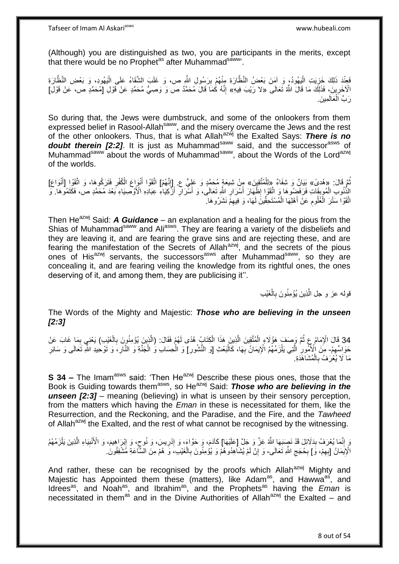(Although) you are distinguished as two, you are participants in the merits, except that there would be no Prophet<sup>as</sup> after Muhammad<sup>saww</sup>.

فَعِنْدَ ذَلِكَ خَزِيَتِ الْيَهُودُ، وَ آمَنَ بَعْضُ النَّظَّارَةِ مِنْهُمْ بِرَسُولِ اللَّهِ ص، وَ غَلَبَ الشَّقَاءُ عَلَى الْيَهُودِ، وَ بَعْضِ النَّظَّارَةِ ِ ْ ِ الْآخَرِينَ، فَذَلِكَ مَا قَالَ اللَّهُ تَعَالَى «لا رَيْبَ فِيهِ» إِنَّهُ كُمَاَ قَالَ مُحَمَّدٌ ص وَ وَصِيُّ مُحَمَّدٍ عَنْ قَوْلِ [مُحَمَّدٍ ص، عَنْ قَوْلِ] ِ ِ رَبِّ اَلْعَالَمِينَ ْ

So during that, the Jews were dumbstruck, and some of the onlookers from them expressed belief in Rasool-Allahsaww, and the misery overcame the Jews and the rest of the other onlookers. Thus, that is what Allah<sup>azwj</sup> the Exalted Says: There is no **doubt therein [2:2].** It is just as Muhammad<sup>saww</sup> said, and the successor<sup>asws</sup> of Muhammad<sup>saww</sup> about the words of Muhammad<sup>saww</sup>, about the Words of the Lord<sup>azwj</sup> of the worlds.

تُمَّ قَالَ: «هُدىً» بَيَانٌ وَ شِفَاءٌ «ِلِلْمُتَّقِينَ» مِِنْ شِيعَةٍ مُحَمَّدٍ وَ عَلِيٍّ ع. إِإِنَّهُمْ] اتَّقَوْا أَنْوَاعَ الْكُفْرِ فَتَرَكُوهَا، وَ اتَّقَوْا [أَنْوَاعَ] ِ َ ِ َ الِذُّنُوبِ الْمُوبِقَاتِ فَرَفَضِوها وَ اتَّقَوْا إِظْهَارَ أَسْرَارٍ اللَّهِ تَعَالَى، وَ أَسْرَارٍ أَزَّكِيَاءِ عِبَادِهِ الْأَوْصِيَاءِ بَعْدَ مُحَمَّدٍ صَ، فَكَتَمُوهَا وَ َ ِ َ ِ َ ِ ِ ْ ُّ اتَّقَوْا سَتْرَ الْعُلُومِ عَنْ أَهْلِهَا الْمُسْتَحِقِّينَ لَهَا، وَ فِيهِمْ نَشَرُوهَا. ِ ْ َ ِ ْ

Then He<sup>azwj</sup> Said: **A Guidance** – an explanation and a healing for the pious from the Shias of Muhammad<sup>saww</sup> and Ali<sup>asws</sup>. They are fearing a variety of the disbeliefs and they are leaving it, and are fearing the grave sins and are rejecting these, and are fearing the manifestation of the Secrets of Allah<sup>azwj</sup>, and the secrets of the pious ones of His<sup>azwj</sup> servants, the successors<sup>asws</sup> after Muhammad<sup>saww</sup>, so they are concealing it, and are fearing veiling the knowledge from its rightful ones, the ones deserving of it, and among them, they are publicising it''.

> ؚ<br>ا قولـه عز و جل الَّذِينَ يُؤْمِنُونَ بِالْغَيْبِ **∶** ه

The Words of the Mighty and Majestic: *Those who are believing in the unseen [2:3]*

34 قَالَ الْإِمَامُ عِ ثُمَّ وَصَفَ هَؤُلَاءِ الْمُتَّقِينَ الَّذِينَ هَذَا الْكِتَابُ هُدًى لَهُمْ فَقَالَ: (الَّذِينَ يُؤْمِنُونَ بِالْغَيْبِ) يَعْنِي بِمَا غَابَ عَنْ<br>بَدِي الْجَمَاسِ الْإِمَامُ عَنْ أَمَرُوا وَالْمُتَ ِ ْ ِ ه ْ ه ْ َمَوَ النِّهِمْ- مِنَ الْأُمُورِ الَّتِي يَلْزَمُهُمُ الْإِيمَانُ بِّهَا، كَالْبَعْثِ [وَ النُّشُورِ] وَ الْحِسَابِ وُ الْجَنَّةِ وَ النَّارِ، وَ تَوْحِيدِ اللَّهِ تَعَالَى وَ سَائِرِ ِ ْ ْ ِ ْ **∶** ْ ه ِ ِ مَا لَا يُغْرَفُ بِالْمُشَاهَدَةِ. ْ **∶** 

**S 34 –** The Imam<sup>asws</sup> said: 'Then He<sup>azwj</sup> Describe these pious ones, those that the Book is Guiding towards them<sup>asws</sup>, so He<sup>azwj</sup> Said: *Those who are believing in the unseen [2:3]* – meaning (believing) in what is unseen by their sensory perception, from the matters which having the *Eman* in these is necessitated for them, like the Resurrection, and the Reckoning, and the Paradise, and the Fire, and the *Tawheed* of Allah<sup>azwj</sup> the Exalted, and the rest of what cannot be recognised by the witnessing.

وَ إِنَّمَا يُعْرَفُ بِدَلَائِلَ قَدْ نَصِبَهَا اللَّهُ عَزَّ وَ جَلَّ [عَلَيْهَا] كَاَدَمَ، وَ حَوَّاءَ، وَ إِدْرِيسَ، وَ نُوحٍ، وَ إِبْرَاهِيمَ، وَ الْأُنْبِيَاءِ الَّذِينَ يَلْزَمُهُم **∣** ِ ْ ه ِ  $\frac{1}{2}$ ٍ ِ ِ الْإِيمَانُ [بِهِمْ، وَ] بِحُجَجِ اللَّهِ تَعَالَى- وَ إِنْ لَمْ يُشَاهِدُوهُمْ وَ يُؤْمِنُونَ بِالْغَيْبِ، وَ هُمْ مِنَ السَّاعَةِ مَشْفِقُونَٰ. ِ ِ ِ ِ ْ ِ

And rather, these can be recognised by the proofs which Allah<sup>azwj</sup> Mighty and Majestic has Appointed them these (matters), like Adam<sup>as</sup>, and Hawwa<sup>as</sup>, and Idrees<sup>as</sup>, and Noah<sup>as</sup>, and Ibrahim<sup>as</sup>, and the Prophets<sup>as</sup> having the *Eman* is necessitated in them<sup>as</sup> and in the Divine Authorities of Allah<sup>azwj</sup> the Exalted – and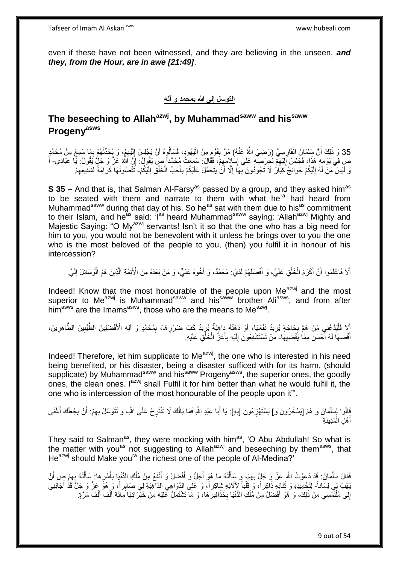even if these have not been witnessed, and they are believing in the unseen, *and they, from the Hour, are in awe [21:49]*.

#### **التوسل إلى هللا بمحمد و آله**

# **The beseeching to Allahazwj, by Muhammadsaww and hissaww Progenyasws**

لَ ِ 35 وَ ذَلِكَ أَنَّ سَلْمَانَ الْفَارِسِيَّ (رَضِيَ اللَّهُ عَذْ) مَرَّ بِقَوْمٍ مِنَ الْيَهُودِ، فَسَأَلُوهُ أَنْ يَجْلِسَ إِلَيْهِمْ، وَ يُحَدِّدُّهُمْ بِمَا سَمِعَ مِنْ مُحَمَّدٍ<br>وَ ذَلِكَ أَنَّ سَلَمَانَ الْفَارِسِيَّ ( اُ ון<br>ון ْ **ِ** ِ ْ ْ ِ َ ِ ص ِفِي يَوْمِهِ ۚ هَذَا، فَجَلَسَ إِلَيْهِمْ لِكِرْصِيَّهِ عَلَى إِسْلَامِهِِمْ، فَقَالَ: سَمِعْتُ مُحَمَّداً صِ يَقُولُ: إِنَّ الله عَزَّ وَ جَلٍّ يَقُولُ: يَا عِبَادِي- أَ ِ ∣∣<br>∶ لَ ِ وَ لَيْسَ مَنْ لَهُ إِلَيْكُمْ حَوَائِجُ كِبَالٌ لَا تَجُودُونَ بِهَا إِلَّا أَنْ يَتَحَمَّلَ عَلَيْكُمْ بِأَحَبٍّ الْخَلْقِ إِلَيْكُمْ- تَقْضُونَهَا كَرَامَةً لِشَفِيعِهِمْ َ **∶** اُ ِ ِ لَ ∣<br>∶ لَ ِ ْ ِ

**S 35 –** And that is, that Salman Al-Farsy<sup>as</sup> passed by a group, and they asked him<sup>as</sup> to be seated with them and narrate to them with what he<sup>ra</sup> had heard from Muhammad<sup>saww</sup> during that day of his. So he<sup>as</sup> sat with them due to his<sup>as</sup> commitment to their Islam, and he<sup>as</sup> said: 'I<sup>as</sup> heard Muhammad<sup>saww</sup> saying: 'Allah<sup>azwj</sup> Mighty and Majestic Saying: "O My<sup>azwj</sup> servants! Isn't it so that the one who has a big need for him to you, you would not be benevolent with it unless he brings over to you the one who is the most beloved of the people to you, (then) you fulfil it in honour of his intercession?

أَلَا فَاعْلَمُوا أَنَّ أَكْرَمَ الْخَلْقِ عَلَيَّ، وَ أَفْضَلَهُمْ لَدَيَّ: مُحَمَّدٌ، وَ أَخُوهُ عَلِيٌّ، وَ مَنْ بَعْدَهُ مِنَ الْأَئِمَّةِ الَّذِينَ هُمُ الْوَسَائِلُ إِلَيَّ. َ ْ ْ َ لَ ِ ْ ه َ

Indeed! Know that the most honourable of the people upon Me<sup>azwj</sup> and the most superior to Me<sup>azwj</sup> is Muhammad<sup>saww</sup> and his<sup>saww</sup> brother Ali<sup>asws</sup>, and from after him<sup>asws</sup> are the Imams<sup>asws</sup>, those who are the means to Me<sup>azwj</sup>.

أَلَا فَلْيَدْعُنِي مَنْ هَمَّ بِحَاجَةٍ يُرِيدُ نَفْعَهَا، أَوْ دَهَنْهُ دَاهِيَةٌ يُرِيدُ كَفَ ضَرَرِهَا، بِمُحَمَّدٍ وَ آلِهِ الْأَفْضَلِينَ الطَّيِّبِينَ الطَّاهِرِينَ، **'** َ ¦ ¦ :<br>ا َ ِ ِ ِ **ٍ** أَقْضِهَا لَهُ أَحْسَنَ مِمَّا يَقْضِيهَا- مَنْ تَسْتَشْفِعُونَ إِلَيْهِ بِأَعَزٍّ الْخَلْقِ عَلَيْهِ. ا<br>ا َ ْ ْ َ ِ لَ ِ

Indeed! Therefore, let him supplicate to Me<sup>azwj</sup>, the one who is interested in his need being benefited, or his disaster, being a disaster sufficed with for its harm, (should supplicate) by Muhammad<sup>saww</sup> and his<sup>saww</sup> Progeny<sup>asws</sup>, the superior ones, the goodly ones, the clean ones. I<sup>azwj</sup> shall Fulfil it for him better than what he would fulfil it, the one who is intercession of the most honourable of the people upon it"'.

يَالُوا لِسَلْمَانَ وَ هُمْ [يَسْخَرُونَ وَ] يَسْتَهْزِءُونَ [بِهِ]: يَا أَبَا عَبْدِ اللَّهِ فَمَا بَالُكَ لَا تَقْتَرِحُ عَلَى اللَّهِ، وَ تَتَوَسَّلُ بِهِمْ: أَنْ يَجْعَلَكَ أَغْنَى **∶** ِ َ اُ ِ ِ اُ َ أَهْلِ الْمَدِينَةِ ْ َ

They said to Salman<sup>as</sup>, they were mocking with him<sup>as</sup>, 'O Abu Abdullah! So what is the matter with you<sup>as</sup> not suggesting to Allah<sup>azwj</sup> and beseeching by them<sup>asws</sup>, that He<sup>azwj</sup> should Make you<sup>ra</sup> the richest one of the people of Al-Medina?'

فَقَالَ سَلْمَانُ: قَدْ دَعَوْتُ الثَّهَ عَزَّ وَ جَلٍّ بِهِمْ، وَ سَأَلْتُهُ مَا هُوَ أَجَلُّ وَ أَفْضَلُ وَ أَنْفَعُ مِنْ مُلْكِ الدُّنْنِا بِأَسْرِهَا: سَأَلْتُهُ بِهِمْ صٍ أَنْ ْ َ ِ َ ِ ْ َ ِ َ **∶** ْ َ َ يَهَبَ لِي لِسَاناً- لِتَحْمِيدِهِ وَ ثَنَائٍهِ ذَاكِراً، وَ قُلْباً لِإِلَائِهِ شَاكِراً، وَ عَلَى الذَّوَاهِي الذَّاهِيَةِ لِي صَابِراً، وَ مُوَّ عَنَّ وَ جَلَّ قَذْ أَجَانِنِي ْ َ إِلَى مُلْتَمَسِي مِنْ ذَلِكَ، وَ هُوَ أَفْضَلُ مِنْ مُلْكِ الدُّنْيَا بِحَذَافِيرِ هَا، وَ مَا تَشْتَمِلُ عَلَيْهِ مِنْ خَيْرَاتِهَا مِائَةَ أَلْفِ أَلْفِ مَرَّةٍ. ْ יִי<br>; ِ **∶** ْ َ ْ َ ْ َ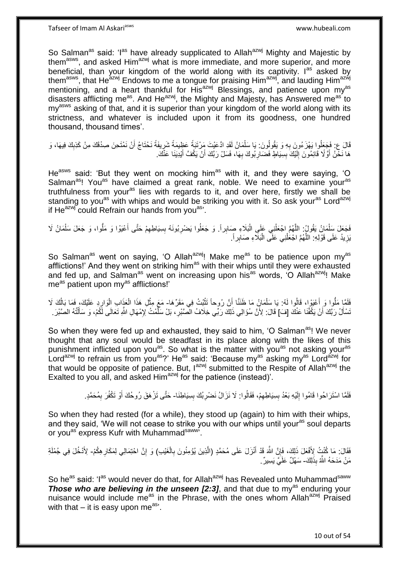So Salman<sup>as</sup> said: 'I<sup>as</sup> have already supplicated to Allah<sup>azwj</sup> Mighty and Majestic by them<sup>asws</sup>, and asked Him<sup>azwj</sup> what is more immediate, and more superior, and more beneficial, than your kingdom of the world along with its captivity. I<sup>as</sup> asked by them<sup>asws</sup>, that He<sup>azwj</sup> Endows to me a tongue for praising Him<sup>azwj</sup>, and lauding Him<sup>azwj</sup> mentioning, and a heart thankful for His<sup>azwj</sup> Blessings, and patience upon my<sup>as</sup> disasters afflicting me<sup>as</sup>. And He<sup>azwj</sup>, the Mighty and Majesty, has Answered me<sup>as'</sup> to my<sup>asws</sup> asking of that, and it is superior than your kingdom of the world along with its strictness, and whatever is included upon it from its goodness, one hundred thousand, thousand times'.

قَالَ ع: فَجَعِلُوا يَهْزَءُونَ بِهِ وَ يَقُولُونَ: يَا سَلْمَانُ لَقَدِ ادَّعَيْتَ مَِرْتَبَةً عَظِيمَةً شَرِيفَةً نَحْتَاجُ أَنْ نَمْتَحِنَ صِدْقَكَ مِنْ كَذِبِكَ فِيهَا، وَ ¦ ْ ِ ِ هَا نَخَّنُ أَوَّ لَا قَائِمُونَ إِلَيْكَ بِسِيَاطٍ فَضَارِ بُوكَ بِهَا، فَسَلْ رَبَّكَ أَنْ يَكُفَّ أَيْدِيَنَا عَنْكَ. َ َ ِ **∶ ∣** لَ ∣∣<br>∶ َ

He<sup>asws</sup> said: 'But they went on mocking him<sup>as</sup> with it, and they were saying, 'O Salman<sup>as</sup>! You<sup>as</sup> have claimed a great rank, noble. We need to examine your<sup>as</sup> truthfulness from your<sup>as</sup> lies with regards to it, and over here, firstly we shall be standing to you<sup>as</sup> with whips and would be striking you with it. So ask your<sup>as</sup> Lord<sup>azwj</sup> if  $He^{azwj}$  could Refrain our hands from you $a^{as}$ .

َ فَجَعَلَ سَِلْمَانُ يَقُولُ: اللَّهُمَّ اجْعَلْنِي عَلَى الْبَلَاءِ صَابِراً. وَ جَعَلُوا يَضْرِبُونَهُ بِسِيَاطِهِمْ حَتَّى أَعْيَوْا وَ مَلُوا، وَ جَعَلَ سَلْمَانُ لَا ِ ِ ِ :<br>ا ْ ه ْ ْ يَزِيدُ عَلَى قَوْلِهِ: اللَّهُمَّ اجْعَلْنِي عَلَى الْبَلَاءِ صَابِراً. :<br>ا ْ ه ِ

So Salman<sup>as</sup> went on saying, 'O Allah<sup>azwj</sup>! Make me<sup>as</sup> to be patience upon my<sup>as</sup> afflictions!' And they went on striking him<sup>as</sup> with their whips until they were exhausted and fed up, and Salman<sup>as</sup> went on increasing upon his<sup>as</sup> words, 'O Allah<sup>azwi</sup>! Make me<sup>as</sup> patient upon my<sup>as</sup> afflictions!'

فَلَمَّا مَلُوا وَ أَعْيَوْا، قَالُوا لَهُ: يَا سَلْمَانُ مَا ظَنَنَّا أَنَّ رُوحاً تَثْبُتُ فِي مَقَرِّهَا- مَعَ مِثْلِ هَذَا الْعَذَابِ الْوَارِدِ عَلَيْكَ، فَمَا بَالُكَ لَا **ٔ** اُ ْ اُ ِ ْ ْ **ٔ** نَسْأَلُ رَبَّكَ أَنْ يَكْفَّنَا عَنْكَ [فَ] قَالَ: لِأَنَّ سُؤَالِي ذَلِكَ رَبِّي خِلَافُ الْصَّبْرِ ، بَلْ سَلَّمْتُ لِإِمْهَالِ اللَّهِ تَعَالَى لَكُمْ، وَ سَأَلْتُهُ الصَّبْرَ . َ ْ َ ه ِ ا<br>ا

So when they were fed up and exhausted, they said to him, 'O Salman<sup>as</sup>! We never thought that any soul would be steadfast in its place along with the likes of this punishment inflicted upon you<sup>as</sup>. So what is the matter with you<sup>as</sup> not asking your<sup>as</sup> Lord<sup>azwj</sup> to refrain us from you<sup>as</sup>?' He<sup>as</sup> said: 'Because my<sup>as</sup> asking my<sup>as</sup> Lord<sup>azwj</sup> for that would be opposite of patience. But, l<sup>azwj</sup> submitted to the Respite of Allah<sup>azwj</sup> the Exalted to you all, and asked Him<sup>azwj</sup> for the patience (instead)'.

> فَلَمَّا اسْتَرَاحُوا قَامُوا إِلَيْهِ بَعْدُ بِسِيَاطِهِمْ، فَقَالُوا: لَا نَزَالُ نَضْرِبُكَ بِسِيَاطِنَا- حَتَّى تَزْهَقَ رُوحُكَ أَوْ تَكْفُرَ بِمُحَمَّدٍ. **∣** ِ ِ **∣** لَ יִן<br>; َ ِ

So when they had rested (for a while), they stood up (again) to him with their whips, and they said. 'We will not cease to strike you with our whips until your<sup>as</sup> soul departs or you<sup>as'</sup> express Kufr with Muhammadsaww'.

فْ َغْي ِب َفَقا َل: َما ُكنْ ُت ِْلَ ْ ال ِ ِذي َن ُيْؤ ِمنُو َن ب ه نْ َز َل َعلَى ُم َح همٍد )ال َ َقْد أ هن هَّللاَ ِ لِ َك، َفإ ِه ُك َع َل ذ ْم َ ِ هن ا ْحِت َمالِي لِ َمَكار ِ ِة ( َو إ - ْد ُخ َل ِفي ُج ْملَ ِْلَ لِ َك ِذَ هَّللاُ ب َم ْن َمَد َح ُه - هي َي ِسي ٌر. َس ْه ٌل َعلَ

So he<sup>as</sup> said: 'I<sup>as</sup> would never do that, for Allah<sup>azwj</sup> has Revealed unto Muhammad<sup>saww</sup> **Those who are believing in the unseen [2:3]**, and that due to my<sup>as</sup> enduring your nuisance would include me<sup>as</sup> in the Phrase, with the ones whom Allah<sup>azwj</sup> Praised with that  $-$  it is easy upon me<sup>as</sup>.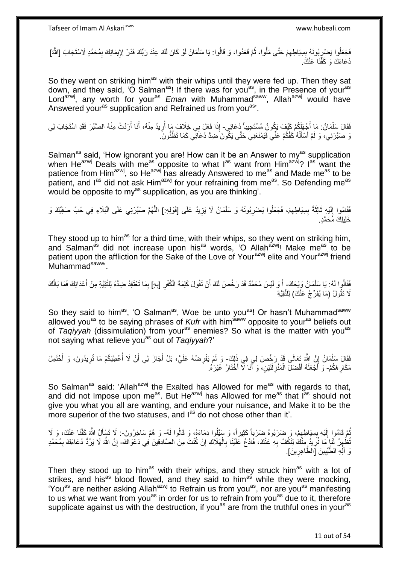فَجَعُلُوا يَضْرِبُونَهُ بِسِيَاطِهِمْ حَتَّى مَلُّوا، ثُمَّ قَعَدُوا، وَ قَالُوا: يَا سَلْمَانُ لَوْ كَانَ لَكَ عِنْدَ رَبِّكَ قَدْرٌ لِإِيمَانِكَ بِمُحَمَّدٍ لَاسْتَجَابَ [اللَّهُ]<br>وَحَمَلَا الْمَسْرَبُونَهُ بِسِيَاطِهِ ْ ا<br>ا ِ **∣** ِ ِ ُدْعَاءَكَ وَ كَفَّنَا عَنْكَ

So they went on striking him<sup>as</sup> with their whips until they were fed up. Then they sat down, and they said, 'O Salman<sup>as</sup>! If there was for you<sup>as</sup>, in the Presence of your<sup>as</sup> Lord<sup>azwj</sup>, any worth for your<sup>as</sup> Eman with Muhammad<sup>saww</sup>, Allah<sup>azwj</sup> would have Answered your<sup>as</sup> supplication and Refrained us from you<sup>as</sup>'.

فَقَالَ سَلْمَانُ: مَا أَجْهَلَكُمْ كَيْفَ يَكُونُ مُسْتَجِيباً دُعَائِي- إِذَا فَعَلَ بِي خِلَافَ مَا أُرِيدُ مِنْهُ، أَنَا أَرَدْتُ مِنْهُ الصَّبْرَ فَقَدِ اسْتَجَابَ لِي ِ َ َ ِ ُ نَ صَبَّرَنِي، وَ لَمْ أَسْأَلْهُ كَفَّكُمْ عَنِّي فَيَمْنَعَنِيَ حَتَّى يَكُونَ مَضِدَّ دُعَائِي كَمَا تَظُنُّونَ َ ْ َ َ

Salman<sup>as</sup> said, 'How ignorant you are! How can it be an Answer to my<sup>as</sup> supplication when He<sup>azwj</sup> Deals with me<sup>as opposite to what  $I^{as}$  want from Him<sup>azwj</sup>? I<sup>as want the</sup></sup> patience from Him<sup>azwj</sup>, so He<sup>azwj</sup> has already Answered to me<sup>as</sup> and Made me<sup>as</sup> to be patient, and I<sup>as</sup> did not ask Him<sup>azwj</sup> for your refraining from me<sup>as</sup>. So Defending me<sup>as</sup> would be opposite to my<sup>as</sup> supplication, as you are thinking'.

فَقَامُوا إِلَيْهِ ثَالِثَةً بِسِيَاطِهِمْ، فَجَعَلُوا يَضْرِبُونَهُ وَ سَلْمَانُ لَا يَزِيدُ عَلَى [قَوْلِهِ:] اللَّهُمَّ صَبِّرْنِي عَلَى الْبَلَاءِ فِي حُبِّ صَفِيِّكَ وَ ْ **∶** ِ **ِ**  $\ddot{\phantom{0}}$  $\ddot{\cdot}$ لَ  $\frac{1}{2}$ ْ ه **ٍ** خَلِيلِكَ مُحَمَّدٍ.

They stood up to him<sup>as</sup> for a third time, with their whips, so they went on striking him, and Salman<sup>as</sup> did not increase upon his<sup>as</sup> words, 'O Allahazwi! Make me<sup>as</sup> to be patient upon the affliction for the Sake of the Love of Your<sup>azwj</sup> elite and Your<sup>azwj</sup> friend Muhammad<sup>saww</sup>

فَقَالُوا لَهُ: يَا سَلْمَانُ وَيْحَكَ- أَ وَ لَيْسَ مُحَمَّدٌ قَدْ رَخَّصَ لَكَ أَنْ تَقُولَ كَلِمَةَ الْكُفْرِ [بِهِ] بِمَا تَعْتَقِدُ ضِدَّهُ لِلتَّقِيَّةِ مِنْ أَعْدَائِكَ فَمَا بَالُكَ ْ **∶** ِ اُ َ ِ ُ َ لَا تَقُولُ (مَا يُفَرِّجُ عَنْكَ) لِلتَّقِيَّةِ

So they said to him<sup>as</sup>, 'O Salman<sup>as</sup>, Woe be unto you<sup>as</sup>! Or hasn't Muhammad<sup>saww</sup> allowed you<sup>as</sup> to be saying phrases of *Kufr* with him<sup>saww</sup> opposite to your<sup>as</sup> beliefs out of *Taqiyyah* (dissimulation) from your<sup>as</sup> enemies? So what is the matter with you<sup>as</sup> not saying what relieve you<sup>as</sup> out of *Taqiyyah*?'

فَقَالَ سَلْمَانُ إِنَّ اللَّهَ تَعَالَى قَدْ رَخَّصَ لِي فِي ذَلِكَ- وَ لَمْ يَفْرِضْهُ عَلَيَّ، بَلْ أَجَازَ لِي أَنْ لَا أُعْطِيَكُمْ مَا تُرِيدُونَ، وَ أَحْتَمِلَ **∶** َ **∶** المعاملة المستقبل المعاملة المستقبل المستقبل المستقبل المستقبل المستقبل المستقبل المستقبل المستقبل المستقبل ال<br>المستقبل َ مَكَارِ هَكُمْ- وَ أَجْعَلَهُ أَفْضَلَ الْمَنْزِلَتَيْنِ، وَ أَنَا لَا أَخْتَارُ غَيْرَهُ. ِ َ ِ ْ َ

So Salman<sup>as</sup> said: 'Allah<sup>azwj</sup> the Exalted has Allowed for me<sup>as</sup> with regards to that, and did not Impose upon me<sup>as</sup>. But He<sup>azwj</sup> has Allowed for me<sup>as</sup> that  $I^{as}$  should not give you what you all are wanting, and endure your nuisance, and Make it to be the more superior of the two statuses, and l<sup>as</sup> do not chose other than it'.

ُمْ قَامُوا إِلَيْهِ بِسِيَاطِهِمْ، وَ ضَرَبُوهُ ضَرْباً كَثِيراً، وَ سَيَلُوا دِمَاءَهُ، وَ قَالُوا لَهُ- وَ هُمْ سَاخِرُونَ-: لَا تَسْأَلُ اللَّهَ كَفَّنَا عَنْكَ، وَ لَا  $\ddot{\xi}$ **∣** لَ יִן<br>; َ تُظْهِرُ لَّذَا مَا نُرِيدُ مِنْكَ لِنَكُفَ بِهِ عَنْكَ، فَادْعُ عَلَيْنَا بِالْهَلَاكِ إِنْ كُنْتَ مِنَ الصَّادِقِينَ فِي دَعْوَاكَ- إِنَّ اللَّهَ لَا يَرُدُّ دُعَاءَكَ بِمُحَمَّدٍ ِ ْ **∶** ِ **∶** ِ ِ ِ وَ آلِهِ الطَّيِّبِينَ [الطَّاهِرِينَ]. **∶ !** 

Then they stood up to him<sup>as</sup> with their whips, and they struck him<sup>as</sup> with a lot of strikes, and his<sup>as</sup> blood flowed, and they said to him<sup>as</sup> while they were mocking, 'You<sup>as</sup> are neither asking Allah<sup>azwj</sup> to Refrain us from you<sup>as</sup>, nor are you<sup>as</sup> manifesting to us what we want from you<sup>as</sup> in order for us to refrain from you<sup>as</sup> due to it, therefore supplicate against us with the destruction, if you<sup>as</sup> are from the truthful ones in your<sup>as</sup>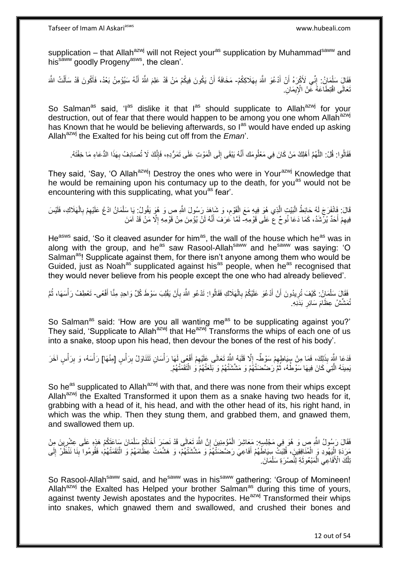supplication – that Allah<sup>azwj</sup> will not Reject your<sup>as</sup> supplication by Muhammad<sup>saww</sup> and his<sup>saww</sup> goodly Progeny<sup>asws</sup>, the clean'.

فَقَالٍَ سَلْمَانُ: إِنِّي لَأَكْرَهُ أَنْ أَدْعُوَ اللَّهَ بِهَلَاكِكُمْ- مَخَافَةَ أَنْ يَكُونَ فِيكُمْ مَنْ قَدْ عَلِمَ اللَّهُ أَنَّهُ سَيُؤْمِنُ بَعْدُ، فَأَكُونَ قَدْ سَأَلْتُ اللَّهَ ِ َ اُ ِ اُ ْ َ َ َ تَعَالَى اقْتِطَاعَهُ عِّنْ الْإِيمَانِ.

So Salman<sup>as</sup> said, 'I<sup>as</sup> dislike it that I<sup>as</sup> should supplicate to Allah<sup>azwj</sup> for your destruction, out of fear that there would happen to be among you one whom Allah<sup>azwj</sup> has Known that he would be believing afterwards, so l<sup>as</sup> would have ended up asking Allah<sup>azwj</sup> the Exalted for his being cut off from the *Eman*'.

فَقَالُوا: قُلْ: اللَّهُمَّ أَهْلِكْ مَنْ كَانَ فِي مَعْلُومَك أَنَّهُ يَبْقَى إِلَى الْمَوْتِ عَلَى تَمَرُّدِهِ، فَإِنَّكَ لَا تُصَادِفُ بِهَذَا الدُّعَاءِ مَا خِفْتَهُ. َ ه **∶** ِ ון<br>م ْ ِ َ

They said, 'Say, 'O Allah<sup>azwj</sup>! Destroy the ones who were in Your<sup>azwj</sup> Knowledge that he would be remaining upon his contumacy up to the death, for you<sup>as</sup> would not be encountering with this supplicating, what you<sup>as</sup> fear'.

قَالَ: فَانْفَرَجَ لَهُ حَائِطُ الْبَيْتِ الَّذِي هُوَ فِيهِ مَعَ الْقَوْمِ، وَ شَاهَدَ رَسُولَ اللَّهِ ص وَ هُوَ يَقُولُ: يَا سَلْمَانُ ادْمُ عَلَيْهِمْ بِالْهَلَاكِ، فَلَيْسَ ِ ْ ه :<br>ا ْ **∶** ِ ْ فِيهِمْ أَحَدٌ يُرْشَدُ، كَمَا دَعَا نُوحٌ عَ عَلَى قَوْمِهِ- لَمَّا عَرَفَ أَنَّهُ لَنْ يُؤْمِنَ مِنْ قَوْمِهِ إِلَّا مَنْ قَدْ آمَنَ َ ِ َ ِ

He<sup>asws</sup> said, 'So it cleaved asunder for him<sup>as</sup>, the wall of the house which he<sup>as</sup> was in along with the group, and he<sup>as</sup> saw Rasool-Allah<sup>saww</sup> and he<sup>saww</sup> was saying: 'O Salman<sup>as</sup>! Supplicate against them, for there isn't anyone among them who would be Guided, just as Noah<sup>as</sup> supplicated against his<sup>as</sup> people, when he<sup>as</sup> recognised that they would never believe from his people except the one who had already believed'.

فَقَالٍَ سَلْمَانُ: كَيْفَ تُرِيدُونَ أَنْ أَدْعُوَ عَلَيْكُمْ بِالْهَلَاكِ فَقَالُوا: تَدْعُو اللَّهَ بِأَنْ يَقْلِبَ سَوْطَ كُلِّ وَاحِدٍ مِنَّا أَفْعَى- تَعْطِفُ رَأْسَهَا، ثُمَّ أ ِ ْ ِ َ َ **∶** ْ َ ا<br>ا ْ تُمَشَّشُ عِظَامَ سَائِرِ بَدَنِهِ. ِ

So Salman<sup>as</sup> said: 'How are you all wanting me<sup>as</sup> to be supplicating against you?' They said, 'Supplicate to Allah<sup>azwj</sup> that He<sup>azwj</sup> Transforms the whips of each one of us into a snake, stoop upon his head, then devour the bones of the rest of his body'.

فَدَعَا اللَّهَ بِذَلِكَ، فَمَا مِنْ سِيَاطِهِمْ سَوْطٌ إِلَّا قَلَبَهُ اللَّهُ تَعَالَى عَلَيْهِمْ أَفْعَى لَهَا رَأْسَانِ تَتَنَاوَلُ بِرَأْسٍ [مِنْهَا] رَأْسَهُ، وَ بِرَأْسٍ آخَرَ ِ ْ ِ ْ ْ ِ ْ َ ِ  $\frac{1}{2}$ يَمِينَهُ الَّذِيَ كَانَ فِيهَا سَوْطُهُ، ثُمَّ رَضَّصَنَتْهُمْ وَ مَشَّشَنَّهُمْ وَ بَلَعَتْهُمْ وَ الْتَقَمَّتْهُمْ. ُ ْ

So he<sup>as</sup> supplicated to Allah<sup>azwj</sup> with that, and there was none from their whips except Allah<sup>azwj</sup> the Exalted Transformed it upon them as a snake having two heads for it. grabbing with a head of it, his head, and with the other head of its, his right hand, in which was the whip. Then they stung them, and grabbed them, and gnawed them, and swallowed them up.

فَقَالَ رَسُولُ اللَّهِ صِ وَ هُوَ فِي مَجْلِسِهِ. مَعَاشِرَ الْمُؤْمِنِينَ إِنَّ اللَّهَ تَعَالَى قَدْ نَصَرَ أَخَاكُمْ سَلْمَانَ سَاعَتَكُمْ هَذِهِ عَلَى عِشْرِينَ مِنْ ْ َ ِ ِ مَنِ ذَةِ الْبَهْوَدِ وَ الْمُنَافِقِينَ، فُلِبَتٌ سِيَاطُهُمْ أَفَاعِيَ رَضَّضَنَّهُمْۚ وَ مَشَّشَتْهُمْ، وَ هَشَمَتْ عِظَامَهُمْ وَ الْتَقَمَنْهُمْ، فَقُومُوا بِّنَا نَنْظُرْ إِلَى َ ْ لَ ِ ِ ْ نِلْكَ الْأَفَاعِي الْمَبْعُوثَةِ لِلْمسْرَةِ سَلْمَانَ ْ ة<br>أ ْ ْ

So Rasool-Allah<sup>saww</sup> said, and he<sup>saww</sup> was in his<sup>saww</sup> gathering: 'Group of Momineen! Allah<sup>azwj</sup> the Exalted has Helped your brother Salman<sup>as</sup> during this time of yours, against twenty Jewish apostates and the hypocrites. He<sup>azwj</sup> Transformed their whips into snakes, which gnawed them and swallowed, and crushed their bones and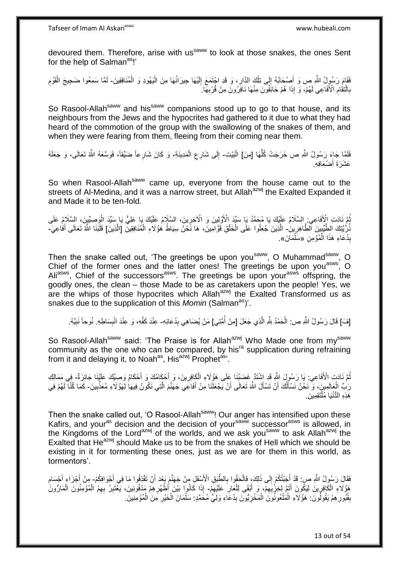devoured them. Therefore, arise with us<sup>saww</sup> to look at those snakes, the ones Sent for the help of Salman<sup>as</sup>!'

ْ فَقَامَ رَسُولُ اللَّهِ ص وَ أَصْحَابُهُ إِلَى تِلْكَ الدَّارِ، وَ قَدِ اجْتَمَعَ إِلَيْهَا جِيرَانُهَا مِنَ الْيَهُودِ وَ الْمُنَافِقِينَ۔ لَمَّا سَمِعُوا ضَجِيجَ الْقَوْمِ ْ لَ ِ **∶** ْ  $\ddot{\phantom{a}}$ َ ِ ْ لَ بِالْنِقَامِ الْأَفَاعِي لَهُمْ، وَ إِذَا هُمْ خَائِفُونَ مِنْهَا نَافِرُونَ مِنْ قُرْبِهَا ۚ ِ ْ **∶ ∶** 

So Rasool-Allah<sup>saww</sup> and his<sup>saww</sup> companions stood up to go to that house, and its neighbours from the Jews and the hypocrites had gathered to it due to what they had heard of the commotion of the group with the swallowing of the snakes of them, and when they were fearing from them, fleeing from their coming near them.

فَلَقَا جَاءَ رَسُولُ اللَّهِ ص خَرَجَتْ كُلُّهَا [مِنَ] الْبَيْتِ- إِلَى شَارِعِ الْمَدِينَةِ، وَ كَانَ شَارِعاً ضَيِّقاً، فَوَسَّعَهُ اللَّهُ تَعَالَى، وَ جَعَلَهُ ُّ ْ ِ  $\frac{1}{2}$ عَشَرَةَ أَضْعَافِهِ. َ

So when Rasool-Allah<sup>saww</sup> came up, everyone from the house came out to the streets of Al-Medina, and it was a narrow street, but Allah<sup>azwj</sup> the Exalted Expanded it and Made it to be ten-fold.

نُّمَّ نَادَتِ الْأَفَاعِي: السَّلَامُ عَلَيْكَ يَا مُحَمَّدُ يَا سَيِّدَ الْأَوَّلِينَ وَ الْآخِرِينَ، السَّلَامُ عَلَى السَّلَامُ عَلَى السَّلَامُ عَلَى ُ ِ ْ نُّرِيَّتِكَ الطَّيِّبِينَ الطَّاهِرِينَ- الَّذِينَ جُعِلُوا عَلَى الْخَلْقِ قَوَّامِينَ، هَا نَحْنُ سِيَاطُ هُؤُلَاءِ الْمُنَافِقِينَ [الَّذِينَ] قَلَبَنَا اشَّهَ تَعَالَى أَفَاعِيَį. ِ ا مار<br>مار ْ ْ ه ْ َ بِدُعَاءِ هَذَا الْمُؤْمِنِ «سَلْمَانَ». ْ **∣** ْ

Then the snake called out, 'The greetings be upon you<sup>saww</sup>, O Muhammad<sup>saww</sup>, O Chief of the former ones and the latter ones! The greetings be upon you<sup>asws</sup>, O Aliasws, Chief of the successors<sup>asws</sup>. The greetings be upon your<sup>asws</sup> offspring, the goodly ones, the clean – those Made to be as caretakers upon the people! Yes, we are the whips of those hypocrites which Allah $a^{2x}$  the Exalted Transformed us as snakes due to the supplication of this *Momin* (Salman<sup>as</sup>)'.

[فَ] قَالَ رَسُولُ اللَّهِ ص: الْحَمْدُ لِلَّهِ الَّذِي جَعَلَ [مِنْ أُمَّتِي] مَنْ يُضَاهِي بِدُعَائِهِ- عِنْدَ كَفِّهِ، وَ عِنْدَ انْبِسَاطِهِ. نُوحاً نَبِيَّهُ. ا<br>ا ه ْ  $\frac{1}{2}$ ِ ِ

So Rasool-Allah<sup>saww</sup> said: 'The Praise is for Allah<sup>azwj</sup> Who Made one from my<sup>saww</sup> community as the one who can be compared, by his<sup>ra</sup> supplication during refraining from it and delaying it, to Noah<sup>as</sup>, His<sup>azwj</sup> Prophet<sup>as</sup>'.

نُّمَّ نَادَتٍ الْأَفَاعِي: يَا رَسُولَ اللَّهِ قَدِ اِشْتَدَّ غَضَبُنَا عَلَى هَؤُلَاءِ الْكَافِرِينَ، وَ ِأَحْكَامُكَ وَ أَحْكَامُ وَصِيِّكَ عَلَيْنَا جَائِزَةٌ ۖ فِي مَمَالِكِ َ َ ِ ْ رَبِّ الْعَالَمِينَ، وَ ۖ نَحْنُ نَسْأَلُكَ أَنْ تَسْأَلَ اللَّهَ تَعَالَى أَنْ يَجْعَلْنَا مِنْ أَفَاعِي جَهَنَّمَ الَّتِي نَكُونُ فِيهَا لِهَوْ لَاءِ مُعَذِّبِينَ۔ كَمَا كُنَّا لَهُمْ فِي ه َ َ ُ َ ِ هَذِهِ الْدُّنْيَا مُلْتَقِمِينَ ֺ֝֟֟֓֕֟֓֕֓֕׆<br>֧֢ׅ֦֧ׅ֦֧֦֧֦֦ׅ֦֧֦֧֦֦֧֧֧ׅ֘֘֜֓֬֘֓֞֬֘֩֓֓֬֟֩֓֓֞֬֩֩֓֓֩

Then the snake called out, 'O Rasool-Allah<sup>saww</sup>! Our anger has intensified upon these Kafirs, and your<sup>as</sup> decision and the decision of your<sup>saww</sup> successor<sup>asws</sup> is allowed, in the Kingdoms of the Lord<sup>azwj</sup> of the worlds, and we ask you<sup>saww</sup> to ask Allah<sup>azwj</sup> the Exalted that He<sup>azwj</sup> should Make us to be from the snakes of Hell which we should be existing in it for tormenting these ones, just as we are for them in this world, as tormentors'.

فَقَالَِ رَسُولُ اللَّهِ صِب قَدْ أَجَنْتُكُمْ إِلَى ذَلِكَ، فَالْحَقُوا بِالطَّيِقِ الْأَسْفَلِ مِنْ جَهَنَّمَ بَعْدَ أَنْ تَقْذِفُوا مَا فِي أَجْوَافِكُمْ- مِنْ أَجْرَاءٍ أَجْسَامِ َ **∶** ْ  $\frac{1}{2}$ َ َ ِ َ َ هَؤُلَاءِ ۖ الْكَافِرِينَ لِيَكُونَ أَتَمَّ لِخِزْبِهِمْ، وَ أَبْقَى لِلْعَالِ عَلَيْهِمْ- إِذَا كَانُوا بَيْنَ أَظْهُرِهِمْ مَدْفُونينَ، يَغْتَبِرُ بِهِمُ الْمُؤْمِنُونَ الْمَارُونَ ِ ْ ِ **∶** ْ َ ِ ْ ْ ِ **∶** بِقُبُورِ هِمْ يَقُولُونَ. هَؤُلَاءِ الْمَلْعُونُوَنَ الْمَخْزِيُّونَ بِدُعَاءِ وَلِيٍّ مُحَمَّدٍ. سَلْمَانَ الْخَيْرِ مَنَ الْمُؤْمِنِينَ. **∶** ْ ْ ْ **∶ ِ** ِ ْ ْ ِ ْ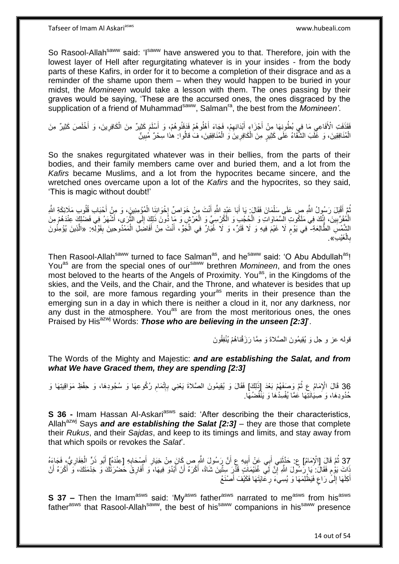So Rasool-Allah<sup>saww</sup> said: 'Isaww have answered you to that. Therefore, join with the lowest layer of Hell after regurgitating whatever is in your insides - from the body parts of these Kafirs, in order for it to become a completion of their disgrace and as a reminder of the shame upon them – when they would happen to be buried in your midst, the *Momineen* would take a lesson with them. The ones passing by their graves would be saying, 'These are the accursed ones, the ones disgraced by the supplication of a friend of Muhammad<sup>saww</sup>, Salman<sup>ra</sup>, the best from the *Momineen'*.

فَقَذَفَتِ الْأَفَاعِي مَا فِي بُطُونِهَا مِنْ أَجْزَاءٍ أَبْدَانِهِمْ، فَجَاءَ أَهْلُوهُمْ فَدَفَنُوهُمْ، وَ أَسْلَمَ كَثِيرٌ مِنَ الْكَافِرِينَ، وَ أَخْلَصَ كَثِيرٌ مِنَ َ َ ِ َ ا<br>ا َ ِ ْ الْمُنَافِقِينَ، وَ غَلَبَ الشَّقَاءُ عَلَى كَثِيرٍ مِنَ الْكَافِرِينَ وَ الْمُنَافِقِينَ، فَ قالُوا: هٰذا سِحْرٌ مُبِينٌ ْ **ٍ** ْ ِ

So the snakes regurgitated whatever was in their bellies, from the parts of their bodies, and their family members came over and buried them, and a lot from the *Kafirs* became Muslims, and a lot from the hypocrites became sincere, and the wretched ones overcame upon a lot of the *Kafirs* and the hypocrites, so they said, 'This is magic without doubt!'

نُّمَّ أَقْبَلَ رَسُولُ اللَّهِ صِ عَلَى سَلْمَانَ فَقَالَ: يَا أَبَا عَبْدٍ اللَّهِ أَنْتَ مِِنْ خَوَاصٍّ إِخْوَانِنَا الْمُؤْمِنِينَ، وَ مِنْ أَحْبَابِ قُلُوبِ مَلَائِكَةِ اللَّهِ َ ْ ُ َ ْ  $\frac{1}{2}$ َ ه الْمُقَرَّبِينَ، إِنَّكَ فِي مَلَكُوتِ الْسَّمَاوَاتِ وَ الْكُثِيبِ وَ الْكُرْسِيِّ وَ الْعَرْشِ وَ مَا ذُونَ ذَلِكَ إِلَى الثَّرَى، أَشْهَرُ فِي فَضْلِكَ عِنْدَهُمْ مِنَ ِ ْ ْ ِ **∣** الشِّمْسِ الطَّالِعَةِ- ۖ فِي يَوْمٍ لَا غَيْمَ فِيهِ وَ لَا قَتَرٌ، وَ لَا غُبَّارٌ فِي الْجَوِّ، أَنْتَ مِنْ أَفَاضَلِ الْمَمْدُوحِينَ بِقَوْلِّهِ: «الَّذِينَ يُؤْمِنُونَ ٍ ِ ْ َ َ ْ ه بِالْغَيْبِ». ْ ِ

Then Rasool-Allah<sup>saww</sup> turned to face Salman<sup>as</sup>, and he<sup>saww</sup> said: 'O Abu Abdullah<sup>as</sup>! Youas are from the special ones of oursaww brethren *Momineen*, and from the ones most beloved to the hearts of the Angels of Proximity. You<sup>as</sup>, in the Kingdoms of the skies, and the Veils, and the Chair, and the Throne, and whatever is besides that up to the soil, are more famous regarding your<sup>as</sup> merits in their presence than the emerging sun in a day in which there is neither a cloud in it, nor any darkness, nor any dust in the atmosphere. You<sup>as</sup> are from the most meritorious ones, the ones Praised by His<sup>azwj</sup> Words: **Those who are believing in the unseen [2:3]**.

قوله عز و جل وَ يُقِيمُونَ الصَّلاةَ وَ مِمَّا رَزَقْناهُمْ يُنْفِقُونَ

The Words of the Mighty and Majestic: *and are establishing the Salat, and from what We have Graced them, they are spending [2:3]*

36 قَالَ الْإِمَامُ عِ ثُمَّ وَصَفَهُمْ بَعْدَ إِذَٰلِكَ] فَقَالَ وَ يُقِيمُونَ الصَّلاةَ يَعْنِي بِإِتْمَامِ رُكُوعِهَا وَ سُجُودِهَا، وَ حِفْظِ مَوَاقِيتِهَا وَ<br>وَفَقَالَ الْإِمَامُ عِنْهُمْ بَعِيْنِهُمْ بَعْدَ إِذْ إِذ ِ ِ حُدُودِهَا، وَ صَنِيَانَتِّهَا عَمَّا يُفْسِدُهَا وَ يَنْقُضُهَا.

**S 36 -** Imam Hassan Al-Askari<sup>asws</sup> said: 'After describing the their characteristics, Allah<sup>azwj</sup> Says *and are establishing the Salat [2:3]* – they are those that complete their *Rukus*, and their *Sajdas*, and keep to its timings and limits, and stay away from that which spoils or revokes the *Salat*'.

37 ثُمَّ قَالَ [الْإِمَامُ] ع: حَذَّثَتِي أَبِي عَنْ أَبِيهِ عِ أَنَّ رَسُولَ اللَّهِ ص كَانَ مِنْ خِيَارِ أَصْدَابِهِ [عِنْدَهُ] أَبُو ذَرٍّ الْغِفَارِيُّ، فَجَاءَهُ<br>زِرِدَ ثُمَّ قَالَ [الْإِمَامُ] عَن تَحْقُونَ عَنْ الْ ْ َ **∶** َ **!** َ ֧<u>֓</u> َذَاتَ يَوْمٍ فَقَالَ: يَا رِّسُولَ اللَّهِ إِنَّ لَـِي غُنَيْمَاتٍ قَذْرٍ سِتِّينَ شَاةً، أَكْرَهُ أَنْ أَبْدُوَ فِيهَا، َوَ أُفَارِقَ حَصْرَتَكَ وَ حِدْمَتَكَ، وَ أَكْرَهُ أَنْ ֧֧֧֧֧֧֧֧֓֝֓֝֓֝֓֝֬֟֓֟֓֓֓֟֓֓֟֓֓<del>֛</del> َ َ ِ ُ َ َ َ أَكِلَهَا إِلَىَّ رَاعٍ فَيَظْلِمَهَا ۖ وَ يُسِيءَ ۖ رِعَايَتَهَا فَكَيْفَ أَصْنَعُ ٍ  $\frac{1}{2}$ َ **∶** 

**S 37 –** Then the Imam<sup>asws</sup> said: 'My<sup>asws</sup> father<sup>asws</sup> narrated to me<sup>asws</sup> from his<sup>asws</sup> father<sup>asws</sup> that Rasool-Allah<sup>saww</sup>, the best of his<sup>saww</sup> companions in his<sup>saww</sup> presence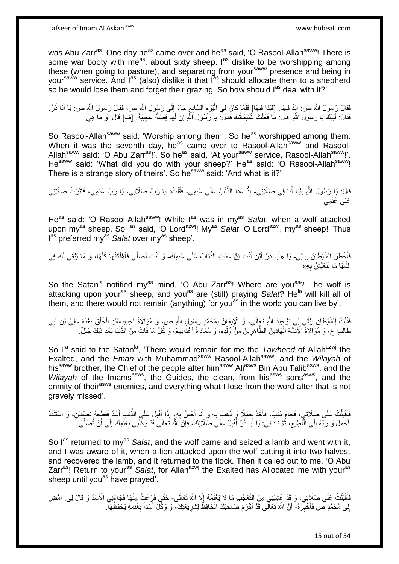Tafseer of Imam Al Askariasws www.hubeali.com

was Abu Zarr<sup>as</sup>. One day he<sup>as</sup> came over and he<sup>as</sup> said, 'O Rasool-Allah<sup>saww</sup>! There is some war booty with me<sup>as</sup>, about sixty sheep.  $I^{as}$  dislike to be worshipping among these (when going to pasture), and separating from your<sup>saww</sup> presence and being in yoursaww service. And last (also) dislike it that last should allocate them to a shepherd so he would lose them and forget their grazing. So how should l<sup>as</sup> deal with it?'

فَقَالَ رَسُولُ اللَّهِ ص: ايْدُ فِيهَا. [فَبَدَا فِيهَا] فَلَمَّا كَانَ فِي الْيَوْمِ السَّابِعِ جَاءَ إِلَى رَسُولِ اللَّهِ ص، فَقَالَ رَسُولُ اللَّهِ ص: يَا أَبَا ذَرٍّ. ∣∣<br>∶ ِ ِ ْ َ فَقَالَ: لَبَيْكَ يَا رَسُولَ اللَّهِ. قَالَ: مَا فَعَلَتْ غُنَيْمَاتُكَ فَقَالَ. يَا رَسُولَ اللَّهِ إِنَّ لَهَا قِصَنَّةً عَجِيبَةً. [فَ] قَالَ: وَ مَا هِيَ ِ

So Rasool-Allah<sup>saww</sup> said: 'Worship among them'. So he<sup>as</sup> worshipped among them. When it was the seventh day, he<sup>as</sup> came over to Rasool-Allah<sup>saww</sup> and Rasool-Allah<sup>saww</sup> said: 'O Abu Zarr<sup>as</sup>!'. So he<sup>as</sup> said, 'At your<sup>saww</sup> service, Rasool-Allah<sup>saww</sup>!'. He<sup>saww</sup> said: 'What did you do with your sheep?' He<sup>as</sup> said: 'O Rasool-Allah<sup>saww</sup>! There is a strange story of theirs'. So he<sup>saww</sup> said: 'And what is it?'

قَالَ: يَا ِرَسُولَ اللَّهِ بَيْنَا أَنَا فِي صَلَاتِي- إِذْ عَدَا الذِّئْبُ عَلَى غَنَمِي، فَقُلْتُ: يَا رَبِّ صَلَاتِي، يَا رَبِّ غَنَمِي، فَآثَرْتُ صَلَاتِي َ َ ْ **ٔ** عَلَى غَنَمِي

He<sup>as</sup> said: 'O Rasool-Allah<sup>saww</sup>! While l<sup>as</sup> was in my<sup>as</sup> Salat, when a wolf attacked upon my<sup>as</sup> sheep. So l<sup>as</sup> said, 'O Lord<sup>azwj</sup>! My<sup>as</sup> Salat! O Lord<sup>azwj</sup>, my<sup>as</sup> sheep!' Thus I<sup>as</sup> preferred my<sup>as</sup> Salat over my<sup>as</sup> sheep'.

فَأَخْطَرَ الشَّيْطَانُ بِبَالِي- يَا «أَبَا ذَرٍّ أَيْنَ أَنْتَ إِنْ عَدَتِ الذِّنَابُ عَلَى غَنَمِكَ- وَ أَنْتَ تُصَلِّي فَأَهْلَكَتْهَا كُلَّهَا، وَ مَا يَبْقَى لَكَ فِي **∣** َ ِ َ َ ِّ َ ه الْدُّنْيَا مَا تَتَعَيَّشُ بِهِ $\delta$ **∶** 

So the Satan<sup>la</sup> notified my<sup>as</sup> mind, 'O Abu Zarr<sup>as</sup>! Where are you<sup>as</sup>? The wolf is attacking upon your<sup>as</sup> sheep, and you<sup>as</sup> are (still) praying Salat? He<sup>la</sup> will kill all of them, and there would not remain (anything) for you<sup>as</sup> in the world you can live by'.

َفَقُلْتُ لِلشَّيْطَانِ يَبْقَى لِي تَوْجِيدُ اللَّهِ تَعَالَى، وَ الْإِيمَانُ بِمُحَمَّدٍ رَسُولِ اللَّهِ ص، وَ مُوَالاةُ أَخِيهِ سَيِّدِ الْخَلْقِ بَعْدَهُ عَلِيٍّ بْنِ أَبِي<br>فَقَلْتُ لِلشَّيْطَانِ يَبْقَى لِي تَوْجِيدُ َ ِ .<br>ا ْ ِ َ طَالِبِ عِ، وَ مُّوَالاَةُ الْأَئِمَّةِ الْهَادِينَ الطَّاهِرِينَ مِنْ وُلْدِهِ، َوَ مُعَادَاَةُ أَعْدَائِهِمْ، وَ كُلُّ مَا فَاتَ مِنَ الدُّنْيَا بَعْدَ ذَلِكَ جَلَلٌ. **∶** ْ ِ َ ْ

So I<sup>ra</sup> said to the Satan<sup>la</sup>, 'There would remain for me the *Tawheed* of Allah<sup>azwj</sup> the Exalted, and the *Eman* with Muhammad<sup>saww</sup> Rasool-Allah<sup>saww</sup>, and the *Wilayah* of Exanted, and the Ernan with warranning and the cost of the second the his<sup>saww</sup> brother, the Chief of the people after him<sup>saww</sup> Ali<sup>asws</sup> Bin Abu Talib<sup>asws</sup>, and the Wilayah of the Imams<sup>asws</sup>, the Guides, the clean, from his<sup>asws</sup> sons<sup>asws</sup>, and the enmity of their<sup>asws</sup> enemies, and everything what I lose from the word after that is not gravely missed'.

فَأَقْبَلْتُ عَلَى صَلَاتِي، فَجَاءَ ذِئْبٌ، فَأَخَذَ حَمَلًا وَ ذَهَبَ بِهِ وَ أَنَا أَحُسُّ بِهِ، إِذَا أَقْبَلَ عَلَيِ الذُّنْبِ أَسَدٌ فَقَطَعَهُ نِصْفَيْنِ، وَ اسْتَنْقَذَ َ **∶** َ ِ َ ْ َ َ الْحَمَلَ وَ رَدَّهُ إِلَى الْفَطِيعِ، ثُمَّ نَادَانِيَ: يَا أَبَا ذَرٍّ أَقْبِلْ عَلَى صَلَاتِكَ، فَإِنَّ اللَّهَ تَعَالَى قَدْ وَكَّلَنِي بِغَنَمِكَ إِلَى أَنْ تُصَلِّيَ ُ  $\zeta$ ֖֖֪֪֦֦֖֦֖֪֦֦֖֪֪֪֪֦֪֦֪֪֦֪֪֦֪֪֪֦֖֡֟֟֟֟֟֟֟֟֟֟֟֟֟֟֟֟֟֟֟֟֟֟֟֟֟֟֟֟֟֞֟֞֟֞֟֞֟֞֟֞֟֟֟֞֟֟֟֟ יִי<br>י ْ ِّ َ ِ ِ ∣ļ ِ َ َ

So l<sup>as</sup> returned to my<sup>as</sup> Salat, and the wolf came and seized a lamb and went with it, and I was aware of it, when a lion attacked upon the wolf cutting it into two halves, and recovered the lamb, and it returned to the flock. Then it called out to me, 'O Abu Zarras! Return to youras *Salat*, for Allahazwj the Exalted has Allocated me with youras sheep until you<sup>as</sup> have prayed'.

فَأَقْبَلْتُ عَلَى صَلَاتِي، وَ قَدْ غَشِيَنِي مِنَ النَّعَجُّبِ مَا لَا يَعْلَمُهُ إِلَّا اللَّهُ تَعَالَى- حَتَّي فَرَغْتُ مِنْهَا فَجَاءَنِي الْأَسَدُ وَ قَالَ لِي: امْضِ ¦<br>∶ ْ َ إِلَى مُحَمَّدٍ ص فَأَخْبِرْهُ- أَنَّ اللَّهَ تَعَالَى قَدْ أَكْرَمَ صَاحِبَكَ الْحَافِظُ لِشَرِيعَتِكَ، وَ وَكَّلَ أَسَداً بِغَنَمِهِ يَحْفَظُهَا ۖ. יִי<br>; ِ َ ِ َ ِ ْ َ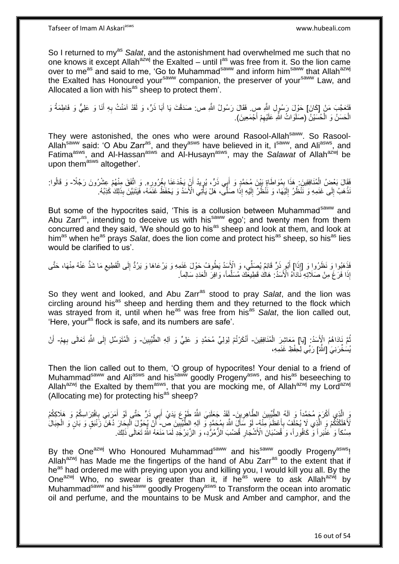So I returned to my<sup>as</sup> Salat, and the astonishment had overwhelmed me such that no one knows it except Allah<sup>azwj</sup> the Exalted – until l<sup>as</sup> was free from it. So the lion came over to me<sup>as</sup> and said to me, 'Go to Muhammad<sup>saww</sup> and inform him<sup>saww</sup> that Allah<sup>azwj</sup> the Exalted has Honoured your<sup>saww</sup> companion, the preserver of your<sup>saww</sup> Law, and Allocated a lion with his<sup>as</sup> sheep to protect them'.

فَتَعَجَّبَ مَنْ [كَانَ] حَوْلَ رَسُولِ اللَّهِ صِ. فَقَالَ رَسُولُ اللَّهِ ص: صَدَقْتَ يَا أَبَا ذَرٍّ، وَ لَقَدْ آمَنْتُ بِهِ أَنَا وَ عَلِيٍّ وَ فَاطِمَةُ وَ َ **∶** َ الْحَسَنُ وَ الْحُسَّيْنُ (صَلَوَاتُ اللَّهِ عَلَيْهِمْ أَجْمَعِينَ). ِ ْ ْ

They were astonished, the ones who were around Rasool-Allah<sup>saww</sup>. So Rasool-Allah<sup>saww</sup> said: 'O Abu Zarr<sup>as</sup>, and they<sup>asws</sup> have believed in it, I<sup>saww</sup>, and Ali<sup>asws</sup>, and Fatima<sup>asws</sup>, and Al-Hassan<sup>asws</sup> and Al-Husayn<sup>asws</sup>, may the *Salawat* of Allah<sup>azwj</sup> be upon them<sup>asws</sup> altogether'.

فَقَالَ بَعْضُ الْمُنَافِقِينَ: هَذَا بِمُوَاطَاةٍ بَيْنَ مُحَمَّدٍ وَ أَبِي ذَرٍّ، يُرِيدُ أَنْ يَخْدَعَنَا بِغُرُورِهِ. وَ اتَّفَقَ مِنْهُمْ عِشْرُونَ رَجُلًا- وَ قَالُوا: ¦ ِ َ ِ ِ ْ ُ َنْدَهَبُ إِلَى خَنَمِهِ وَ نَنْظُرُ إِلَيْهَا، وَ نَنْظُرُ إِلَيْهِ إِذَا صَلًّى، هَلْ يَأْتِي الْأَسَدُ وَ يَحْفَظُ غَنَمَهُ، فَيَتَبَيَّنَ بِذَلِكَ كَذِبُهُ. لَ ∣∣<br>∶ لَ  $\frac{1}{2}$  $\frac{1}{2}$ **ٔ** ِ ا<br>أا

But some of the hypocrites said, 'This is a collusion between Muhammad<sup>saww</sup> and Abu Zarr<sup>as</sup>, intending to deceive us with his<sup>saww</sup> ego'; and twenty men from them concurred and they said, 'We should go to his<sup>as</sup> sheep and look at them, and look at him<sup>as</sup> when he<sup>as</sup> prays *Salat*, does the lion come and protect his<sup>as</sup> sheep, so his<sup>as</sup> lies would be clarified to us'.

فَذَهَبُوا وَ نَظَرُوا وَ [إِذَا] أَبُو ذَرٍّ قَائِمٌ يُصَلِّي، وَ الْإِسَدُ يَطُوفُ حَوْلَ غَنَمِهِ وَ يَرْعَاهَا وَ يَرُدُّ إِلَى الْقَطِيعِ مَا شَذَّ عَنْهُ مِنْهَا، حَتَّى ِ ْ ِ َ إِذَا فَرَغَ مِنْ صَلَاتِهِ نَّادَاهُ الْأَسَدُ: هَاكُ قَطِيعَكَ مُسَلَّماً، وَافِرَ الْعَدَدِ سَالِماً. ْ

So they went and looked, and Abu Zarr<sup>as</sup> stood to pray Salat, and the lion was circling around his<sup>as</sup> sheep and herding them and they returned to the flock which was strayed from it, until when he<sup>as</sup> was free from his<sup>as</sup> *Salat*, the lion called out, 'Here, your<sup>as</sup> flock is safe, and its numbers are safe'.

ثُمَّ نَادَاهُمُ الْإِسَدُ: [يَا] مَعَاشِرَ الْمُنَافِقِينَ- أَنْكَرْتُمْ لِوَلِيِّ مُحَمَّدٍ وَ عَلِيٍّ وَ آلِهِ الطَّيِّبِينَ- وَ الْمُتَوَسِّلِ إِلَى اللَّهِ تَعَالَى بِهِمْ- أَنْ ْ ِ ِ ِ َ يُسَخِّرَنِيَ [اللَّهُ] رَبِّي لِحِفْظِ غَنَمِهِ،

Then the lion called out to them, 'O group of hypocrites! Your denial to a friend of Muhammad<sup>saww</sup> and Ali<sup>asws</sup> and his<sup>saww</sup> goodly Progeny<sup>asws</sup>, and his<sup>as</sup> beseeching to Allah<sup>azwj</sup> the Exalted by them<sup>asws</sup>, that you are mocking me, of Allah<sup>azwj</sup> my Lord<sup>azwj</sup> (Allocating me) for protecting his<sup>as</sup> sheep?

وَ الَّذِي أَكْرَمَ مُحَمَّداً وَ آلَهُ الطَّيِّبِينَ الطَّاهِرِينَ- أَقَدْ جَعَلَنِيَ اللَّهُ طَوْعٍ يَدَيْ أَبِي ذَرٍّ حَتَّى أَوْ أَمَرَنِي بِافْتِرَاسِكُمْ وَ هَلَاكِكُمْ<br>وَيَنَقُّلُ ِ ِ ِ َ َ لَأَهْلَكْتُكُمْ وَ الَّذِي لَا يُحْلَفُ بِأَعْظَمَ مِنْهُ لِوَ سَأَلَ اللَّهَ بِمُحَمَّدٍ وَ اللهِ الطَّيِّبِينَ ص- أَنْ يُحَوِّلَ الْبِحَانَ دُهْنَ زَنْبَقٍ وَ بَانٍ وَ الْجِبَالَ َ **∶** ِ ِ َ **∶** ْ ْ مِسْكاً وَ ٰعَنْْبَراً وَّ كَافُوراً، وَ َقُضْبَانَ الْأَشْجَارِ قُضُبَ الزُّمُرُّدِ، وَ الزَّبَرْجَدِ لَمَا مَنَعَهُ اللَّهُ تَعَالَى ذَلِكَ ِ

By the One<sup>azwj</sup> Who Honoured Muhammad<sup>saww</sup> and his<sup>saww</sup> goodly Progeny<sup>asws</sup>! Allah<sup>azwj</sup> has Made me the fingertips of the hand of Abu Zarr<sup>as</sup> to the extent that if he<sup>as</sup> had ordered me with preying upon you and killing you, I would kill you all. By the One<sup>azwj</sup> Who, no swear is greater than it, if he<sup>as</sup> were to ask Allah<sup>azwj</sup> by Muhammad<sup>saww</sup> and his<sup>saww</sup> goodly Progeny<sup>asws</sup> to Transform the ocean into aromatic oil and perfume, and the mountains to be Musk and Amber and camphor, and the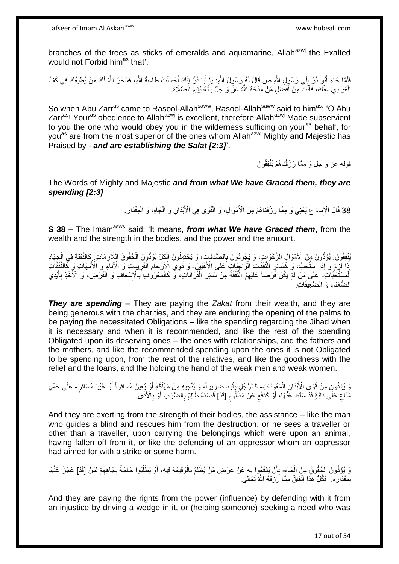branches of the trees as sticks of emeralds and aquamarine, Allah<sup>azwj</sup> the Exalted would not Forbid him<sup>as</sup> that'.

فَلَمَّا جَاءَ أَبُو ذَرٍّ إِلَى رَسُوِلِ اللَّهِ ص قَالَ لَهُ رَسُولُ اللَّهِ: يَا أَبَا ذَرٍّ إِنَّكَ أَحْسَنْتَ طَاعَةَ اللَّهِ، فَسَخَّرَ اللَّهُ لَكَ مَنْ يُطِيعُكَ فِي كَفِّ  $\frac{1}{2}$ َ َ ِ َ الْعَوَادِي عَنْكَ، فَأَنْتَ مِنْ أَفْضَلِ مَنْ مَدَحَهُ اللَّهُ عَزَّ وَ جَلَّ بِأَنَّهُ يُقِيمُ الصَّلَاةَ. َ ِ َ ة<br>أن ْ

So when Abu Zarr<sup>as</sup> came to Rasool-Allah<sup>saww</sup>, Rasool-Allah<sup>saww</sup> said to him<sup>as</sup>: 'O Abu Zarr<sup>as</sup>! Your<sup>as</sup> obedience to Allah<sup>azwj</sup> is excellent, therefore Allah<sup>azwj</sup> Made subservient to you the one who would obey you in the wilderness sufficing on your<sup>as</sup> behalf, for you<sup>as</sup> are from the most superior of the ones whom Allah<sup>azwj</sup> Mighty and Majestic has Praised by - *and are establishing the Salat [2:3]*'.

قولـه عز و جل وَ مِمَّا رَزَقْناهُمْ يُنْفِقُونَ

The Words of Mighty and Majestic *and from what We have Graced them, they are spending [2:3]*

> 38 قَالَ الْإِمَامُ ع يَعْنِي وَ مِمَّا رَزَقْناهُمْ مِنَ الْأَمْوَالِ، وَ الْقُوَى فِي الْأَبْدَانِ وَ الْجَاهِ، وَ الْمِقْدَارِ ْ ْ ْ

**S 38 –** The Imam<sup>asws</sup> said: 'It means, *from what We have Graced them*, from the wealth and the strength in the bodies, and the power and the amount.

يُنْفِقُونَ. يُؤَدُّونَ مِنَ الْأَمْوَالِ الزَّكَوَاتِ، وَ يَجُودُونَ بِالصِّدَقَاتِ، وَ يَحْتَمِلُونَ الْكِلَ يُؤَدُّونَ الْحُقُوقَ اللَّازِمَاتِ كِالنَّفَقَةِ فِي الْجِهَادِ ْ ِ ْ ِ ْ إِذَا ۚ اَذِاۤا اسْتُحِبَّ، وَ كَسَائِرِ النَّفَقَاتِ الْوَاجِبَاتِ عَلَى الْأَهْلِينَ- وَ ذَوِي الْأَرْجَامِ الْقَرِيبَاتِ وَ الْآبَاءِ وَ الْأُمَّهَاتِ وَ كَالنَّفَقَاتِ ِ ِ ْ ِ اَلْمُسْتَّخِبَّاتِ ۖ عَلَى مَنْ لَمْ يَكُنْ فَّرْضاً عَلَيْهِمْ النَّفَقَةُ مِنْ سَائِرِ الْقَرَابَاتِ، ۖ وَّ كَالْمَعْرُوطِ بِّالْإِسْعَافِ وَ الْقَرْضِ، وَ الْأُخْذِ بِأَيْدِي ِ ْ ْ **∶** َ **∶** ْ الضُّعَفَاءِ وَ الضَّعِيفَاتِ

*They are spending* – They are paying the *Zakat* from their wealth, and they are being generous with the charities, and they are enduring the opening of the palms to be paying the necessitated Obligations – like the spending regarding the Jihad when it is necessary and when it is recommended, and like the rest of the spending Obligated upon its deserving ones – the ones with relationships, and the fathers and the mothers, and like the recommended spending upon the ones it is not Obligated to be spending upon, from the rest of the relatives, and like the goodness with the relief and the loans, and the holding the hand of the weak men and weak women.

وَ يُؤَدُّونَ مِنْ قُوَى الْأَبْدَانِ الْمَعُوِنَاتِ كَالرَّجُلِ يَقُودُ ضَرِيراً، وَ يُنَّجِيهِ مِنْ مَهْلَكَةٍ أَوْ يُعِينُ مُسَافِراً أَوْ غَيْرَ مُسَافِرٍ- عَلَى حَمْلِ ْ َ ِ مَّتَاعٌ عَلَى دَابَّةٍ قَدْ سَقَطَ عَنْهَا، أَوْ كَدَفْع عَنْ مَظْلُومٌ [قَدْ] قَصَدَهُ ظَالِمٌ بِالضَّرْبِ أَوْ بِالْأَذَى ۖ ٍ َ ٍ **∶** َ ِ ٍ

And they are exerting from the strength of their bodies, the assistance – like the man who guides a blind and rescues him from the destruction, or he sees a traveller or other than a traveller, upon carrying the belongings which were upon an animal, having fallen off from it, or like the defending of an oppressor whom an oppressor had aimed for with a strike or some harm.

لَ يُؤَدُّونَ الْحُقُوقَ مِنَ الْجَاهِ- بِأَنْ يَدْفَعُوا بِهِ عَنْ عِرْضِ مَنْ يُظْلَمُ بِالْوَقِيعَةِ فِيهِ، أَوْ يَطْلُبُوا حَاجَةً بِجَاهِهِمْ لِمَنْ [قَدْ] عَجَزَ عَنْهَا ْ ِ ِ ا<br>ا َ ْ ِ **∶** اُ **∶** بِمِقْدَارِهِ. ۖ فَكُلُّ هَذَا إِنْفَاقٌ مِمَّا رَزَقَهُ اللَّهُ تَعَالَى ِ ِ ِ ِ

And they are paying the rights from the power (influence) by defending with it from an injustice by driving a wedge in it, or (helping someone) seeking a need who was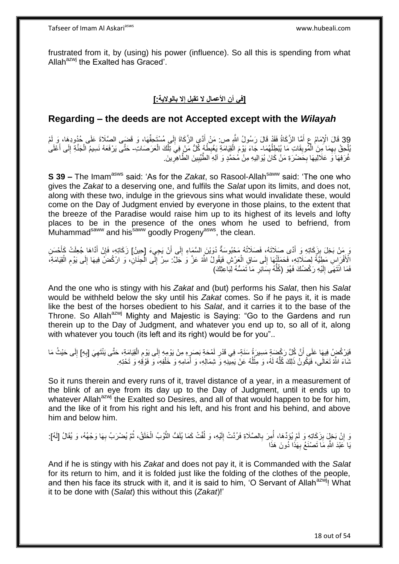frustrated from it, by (using) his power (influence). So all this is spending from what Allah<sup>azwj</sup> the Exalted has Graced'.

## **]في أن األعمال ال تقبل إال بالوالية:[**

## **Regarding – the deeds are not Accepted except with the** *Wilayah*

39 قَالَ الْإِمَامُ عِ أَمَّا الزَّكَاةُ فَقَدْ قَالَ رَسُولُ النَّهِ ص: مَنْ أَدَّى الزَّكَاةَ إِلَى مُسْتَحِقِّهَا، وَ قَضَى الصَّلَاةَ عَلَى حُدُودِهَا، وَ لَمْ<br>وَيَجْمَعُونَ مَسْتَمَرَّةً مِنْ الزَّمَاءُ وَاللَّهُ عَل ِ َ َ ُبْلُحِقٌ بِهِمَا مِنَ الْمُوبِقَاتِ مَا يُبْطِلُهُمَا- جَاءَ يَوْمَ الْقِيَامَةِ يَغْبِطُهُ كُلُّ مَنْ فِي تِلْكَ الْعَرَصَاتِ- حَتَّى يَرْفَعَهُ نَسِيمُ الْجَنَّةِ إِلَى أَعْلَى ُ **∣** ْ ِ ْ ْ ِ ْ َ ِ ْ غُرَفِهَا َوَ عَلاَلِيهَا بِحَضْرَةِ مَنْ كَانَ يُوَالِيهِ مِنْ مُحَمَّدٍ وَ آلِهِ الطَّّيِّبِينَ الطَّاهِرِّينَ ِ ِ ِ

**S 39 –** The Imam<sup>asws</sup> said: 'As for the *Zakat*, so Rasool-Allah<sup>saww</sup> said: 'The one who gives the *Zakat* to a deserving one, and fulfils the *Salat* upon its limits, and does not, along with these two, indulge in the grievous sins what would invalidate these, would come on the Day of Judgment envied by everyone in those plains, to the extent that the breeze of the Paradise would raise him up to its highest of its levels and lofty places to be in the presence of the ones whom he used to befriend, from Muhammad<sup>saww</sup> and his<sup>saww</sup> goodly Progeny<sup>asws</sup>, the clean.

وَ مَنْ بَخِلَ بِزَكَاتِهِ وَ أَدًّى صَلَاتَهُ، فَصَلَاتُهُ مَحْبُوسَةٌ دُوَيْنَ السَّمَاءِ إِلَى أَنْ يَجِيءَ [حينُ] زَكَاتِهِ، فَإِنْ أَدَاهَا جُعِلَتْ كَأَحْسَنِ ِ َ َ َ ِ الْأَفْرَاسِ مَطِيَّةً لِصَلَاتِهِ، فَحَمَلَتْهَا إِلَى سَاقِ الْعَرْشِ فَيَقُولُ اللَّهُ عَزَّ وَ جَلَّ: سِرْ إِلَّى الْجِنَانِ، وَ ارْكُضَّ فِيهَا إِلَى يَوْمِ الْقِيَامَةِ، ْ ∣∣<br>∶ ْ ِ ِ ا<br>ا ِ فَمَا انْتَهَى إِلَيْهِ رَكْضُكَ فَهُوَ (كُلُّهُ بِسَائِرٍ مَا َتَمَسُّهُ لِبَاعِثِكَ) **∶ ِ** ُّ لَ  $\frac{1}{2}$ 

And the one who is stingy with his *Zakat* and (but) performs his *Salat*, then his *Salat* would be withheld below the sky until his *Zakat* comes. So if he pays it, it is made like the best of the horses obedient to his *Salat*, and it carries it to the base of the Throne. So Allah<sup>azwj</sup> Mighty and Majestic is Saying: "Go to the Gardens and run therein up to the Day of Judgment, and whatever you end up to, so all of it, along with whatever you touch (its left and its right) would be for you"...

فَيَرْكُضٍۢ فِيهَا عَلَى أَنَّ كُلَّ رَكْضَةٍ مَسِيرَةُ سَنَةٍۦ فِي قَدْرِ لَمْحَةِ بَصَرٍهِ مِنْ يَوْمِهِ إِلَى يَوْمِ الْقِيَامَةِ، حَتَّى يَنْتَهِيَ [بِهِ] إِلَى حَيْثُ مَا اً ِ ِ ْ ِ ∣∣<br>∶ ِ لَ ِ ِ نَمَاءَ اللَّهُ تَعَالَى، فَيَكُونُ ذَلِكَ كُلُّهُ لَهُ، وَ مِثْلُهُ عَنْ يَمِينِهِ وَ شِمَالِهِ، وَ أَمَامِهِ وَ خَلْفِهِ، وَ فَوْقِهِ وَ تَحْتِهِ. ْ َ ا<br>ا **ٔ** ُّ

So it runs therein and every runs of it, travel distance of a year, in a measurement of the blink of an eye from its day up to the Day of Judgment, until it ends up to whatever Allah<sup>azwj</sup> the Exalted so Desires, and all of that would happen to be for him, and the like of it from his right and his left, and his front and his behind, and above him and below him.

#### وَ إِنْ بَخِلَ بِزَكَاتِهِ وَ لَمْ يُؤَدِّهَا، أُمِرَ بِالصَّلَاةِ فَرُدَّتْ إِلَيْهِ، وَ لُفَتْ كَمَا يُلَفُّ النُّوْبُ الْخَلَقُ، ثُمَّ يُضْرَبُ بِهَا وَجْهُهُ، وَ يُقَالُ [لَهُ]: **!**  ِ ه ا:<br>ا لَ ِ **∶** ا<br>ا ِ ُ ْ يَا عَبْدَ اللَّهِ مَا تَصْنَعُ بِهَذَا دُونَ هَذَا **∶**

And if he is stingy with his *Zakat* and does not pay it, it is Commanded with the *Salat* for its return to him, and it is folded just like the folding of the clothes of the people. and then his face its struck with it, and it is said to him. 'O Servant of Allah<sup>azwj</sup>! What it to be done with (*Salat*) this without this (*Zakat*)!'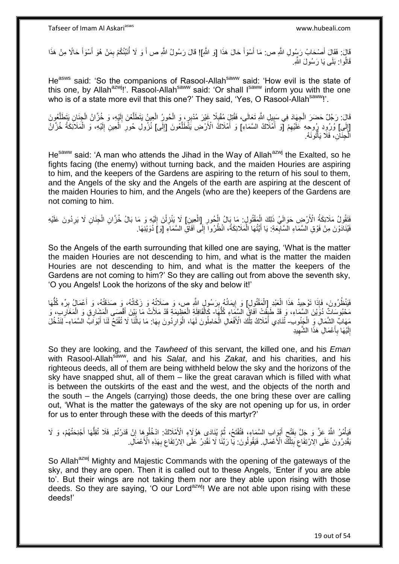قَالَ أَصْحَابُ رَسُولِ اللَّهِ ص: مَا أَسْوَأَ حَالَ هَذَا [وَ اللَّهِ]! قَالَ رَسُولُ اللَّهِ ص أَ وَ لَا أُنَبِّئُكُمْ بِمَنْ هُوَ أَسْوَأَ حَالًا مِنْ هَذَا َ َ َ َ َ ِ َ قَالُوا: بَلَى يَا رَسُولَ اللَّهِ.

He<sup>asws</sup> said: 'So the companions of Rasool-Allah<sup>saww</sup> said: 'How evil is the state of this one, by Allah<sup>azwj</sup>!'. Rasool-Allah<sup>saww</sup> said: 'Or shall Isaww inform you with the one who is of a state more evil that this one?' They said, 'Yes, O Rasool-Allah<sup>saww</sup>!'.

قَالَ: رَجُلٌ حَضَرَ الْجِهَادَ فِي سَبِيلِ اللَّهِ تَعَالَى، فَقُتِلَ مُقْبِلًا غَيْرَ مُدْبِرٍ، وَ الْحُورُ الْعِينُ يَتَطَلَّعُونَ إِلَيْهِ، وَ خُزَانُ الْجِنَانِ يَتَطَلَّعُونَ ه ْ ْ ֦֧<u>֓</u>  $\frac{1}{2}$ ه ْ لَ ِ [إِلَى] وُرُوِدِ رُوحِهِ عَلَيْهِمْ [ٓوَ أَمْلَاكُ السَّمَاءِ] وَ أَمْلاكُ الْأَرْضِ يَتَّطَلَّعُونَ [إِلَى] نُزُولِ حُورِ الْعِينِ إِلَيْهِ، وَ الْمَلَائِكَةُ خُزَّانٌ َ َ ِ لَ ِ ه ْ لَ ِ ْ ِ الَّجِنَانِ، فَلَا يَأْتُونَهُ. ْ ا<br>ا

He<sup>saww</sup> said: 'A man who attends the Jihad in the Way of Allah<sup>azwj</sup> the Exalted, so he fights facing (the enemy) without turning back, and the maiden Houries are aspiring to him, and the keepers of the Gardens are aspiring to the return of his soul to them, and the Angels of the sky and the Angels of the earth are aspiring at the descent of the maiden Houries to him, and the Angels (who are the) keepers of the Gardens are not coming to him.

نَقَوْلُ مَلَائِكَةُ الْأَرْضِ حَوَالَيْ ذَلِكَ الْمَقْتُولِ: مَا بَالُ الْجُورِ [الْعِينِ] لَا يَنْزِلْنَ إِلَيْهِ وَ مَا بَالُ خُزَانِ الْجِنَانِ لَا يَرِدُونَ عَلَيْهِ ْ ِ ْ ْ ِ ْ لَ ِ ْ **∶** فَيُذَادَوْنَ مِنْ فَوْقِ الْسَّمَاءِ الْسَّابِّعَةِ: يَا أَيَّتُهَا الْمَلَائِكَةُ، انْظُرُوا ۖ إِلَى اَفَاقِ السَّمَاءِ [وَ] دُوَيْنِهَا. ∣∣<br>∶ ْ َ **∶** 

So the Angels of the earth surrounding that killed one are saying, 'What is the matter the maiden Houries are not descending to him, and what is the matter the maiden Houries are not descending to him, and what is the matter the keepers of the Gardens are not coming to him?' So they are calling out from above the seventh sky, 'O you Angels! Look the horizons of the sky and below it!'

فَيَنْظُرُونَ، فَإِذَا تَوْحِيدُ هَذَا الْعَبْدِ [الْمَقْتُولِ] وَ إِيمَانُهُ بِرَسُولٍ اللَّهِ مِن، وَ صَلَاتُهُ وَ زَكَاتُهُ، وَ صَدَقَتُهُ، وَ أَعْمَالُ بِرِّهِ كُلُّهَا ْ ْ ُّ ِ َ ِ ِ مَحْبُوسَاتٌ دُوَّيْنَ الْسَّمَاءِ، وَ قَدْ طَبِقَتْ آفَاقُ الْسَّمَاءِ كُلُّهَا - كَالْقَافِلَةِ الْعَظِيمَةِ قَدْ مَلَأَتْ مَا بَيْنَ أَقْصَبَى الْمَشَارِقِ وَ الْمَغَارِبِ، وَ **↓** ُّ ْ ْ ِ ْ ْ َ مَهَابٌّ بِالشَّمَالِۖ وِّ الْجَنُوبِ ثَنَادِي أَمْلَاكُ تِلْكَ الْأَفْعَالِ الْحَامِلُونَ لَهَا، الْوَارِدُونَ بِهَا: مَا بَالْنَا لَا تُفْتَحُ لَنَا أَبْوَآبُ الْسَّمَاءِ- لِّنَدْخُلَ ْ ْ َ َ ُ ِ **∶** ْ إِلَيْهَا بِأَعْمَالِ هَذَا الشَّهِيدِ لَ יִי<br>; ِ َ ِ

So they are looking, and the *Tawheed* of this servant, the killed one, and his *Eman* with Rasool-Allah<sup>saww</sup>, and his *Salat*, and his *Zakat*, and his charities, and his righteous deeds, all of them are being withheld below the sky and the horizons of the sky have snapped shut, all of them – like the great caravan which is filled with what is between the outskirts of the east and the west, and the objects of the north and the south – the Angels (carrying) those deeds, the one bring these over are calling out, 'What is the matter the gateways of the sky are not opening up for us, in order for us to enter through these with the deeds of this martyr?'

فَيَأْمُرُ اللَّهُ عَزَّ وَ جَلَّ بِفَتْحٍ أَيْوِابِ السَّمَاءِ، فَتُفْتَحُ، ثُمَّ يُنَادَى هَوُلَاءِ الْأَمْلَاكُ: ادْخُلُوهِا إِنْ قَدَرْتُمْ. فَلَا تُقِلُّهَا أَجْنِحَتُهُمْ، وَ لَا ُ َ ِ **∣** ؗ<br>ؙ َ ُّ ِ ِنَقْدِرُونَ عَلَى الِاَرْتِفَاعِ بَنِلْكَ الْأَعْمَالِ. فَيَقُولُونَ: يَا رَبَّنَا لَا نَقْدِرُ عَلَى الِارْتِفَاعِ بِهَذِهِ الْأَعْمَالِ. **∶** ِ ْ ِ ِ

So Allah<sup>azwj</sup> Mighty and Majestic Commands with the opening of the gateways of the sky, and they are open. Then it is called out to these Angels, 'Enter if you are able to'. But their wings are not taking them nor are they able upon rising with those deeds. So they are saying, 'O our Lord<sup>azwj</sup>! We are not able upon rising with these deeds!'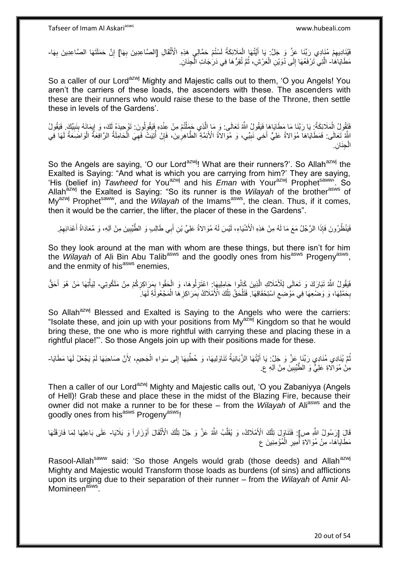فَيُنَاِدِيهِمْ مُنَادِي رَبِّنَا عَزَّ وَ جَلَّ: يَا أَيَّتُهَا الْمَلَائِكَةُ لَسْتُمْ حَمَّالِي هَذِهِ الْأَثْقَالِ [الصَّاعِدِينَ بِهَا] إِنَّ حَمَلَتَهَا الصَّاعِدِينَ بِهَا-**ٔ** لَ ْ َ ِ ِ ِ **∶** مَطَايَاهَا- الَّتِيَ تَرْفَعُهَا إِلَى دُوَيْنِ الْعَرْشِ، ثُمَّ تُقِرُّ هَا فِي دَرَجَاتِ الْجِذَانِ. ْ ُ ْ ِ ه

So a caller of our Lord<sup>azwj</sup> Mighty and Majestic calls out to them, 'O you Angels! You aren't the carriers of these loads, the ascenders with these. The ascenders with these are their runners who would raise these to the base of the Throne, then settle these in levels of the Gardens'.

فَتَقُولُ الْمَلَائِكَةُ: يَا رَبَّنَا مَا مَطَايَاهَا فَيَقُولُ اللَّهُ تَعَالَى: وَ مَا اِلَّذِي حَمَلْتُمْ مِنْ عِنْدِهِ فَيَقُولُونَ: تَوْحِيدَهُ لَكَ، وَ إِيمَانَهُ بِنَبِيِّكَ فَيَقُولُ ْ ه ْ ِ ِ ِ اللَّهُ تَعَالَى: فَمَطَآيَاهَا مُوَالاةُ عَلِيٍّ أَخِي نَبِيِّي، وَ مُوَالاَةُ الْأَئِمَّةِ الطَّاهِرِينَ، فَإِنْ أُتِيَتْ فَهِيَ الْحَامِلَةُ الرَّافِعَةُ الْوَاضَعَةُ لَهَا فِي ُ ِ ِ ِ لَ ْ ْ ِ الْجِنَانِ. ْ

So the Angels are saying, 'O our Lord<sup>azwj</sup>! What are their runners?'. So Allah<sup>azwj</sup> the Exalted is Saying: "And what is which you are carrying from him?' They are saying, 'His (belief in) *Tawheed* for Youazwj and his *Eman* with Yourazwj Prophetsaww'. So Allah<sup>azwj</sup> the Exalted is Saying: "So its runner is the *Wilayah* of the brother<sup>asws</sup> of My<sup>azwj</sup> Prophet<sup>saww</sup>, and the *Wilayah* of the Imams<sup>asws</sup>, the clean. Thus, if it comes, then it would be the carrier, the lifter, the placer of these in the Gardens".

فَيَنْظُرُونَ فَإِذَا الرَّجُلُ مَعَ مَا لَهُ مِنْ هَذِهِ الْأَشْيَاءِ، لَيْسَ لَهُ مُوَالاةُ عَلِيِّ بْنِ أَبِي طَالِبٍ وَ الطَّّيِّبِينَ مِنْ آلِهِ، وَ مُعَادَاةُ أَعْدَائِهِمْ. ِ َ ِ َ

So they look around at the man with whom are these things, but there isn't for him the *Wilayah* of Ali Bin Abu Talib<sup>asws</sup> and the goodly ones from his<sup>asws</sup> Progeny<sup>asws</sup>, and the enmity of his $^{asws}$  enemies.

فَيَقُولُ اللَّهُ تَبَارَكَ وَ تَعَالَى لِلْأَمْلَاكِ الَّذِينَ كَانُوا حَامِلِيهَا: اعْتَزِلُوهَا، وَ الْحَقُوا بِمَرَاكِزِكُمْ مِنْ مَلَكُوتِي- لِيَأْتِهَا مَنْ هُوَ أَحَقُّ ِ ِ ْ ِ ه َ **ٔ** حَفْلِهَا، وَ وَضْعِهَا فِي مَوْضِعِ اسْتِحْقَاقِهَا. فَتَلْحَقُ تِلْكَ الْأَمْلَاكُ بِمَرَاكِزِ هَا الْمَجْعُولَةِ لَمَهَا ْ ِ ِ ْ ْ ِ ِ

So Allah<sup>azwj</sup> Blessed and Exalted is Saying to the Angels who were the carriers: "Isolate these, and join up with your positions from My<sup>azwj</sup> Kingdom so that he would bring these, the one who is more rightful with carrying these and placing these in a rightful place!"'. So those Angels join up with their positions made for these.

نُّمَّ يُنَادِي مُنَادِي رَبِّنَا عَزَّ وَ جَلَّ: يَا أَيَّتُهَا الزَّبَانِيَةُ تَنَاوَلِيهَا، وَ حُطِّيهَا إِلى سَواءِ الْجَحِيمِ، لِأَنَّ صَاحِبَهَا لَمْ يَجْعَلْ لَهَا مَطَايَا-ِ َ ِ ْ َ مِنْ مُوَالَاةِ عَلِيٍّ وَ الطَّيِّبِينَ مِنْ آلِهِ ع **!** 

Then a caller of our Lord<sup>azwj</sup> Mighty and Majestic calls out, 'O you Zabaniyya (Angels of Hell)! Grab these and place these in the midst of the Blazing Fire, because their owner did not make a runner to be for these – from the *Wilayah* of Ali<sup>asws</sup> and the goodly ones from his<sup>asws</sup> Progeny<sup>asws!</sup>

قَالَِ [رَسُولُ اللَّهِ ص]: فَتَنَاوَلَ تِلْكَ الْأَمْلَاكُ، وَ يُقَلِّبُ اللَّهُ عَزَّ وَ جَلَّ تِلْكَ الْأَثْقَالَ أَوْزَاراً وَ بَلَايَا- عَلَى بَاعِثِهَا لِمَا فَارَقَتْهَا َ **ٔ** ْ ِّ ْ مَطَايَاۚهَا- مِنْ مُوَالاةِ أَمِيرِ الْمُؤْمِنِينَ ع ْ ِ َ

Rasool-Allah<sup>saww</sup> said: 'So those Angels would grab (those deeds) and Allah<sup>azwj</sup> Mighty and Majestic would Transform those loads as burdens (of sins) and afflictions upon its urging due to their separation of their runner – from the *Wilayah* of Amir Al-Momineen<sup>asws</sup>.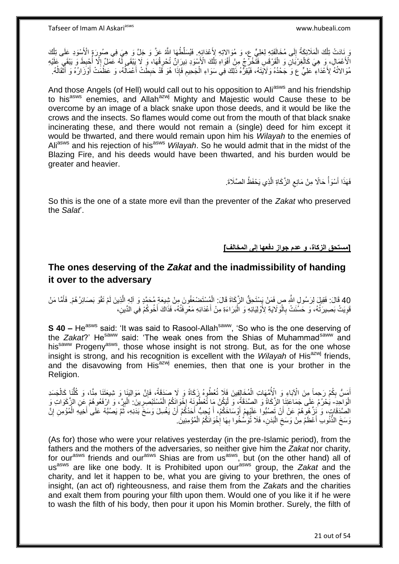ْ وَ نِادَتْ تِلْكَ الْمَلَائِكَةُ إِلَى مُخَالَفَتِهِ لِعَلِيٍّ ع، وَ مُوَاِلاتِهِ لِأَعْدَائِهِ. فَيُسَلِّطُهَا اللَّهُ عَزَّ وَ جَلَّ وَ هِيَ فِي صُورَةٍ الْأَسْوَدِ عَلَى تِلْكَ  $\frac{1}{2}$ ْ ْلَأَخْمَالِ، وَ هِيَ كَالْغِرْبَانِ وَ الْقَرْقَسِ فَتَّخْرُجُ مِنْ أَفْوَاهِ تِلْكَ الْأَسْوَدِ نِيرَانٌ تُحْرِفُهَا، وَ لَا يَبْقَى لَّهُ عَمَلٌ إِلَّا أُجْبِطَ وَ يَبْقَي عَلَيْهِ ْ ْ َ ِ :<br>ا ا<br>ا ِ مُوَالاتُهُ لِأَعْدَاءِ ۖ عَلِيٍّ ع وَ جَحْدُهُ وَلَاَيَتَهُ، فَيُقِرُّهُ ذَلِكَ فِي سَوَاءِ الْجَحِيمِ فَإِذَا هُوَ قَدْ حَبِطَتْ أَعْمَالُهُ، وَ عَظُمَتْ أَوْزَارُهُ وَ أَثْقَالُهُ. ِ ِ ْ ان<br>ا َ ُ َ ُ **ٔ** َ

And those Angels (of Hell) would call out to his opposition to Aliasws and his friendship to his<sup>asws</sup> enemies, and Allah<sup>azwj</sup> Mighty and Majestic would Cause these to be overcome by an image of a black snake upon those deeds, and it would be like the crows and the insects. So flames would come out from the mouth of that black snake incinerating these, and there would not remain a (single) deed for him except it would be thwarted, and there would remain upon him his *Wilayah* to the enemies of Ali<sup>asws</sup> and his rejection of his<sup>asws</sup> *Wilayah*. So he would admit that in the midst of the Blazing Fire, and his deeds would have been thwarted, and his burden would be greater and heavier.

> فَهَذَا أَسْوَأُ حَالًا مِنْ مَانِعِ الزَّكَاةِ الَّذِي يَحْفَظُ الصَّلَاةَ. ه  $\zeta$ المناطقي.<br>أحداث المناطقين المناطقين المناطقين المناطقين المناطقين المناطقين المناطقين المناطقين المناطقين المناطقين المناطقين<br>المناطقين المناطقين المناطقين المناطقين المناطقين المناطقين المناطقين المناطقين المناطقين المنا َ

So this is the one of a state more evil than the preventer of the *Zakat* who preserved the *Salat*'.

**]مستحق الزكاة، و عدم جواز دفعها إلى المخالف[**

# **The ones deserving of the** *Zakat* **and the inadmissibility of handing it over to the adversary**

40 قَالَ: فَقِيلَ لِرَسُولِ اللَّهِ ص ِفَمَنْ يَسْتَحِقُّ الزَّكَاةَ قَالَ: الْمُسْتَضْعَفُونَ مِنْ شِيعَةِ مُحَمَّدٍ وَ آلِهِ الَّذِينَ لَمْ تَقُو بَصَائِرُ هُمْ. فَأَمَّا مَنْ َ ه ْ قَوِيَتْ بَصِيرَتُهُ، وَ حَسُّنَتْ بِالْوَلَايَةِ لِأَوْلِيَائِهِ وَ الْبَرَاءَةِ مِنْ أَعْدَائِهِ مَعْرِفَتُهُ، فَذَاكَ أَخُوكُمْ فِي الدِّينِ، ْ ْ ِ ِ َ **ٍ** َ

**S 40 –** He<sup>asws</sup> said: 'It was said to Rasool-Allah<sup>saww</sup>, 'So who is the one deserving of the *Zakat*?' Hesaww said: 'The weak ones from the Shias of Muhammadsaww and his<sup>saww</sup> Progeny<sup>asws</sup>, those whose insight is not strong. But, as for the one whose insight is strong, and his recognition is excellent with the *Wilayah* of His<sup>azwj</sup> friends, and the disavowing from His $^{azwj}$  enemies, then that one is your brother in the Religion.

أَمَسُّ بِكُمْ رَحِماً مِنَ الْآبَاءِ وَ الْأُمَّهَاتِ الْمُخَالِفِينَ فَلَا تُعْطُوهُ زَكَاةً وَ لَا صَدَقَةً، فَإِنَّ مَوَالِيَنَا وَ شِيعَتَنَا مِنَّا، وَ كُلُّنَا كَالْجَسَدِ ِ ْ ْ ُّ ∣ļ الْوَاجِدِ- يُحْرُمُ عَلَى جَمَاعَتِنَا الزَّكَاةُ وَ الصَّدَقَةُ، وَ لْيَكُنْ مَا تُعْطُونَهُ إِخْوَانَكُمُ الْمُسْتَبْصَرِينَ ۚ الْبِرِّ ، وَ ارْفَعُوهُمْ عَنِ الزَّكَوَاتِ وَ :<br>ا :<br>ا ِ ْ **∶** ْ ¦<br>₹ الصَّدَقَاتِ، وَ نَزِّ هُو هُمْ عَنْ أَنْ تَصُبُّوا عَلَيْهِمْ أُوْسَاخَكُمْ، أَ يُحِبُّ أَحَدُكُمْ أَنْ يَغْسِلَ وَسَخَ بَدَنِهِ، ثَمَّ يَصُبَّهُ عَلَى أَخِيهِ الْمُؤْمِنِ إِنَّ اُ َ َ َ ِ َ ِ ْ َ ُ وَسَخَ الذُّنُوبِ أَعْظَمُ مِنْ وَسَخِ الْبَدَنِ، فَلَا تُوَسِّخُوا بِهَا إِخْوَانَكُمُ الْمُؤْمِنِينَ. ْ ¦<br>∶ **∶** ا.<br>ا  $\zeta$ َ

(As for) those who were your relatives yesterday (in the pre-Islamic period), from the fathers and the mothers of the adversaries, so neither give him the *Zakat* nor charity, for our<sup>asws</sup> friends and our<sup>asws</sup> Shias are from us<sup>asws</sup>, but (on the other hand) all of us<sup>asws</sup> are like one body. It is Prohibited upon our<sup>asws</sup> group, the Zakat and the charity, and let it happen to be, what you are giving to your brethren, the ones of insight, (an act of) righteousness, and raise them from the *Zakat*s and the charities and exalt them from pouring your filth upon them. Would one of you like it if he were to wash the filth of his body, then pour it upon his Momin brother. Surely, the filth of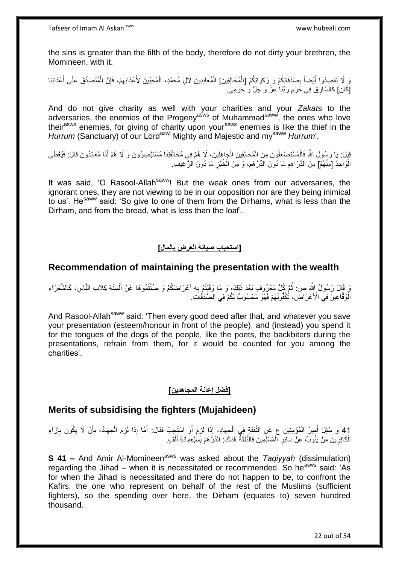the sins is greater than the filth of the body, therefore do not dirty your brethren, the Momineen, with it.

نَ لَا تَقْصِدُوا أَيْضاً بِصَدَقَاتِكُمْ وَ رِزَكَوَاتِكُمُ [الْمُخَالِفِينَ] الْمُعَانِدِينَ لِأَلِ مُحَمَّدٍ، الْمُحِبِّينَ لِأَعْدَائِهِمْ، فَإِنَّ الْمُتَصَدِّقَ عَلَى أَعْدَائِنَا ِ َ ْ َ ْ ِ ِ ْ ْ [كَانَ] كَالسَّارِ قِ فِي خَرَمِ رَبِّنَا عَزَّ وَ جَلَّ وَ حَرَمِي. ِ

And do not give charity as well with your charities and your *Zakat*s to the adversaries, the enemies of the Progeny<sup>asws</sup> of Muhammad<sup>saww</sup>, the ones who love theirasws enemies, for giving of charity upon yourasws enemies is like the thief in the *Hurrum* (Sanctuary) of our Lord<sup>azwj</sup> Mighty and Majestic and my<sup>saww</sup> *Hurrum*'.

قِيِلَ: يَا رَسُولَ اللَّهِ فَالْمُسْتَضْعَفُونَ مِنَ الْمُخَالِفِينَ الْجَاهِلِينَ، لَا هُمْ فِي مُخَالَفَتِنَا مُسْتَبْصِرُونَ وَ لَا هُمْ لَنَا مُعَانِدُونَ قَالَ: فَيُعْطَى ْ ْ ْ الْوَاحِدُ [مِنْهُمْ] مِنَ الذَّرَاهِمِ مَا دُونَ الدِّرْهَمِ، وَ مِنَ الْخُبْزِ مَا دُونَ الرَّغِيفِ. :<br>ا ِ ِ **∶** 

It was said, 'O Rasool-Allah<sup>saww</sup>! But the weak ones from our adversaries, the ignorant ones, they are not viewing to be in our opposition nor are they being inimical to us'. He<sup>saww</sup> said: 'So give to one of them from the Dirhams, what is less than the Dirham, and from the bread, what is less than the loaf'.

## **]استحباب صيانة العرض بالمال[**

## **Recommendation of maintaining the presentation with the wealth**

وَ قَالَ رَسُولُ اللَّهِ ص: ثُمَّ كُلُّ مَعْرُوفٍ بَعْدَ ذَلِكَ، وَ مَا وَقَيْتُمْ بِهِ أَعْرَاضَكُمْ وَ صُنْتُمُوهَا عَنْ أَلْسِنَةِ كِلَابِ النَّاسِ، كَالشُّعَرَاءِ ُ ْ َ َ ِ الْْوَقَّاعِينَ فِي الْأَعْرَاضِ، تُكُفُّونَهُمْ فَهْوَ مَحْسُوبٌ لَكُمْ فِي الْصَّدَقَاتِ.

And Rasool-Allah<sup>saww</sup> said: 'Then every good deed after that, and whatever you save your presentation (esteem/honour in front of the people), and (instead) you spend it for the tongues of the dogs of the people, like the poets, the backbiters during the presentations, refrain from them, for it would be counted for you among the charities'.

## **]فضل إعانة المجاهدين[**

## **Merits of subsidising the fighters (Mujahideen)**

41 وَ سُئِلَ أُمِيرُ الْمُؤْمِنِينَ عِ عَنِ النَّفَقَةِ فِي الْجِهَادِ- إِذَا لَزِمَ أَوِ اسْتُجِبَّ فَقَالَ: أَمَّا إِذَا لَزِمَ الْجِهَادُ- بِأَنْ لَا يَكُونَ بِإِزَاءِ<br>أَوَ الْجَمَادُ الْمُؤْمِنِينَ عَامِدُ الْمَشَرَّة ∣ٍ إ ِ َ ِ ْ َ ِ َ اُ :<br>:  $\frac{1}{2}$ ْ ْ َ الْكَافِرِينَ مَنْ يَنُوبُ عَنْ سَائِرِ ۖ الْمُسْلِمِينَ فَالنَّفَقَةُ هُنَاكَ: الدِّرَْهَمُ بِسَبْعِمِائَةِ أَلْفٍ. ْ َ ِ ْ ِ ِ ْ

**S 41 –** And Amir Al-Momineen<sup>asws</sup> was asked about the *Taqiyyah* (dissimulation) regarding the Jihad – when it is necessitated or recommended. So he<sup>asws</sup> said: 'As for when the Jihad is necessitated and there do not happen to be, to confront the Kafirs, the one who represent on behalf of the rest of the Muslims (sufficient fighters), so the spending over here, the Dirham (equates to) seven hundred thousand.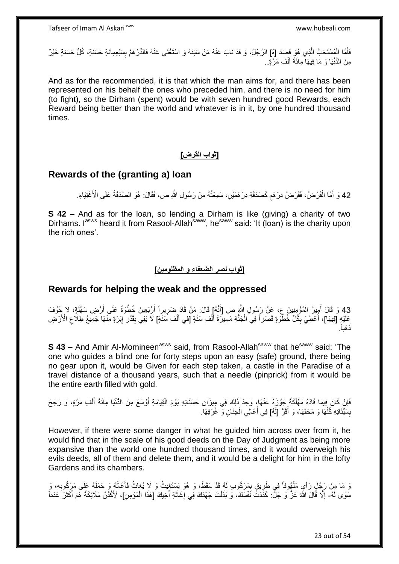فَأَمَّا الْمُسْتَحَبُّ الَّذِي هُوَ قَصَدَ [هُ] الرَّجُلُ، وَ قَدْ نَابَ عَنْهُ مَنْ سَبَقَهُ وَ اسْتَغْنَى عَنْهُ فَالدِّرْهَمُ بِسَبْعِمِائَةِ حَسَنَةٍ، كُلُّ حَسَنَةٍ خَيْرٌ ه ْ ِ مِنَ الْدُّنْيَا وَ مَا فِيهَا مِائَةَ أَلْفِ مَرَّةٍ <sub>.</sub> ْ َ

And as for the recommended, it is that which the man aims for, and there has been represented on his behalf the ones who preceded him, and there is no need for him (to fight), so the Dirham (spent) would be with seven hundred good Rewards, each Reward being better than the world and whatever is in it, by one hundred thousand times.

#### **]ثواب القرض[**

## **Rewards of the (granting a) loan**

42 وَ أَمَّا الْقَرْضُ، فَقَرْضُ دِرْهَمٍ كَصَدَقَةِ دِرْهَمَيْنِ، سَمِعْتُهُ مِنْ رَسُولِ اللَّهِ ص، فَقَالَ: هُوَ الصَّدَقَةُ عَلَى الْأَغْنِيَاءِ. ْ َ

**S 42 –** And as for the loan, so lending a Dirham is like (giving) a charity of two Dirhams. I<sup>asws</sup> heard it from Rasool-Allah<sup>saww</sup>, he<sup>saww</sup> said: 'It (loan) is the charity upon the rich ones'.

#### **]ثواب نصر الضعفاء و المظلومين[**

## **Rewards for helping the weak and the oppressed**

43 وَ قَالَ أَمِيرُ الْمُؤْمِنِينَ عِ، عَنْ رَسُولِ اللَّهِ ص [أَنَّهُ] قَالَ: مَنْ قَادَ ضَرِيرِ أَ أَرْبَعِينَ خُطْوَةً عَلَى أَرْضٍ سَهْلَةٍ، لَا خَوْفَ َ َ ه<br>:<br>: َ ْ َ ِفَلَيْهِ [فِيهَا]، أُعْطِيَ بِكُلِّ خُطْوَةٍ قَصْراً فِي الْجَذَّةِ مَسِيرَةَ أَلْفِ سَنَةٍ [فِي أَلْفِ مَننَةٍ] لَا يَفِي بِقَدْرِ ۚ إِبْرَةٍ مِنْهَا جَمِيعُ طِلَاعِ الْأَرْضِ **!** ْ َ ْ َ ْ ِ ا<br>ا ِ ِ ِ . َهباً ذَ

**S 43 –** And Amir Al-Momineen<sup>asws</sup> said, from Rasool-Allah<sup>saww</sup> that he<sup>saww</sup> said: 'The one who guides a blind one for forty steps upon an easy (safe) ground, there being no gear upon it, would be Given for each step taken, a castle in the Paradise of a travel distance of a thousand years, such that a needle (pinprick) from it would be the entire earth filled with gold.

فَإِنْ كَانَ فِيمَا قَادَهُ مَهْلَكَةٌ جَوَّزَهُ عَنْهَا، وَجَدَ ذَلِكَ فِي مِيزَانِ حَسَنَاتِهِ يَوْمَ الْقِيَامَةِ أَوْسَعَ مِنَ الدُّنْيَا مِائَةَ أَلْفِ مَرَّةٍ، وَ رَجَحَ َ ْ ِ ْ َ بِسَّيِّئَاتِهِ كُلِّهَا وَ مَحَقَهَا، وَ أَقَرَّ [لَهُ] فِي أَعَالِي الْجِنَانِ وَ غُرَفِهَاً. ِّ ْ َ

However, if there were some danger in what he guided him across over from it, he would find that in the scale of his good deeds on the Day of Judgment as being more expansive than the world one hundred thousand times, and it would overweigh his evils deeds, all of them and delete them, and it would be a delight for him in the lofty Gardens and its chambers.

وَ مَا مِنْ رَجُلٍ رَأَيٍ مَلْهُوفاً فِي طَرِيقٍ بِمَرْكُوبٍ لَهُ قَدْ سَقَطَ، وَ هُوَ يَسْتَغِيثُ وَ لَا يُغَاثُ فَأَغَاثَهُ وَ حَمَلَهُ عَلَى مَرْكُوبِهِ، وَ ِ ِ ْ **∶** َ َ سَوَّى لَهُ- إِلَّا قَالَ اللَّهُ عَزَّ وَ جَلٍّ: كَذَٰذَتَّ نَفْسَكَ، وَ بَذَلْتَ جُهْدَكَ فِي إِغَاثَةِ أَخِيكَ [هَذَا الْمُؤْمِنِ]، لَأَكْذَنَّ مَلَائِكَةً هُمْ أَكْثَرُ عَدَداً ْ َ َ ِ ْ ِ َ َ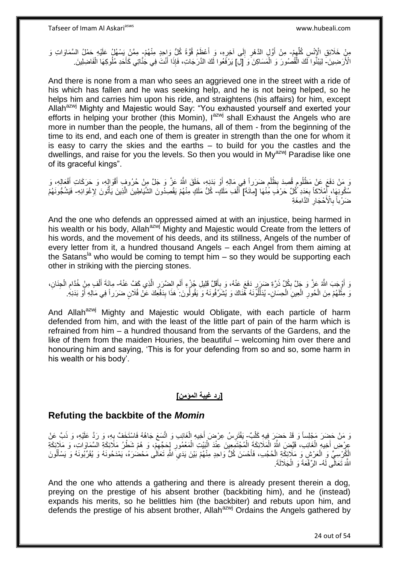مِنْ خَلَائِقِ الْإِنْسِ كُلِّهِمْ- مِنْ أَوَّلٍ الدَّهْرِ إِلَى آخِرِهِ، وَ أَعْظَمُ قُوَّةً كُلُّ وَاحِدٍ مِنْهُمْ- مِمَّنْ يَسْهُلُ عَلَيْهِ حَمْلُ السَّمَاوَاتِ وَ<br>فَي الْحَمَّالُ السَّمَاوَاتِ الْعَلَيْمِ  $\frac{1}{2}$ ِّ َ ِ  $\frac{1}{2}$ **∶** الْأَرَضِينَ- لِيَبْنُوا لَكَ الْقُصُورَ وَ الْمَسَاكِنَ وَ [لِّ] يَرْفَعُوا لَكَ الذَّرَجَاتِ، فَإِذَا أَنْتَ فِي جُنَّاتِي كَأَخَدِ مُلُوكِهَا الْفَاضِلِينَ ∣اٍ ْ ْ َ ْ َ

And there is none from a man who sees an aggrieved one in the street with a ride of his which has fallen and he was seeking help, and he is not being helped, so he helps him and carries him upon his ride, and straightens (his affairs) for him, except Allah<sup>azwj</sup> Mighty and Majestic would Say: "You exhausted yourself and exerted your efforts in helping your brother (this Momin),  $I^{azmj}$  shall Exhaust the Angels who are more in number than the people, the humans, all of them - from the beginning of the time to its end, and each one of them is greater in strength than the one for whom it is easy to carry the skies and the earths – to build for you the castles and the dwellings, and raise for you the levels. So then you would in  $My^{azwj}$  Paradise like one of its graceful kings".

َ َوَ مَنْ دَفَعَ عَنْ مَظْلُومٍ قُصِدَ بِظُلْمٍ ضَرَراً فِي مَالِهِ أَوْ بَدَنِهِ، خَلَقَ اللَّهُ عَزَّ وَ جَلَّ مِنْ حُرُوفٍ أَقْوَالِهِ، وَ حَرَكَاتِ أَفْعَالِهِ، وَ َ ٍ ْ ِ ٍ َ سُكُونِهَا، آَمْلَاكاً بِعَدَدِ كُلِّ حَرْفَ مِّنْهَا [مِاثَةَ] أَلْفِ مَلَكٍ كُلُّ مَلَكٍ مِنْهُمْ يَقْصِدُونَ الشَّيَاطِينَ الَّذِينَ يَأْتُونَ لِإِغْوَائِهِ- فَيَشُجُونَهُمْ َ ْ َ **∶** ֘֟֓֟֓֕׆֧ ه ضَرْباً بِالْأَحْجَارِ اَلذَّامِغَةِ **∶ ∶** 

And the one who defends an oppressed aimed at with an injustice, being harmed in his wealth or his body, Allah<sup>azwj</sup> Mighty and Majestic would Create from the letters of his words, and the movement of his deeds, and its stillness, Angels of the number of every letter from it, a hundred thousand Angels – each Angel from them aiming at the Satans<sup>la</sup> who would be coming to tempt him – so they would be supporting each other in striking with the piercing stones.

وَ أَوْجَبَ اللَّهُ عَزَّ وَ جَلَّ بِكُلٍّ ذَرَّةِ ضَرَرٍ دَفَعَ عَنْهُ، وَ بِأَقَلَّ قَلِيلِ جُزْءٍ أَلَمِ الضَّرَرِ الَّذِي كَفَّ عَنْهُ- مِائَةَ أَلْفٍ مِنْ خُدَّامِ الْجِنَانِ، ِ َ َ ِ ِ ه ِ ِ ْ َ ْ ِنَّ مِثْلَهُمْ مِنَ الْحُورِ الْعِينِ الْحِسَانِ- يُدَلِّلُوَّنَهُ هُٰنَاكَ وَ يُشَرِّقُونَهُ وَ يَقُولُونَ كَفَا بِدَفْعِكَ عَنْ فُلَانٍ ضَرَراً فِي مَالِهِ أَوْ بَدَنِهِ ۖ ْ ْ **∶** ْ لَ َ ِ

And Allah<sup>azwj</sup> Mighty and Majestic would Obligate, with each particle of harm defended from him, and with the least of the little part of pain of the harm which is refrained from him – a hundred thousand from the servants of the Gardens, and the like of them from the maiden Houries, the beautiful – welcoming him over there and honouring him and saying, 'This is for your defending from so and so, some harm in his wealth or his body'.

## **]رد غيبة المؤمن[**

## **Refuting the backbite of the** *Momin*

وَ مَنْ حَضِرَ مَجْلِساً وَ قَدْ حَضَرَ فِيهِ كَلْبٌ- يَفْتَرِسُ عِرْضَ أَخِيهِ الْغَائِبِ وَ اتَّسَعَ جَاهُهُ فَاسْتَخِفَّ بِهِ، وَ رَدَّ عَلَيْهِ، وَ ذَبَّ عَنْ ْ ْ َ ِ ِ عِرْضِ أَخِيهِ الْغَائِبِ، قَيَّضَ اللَّهُ الْمَلَائِكَةَ الْمُجْتَمِعِينَ عِنْدَ الْبَيْتِ الْمَعْمُورِ لِحَجِّهِمْ، وَ هُمْ شَطْرُ مَلَائِكَةِ السَّمَاوَاتِ، وَ مَلَإِئِكَةِ ِ **∶** ْ ْ ْ ْ ْ الْمُِرْسِيِّ وَ الْعَرْشِ وَ مَلَإِئِكَةِ الْحُجُبِ، فَأَحْسَنَ كُلُّ وَاحِدٍ مِنْهُمْ بَيْنَ يَدَيِ اللَّهِ تَعَالَى مَحْضَرَهُ، يَمْدَحُونَهُ وَ يُقَرِّبُونَهُ وَ يَسْأَلُونَ  $\ddot{\phantom{0}}$ َ ْ ْ ُ َ اللَّهَ تَعَالَّى لَهُ- الرِّفْعَةَ وَ الْجَلَالَةَ. ْ

And the one who attends a gathering and there is already present therein a dog, preying on the prestige of his absent brother (backbiting him), and he (instead) expands his merits, so he belittles him (the backbiter) and rebuts upon him, and defends the prestige of his absent brother, Allah<sup>azwj</sup> Ordains the Angels gathered by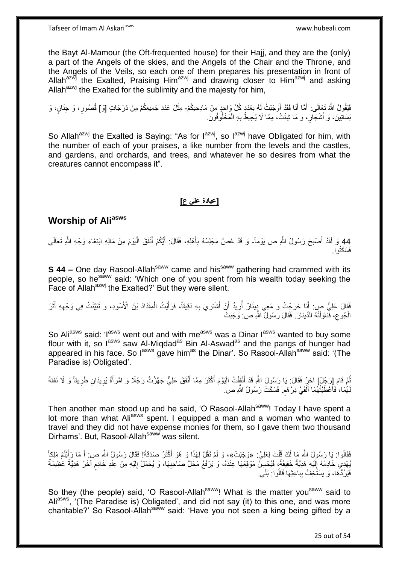the Bayt Al-Mamour (the Oft-frequented house) for their Hajj, and they are the (only) a part of the Angels of the skies, and the Angels of the Chair and the Throne, and the Angels of the Veils, so each one of them prepares his presentation in front of Allah $a^{ax\overline{w}}$  the Exalted, Praising Him<sup>azwj</sup> and drawing closer to Him<sup>azwj</sup> and asking Allah $a^{2x}$  the Exalted for the sublimity and the majesty for him.

فَيَقُولُ اللَّهُ تَعِالَى: أَمَّا أَنَا فَقَدْ أَوْجَنْتُ لَهُ بِعَدَدٍۭ كُلِّ وَاحِدٍ مِنْ مَادِحِيكُمْ- مِثْلَ عَدَدِ جَمِيعِكُمْ مِنْ دَرَجَاتٍ [وَ] قُصُورٍ، وَ حِنَانٍ، وَ **∶** َ َ َ ُسَاتِينَ، وَ أَشْجَارٍ، وَ مَا شِئْتُ، مِمَّا لَا يُحِيطُ بِهِ الْمَخْلُوفُونَ. ْ ِ َ

So Allah<sup>azwj</sup> the Exalted is Saying: "As for  $I^{azwj}$ , so  $I^{azwj}$  have Obligated for him, with the number of each of your praises, a like number from the levels and the castles, and gardens, and orchards, and trees, and whatever he so desires from what the creatures cannot encompass it".

## **]عبادة علي ع[**

# **Worship of Aliasws**

44 وَ لَقَدْ أَصْبَحَ رَسُولُ اللَّهِ ص يَوْماً- وَ قَدْ غَصَّ مَجْلِسُهُ بِأَهْلِهِ، فَقَالَ: أَيُّكُمْ أَنْفَقَ الْيَوْمَ مِنْ مَالِهِ ابْتِغَاءَ وَجْهِ اللَّهِ تَعَالَى ْ **ٔ** َ َ َ ِ َ فَسَكَتُوا.

**S 44 –** One day Rasool-Allah<sup>saww</sup> came and his<sup>saww</sup> gathering had crammed with its people, so he<sup>saww</sup> said: 'Which one of you spent from his wealth today seeking the Face of Allah<sup>azwj</sup> the Exalted?' But they were silent.

فَقَالَ عَلِيٌّ صِ: أَنَا خَرَجْتُ وَ مَعِي دِينَارٌ أُرِيدُ أَنْ أَشْتَرِيَ بِهِ دَقِيقاً، فَرَأَيْتُ الْمِقْدَادَ بْنَ الْأَسْوَدِ، وَ تَبَيَّنْتُ فِي وَجْهِهِ أَثَرَ َ َ َ ِ ْ َ **∶** ِ َ اُ ِ ُ الْجُوعِ، فَّنَاوَلْتُهُ الدِّينَارَ . فَقَالَ رَسُولُ اللَّهِ ص: وَجَبَتْ ֺ֦֧֦֦֧֦֧֦֦֧֦֧֦֪֦֧֦֪֦֪֦֪֦֪֦֪֦֧֦֪֦֪֪֦֪֪֦֝֟֟֟֟֟֟֟֟֟֟֟֟֟֟֟֟֟֟֟֟֟֓֟֟֟֓֟֓֟֓֕֟֓֟֓֟֓֟֓֟֓֟֟֓֟֟֓֟֟֟֟֟֟֟֟ ِ ْ

So Ali<sup>asws</sup> said: 'I<sup>asws</sup> went out and with me<sup>asws</sup> was a Dinar I<sup>asws</sup> wanted to buy some flour with it, so l<sup>asws</sup> saw Al-Miqdad<sup>as</sup> Bin Al-Aswad<sup>as</sup> and the pangs of hunger had appeared in his face. So l<sup>asws</sup> gave him<sup>as</sup> the Dinar'. So Rasool-Allah<sup>saww</sup> said: '(The Paradise is) Obligated'.

ثُمَّ قَامَ إِرَجُلٌ] آخَرُ فَقَالَ: يَا رَسُولَ اللَّهِ قَدْ أَنْفَقْتُ الْيَوْمَ أَكْثَرَ مِمَّا أَنْفَقَ عَلِيٌّ جَهَّزْتُ رَجُلًا وَ امْرَأَةً يُرِيدَانِ طَرِيقاً وَ لَا نَفَقَةَ ُ ِ َ َ َ َ ْ َ ِ لَهُمَا، فَأَعْطَيْتُهُمَا أَلْفَيْ دِرْهَم. فَسَكَتَ رَسُولُ اللَّهِ ص. ْ َ َ ٍ

Then another man stood up and he said, 'O Rasool-Allah<sup>saww</sup>! Today I have spent a lot more than what Ali<sup>asws</sup> spent. I equipped a man and a woman who wanted to travel and they did not have expense monies for them, so I gave them two thousand Dirhams'. But, Rasool-Allahsaww was silent.

فَقَالُوا: يَا رَسُولَ اللَّهِ مَا لَكَ قُلْتَ لِعَلِيٍّ: «وَجَبَتْ»، وَ لَمْ تَقُلْ لِهَذَا وَ هُوَ أَكْثَرُ صَدَقَةً! فَقَالَ رَسُولُ اللَّهِ ص: أَ مَا رَأَيْتُمْ مَلِكاً ْ َ َ َ بُهْدِي خَادِمُهُ إِلَيْهِ هَدِيَّةً خَفِيفَةً، فَيُحْسِنُ مَوْقِعَهَا عِنْدَهُ، وَ يَرْفَعُ مَحَلَّ صَاحِبِهَا، وَ يُحْمَلُ إِلَيْهِ مِنْ عِنْدِ خَادِم آخَرَ هَدِيَّةٌ عَظِيمَةٌ لَ  $\frac{1}{2}$ م لَ ِ ِ فَيَرُدُّهَا، وَ يَسْتَخِفُّ بِبَاعِثِهَا قَالُوا: بَلَى ِ

So they (the people) said, 'O Rasool-Allah<sup>saww</sup>! What is the matter you<sup>saww</sup> said to Ali<sup>asws</sup>, '(The Paradise is) Obligated', and did not say (it) to this one, and was more charitable?' So Rasool-Allah<sup>saww</sup> said: 'Have you not seen a king being gifted by a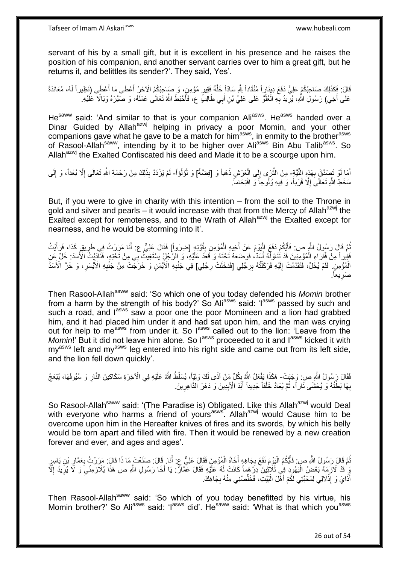servant of his by a small gift, but it is excellent in his presence and he raises the position of his companion, and another servant carries over to him a great gift, but he returns it, and belittles its sender?'. They said, Yes'.

قَالَ: فَكَذَلِكَ صَاحِبُكُمْ عَلِيٌّ دَفَعَ دِينَاراً مُنْقَاداً بِلَّهِ سَادّاً خَلَّةً فَقِيرٍ مُؤْمِنٍ، وَ صَاحِبُكُمُ الْأَخَرُ أَعْطَى مَا أَعْطَى (نَظِيراً لَهُ، مُعَانَدَةً لَ َ َ عَلَى أَخِي) رَسُولِ اللَّهِ، يُرِّيدُ بِّهِ الْعُلُوَّ عَلَى عَلِيِّ بْنِ أَبِي طَالِبٍّ ع، فَأُحْبَطَ اللَّهُ تَعَالَى عَمَلَهُ، وَ صَيَّرَهُ وَبَالًا عَلَيْهِ. َ َ ا:<br>ا ْ **∶ ∶** َ

He<sup>saww</sup> said: 'And similar to that is your companion Ali<sup>asws</sup>. He<sup>asws</sup> handed over a Dinar Guided by Allah<sup>azwj</sup> helping in privacy a poor Momin, and your other companions gave what he gave to be a match for him<sup>asws</sup>, in enmity to the brother<sup>asws</sup> of Rasool-Allah<sup>saww</sup>, intending by it to be higher over Ali<sup>asws</sup> Bin Abu Talib<sup>asws</sup>. So Allah<sup>azwj</sup> the Exalted Confiscated his deed and Made it to be a scourge upon him.

أَمَا لَوْ تَصِدَّقَ بِهَذِهِ النَّيَّةِ- مِنَ الثَّرَى إِلَى الْعَرْشِ ذَهَباً وَ [فِضَّةً] وَ لُؤُلُواً- لَمْ يَزْدَدْ بِذَلِكَ مِنْ رَحْمَةِ اللَّهِ تَعَالَى إِلَّا بُعْداً، وَ إِلَى ِ َ ُ ْ ِ ه لَ ِ ِ سَخَطِ اللَّهِ تَعَالَىَ إِلَّا قُرْباً، وَ فِيهِ وُلُوجاً وَ اقْتِحَاماً. ِ

But, if you were to give in charity with this intention – from the soil to the Throne in gold and silver and pearls – it would increase with that from the Mercy of Allah<sup>azwj</sup> the Exalted except for remoteness, and to the Wrath of Allah<sup>azwj</sup> the Exalted except for nearness, and he would be storming into it'.

ثُمَّ قَالَ رَسُولُ اللَّهِ ص: فَأَيَّكُمْ دَفَعَ الْيَوْمَ عَنْ أَخِيهِ الْمُؤْمِنِ بِقُوَّتِهِ [ضررواً] فَقَالَ عَلِيٌّ ع: أَنَا مَرَرْتُ فِي طَرِيقٍ كَذَا، فَرَأَيْتُ ِ ْ َ ا<br>ا ا َ ِ َ فَقِرِراً مِنْ فُقِّرَاءِ الْمُؤْمِنِينَ قَدْ تُنَاوَلِّهُ أَسَدٌّ، فَوَضَعَهُ تَحْتَهُ وَ قَعَدَ عَلَيْهِ، وَ الرَّجُلُ يَسْتَغِيثُ بِي مِنْ تَحْتِهِ، فَثَلَّذَبِنَّ الْأَسَدَ: خَلِّ عَنِ اُ ْ الْمُؤْمِنِ ۖ فَلَمْ يُخَلِّ، فَتَقَدَّمْتُ إِلَيْهِ فَرَكَلْتُهُ بِرِجْلِي [فَدَخَلَتْ رِجْلِي] فِي جَنْبِهِ الْأَيْمَنِ وَ خَرَجَتْتْ مِنْ جَنْبِهِ الْأَيْسَرِ، وَ خَرَّ الْأَسَدِّ ِ ِ ֺ֦֦֪֦֧֦֦֖֦֦֪֦֧֦֪֦֧֦֪֪֦֧֦֪֦֪֪֦֧֦֪֦֧֦֧֦֪֦֧֦֧֦֪֪֦֧֪֦֧֪֦֧֦֧֦֧֝֟֟֟֟֟֟֟֟֟֟֟֟֟֟֟֟֟֟֟֟֟֟֓֕֬֟֓֡֟֓֟֓֞֟֟֓֞֟֟֟֟֟֟֟֩֓֞֟֟֟֟֟֟ لَ  $\frac{1}{2}$ ِ **∶ ∶** صَرِيعاً. ِ

Then Rasool-Allah<sup>saww</sup> said: 'So which one of you today defended his *Momin* brother from a harm by the strength of his body?' So Aliasws said: 'lasws passed by such and such a road, and l<sup>asws</sup> saw a poor one the poor Momineen and a lion had grabbed him, and it had placed him under it and had sat upon him, and the man was crying out for help to me<sup>asws</sup> from under it. So l<sup>asws</sup> called out to the lion: 'Leave from the *Momin*!' But it did not leave him alone. So l<sup>asws</sup> proceeded to it and l<sup>asws</sup> kicked it with  $my<sup>asws</sup>$  left and my<sup>asws</sup> leg entered into his right side and came out from its left side, and the lion fell down quickly'.

فَقَالَ رَسُولُ اللَّهِ ص: وَجَبَتْ- هَكَذَا يَفْعَلُ اللَّهُ بِكُلِّ مَنْ آذَى لَكَ وَلِيِّاً، يُسَلِّطُ اللَّهُ عَلَيْهِ فِي الْآخِرَةِ سَكَاكِينَ النَّارِ وَ سُيُوفَهَا، يُبْعَجُ ِ ِ بِهَا بَطْنُهُ وَ يُحْشَى نَاراً، ثُمَّ يُعَادُ خَلْقاً جَدِيداً أَبَدَ الْأَبِدِينَ وَ دَهْرَ الذَّاهِرِينَ. **∶** ِ َ :<br>ا ا<br>ا ِ

So Rasool-Allah<sup>saww</sup> said: '(The Paradise is) Obligated. Like this Allah<sup>azwj</sup> would Deal with everyone who harms a friend of yours<sup>asws</sup>. Allah<sup>azwj</sup> would Cause him to be overcome upon him in the Hereafter knives of fires and its swords, by which his belly would be torn apart and filled with fire. Then it would be renewed by a new creation forever and ever, and ages and ages'.

نُّمَّ قَالَ رَسُولُ اللَّهِ صِ: فَأَيَّكُمُ الْيَوْمَ نَفَعَ بِجَاهِهٍ أَخَاهُ الْمُؤْمِنَ فَقَالَ عَلِيٌّ عِ. أَنَا. قَالَ: صَنَعْتَ مَا ذَا قَالَ: مَرَرْتُ بِعَمَّارِ بْنِ يَاسِرٍ َ ْ َ ِ ا.<br>إ ا ُ ِ ِ يَٰ قَدْ لَازَمَهُ بَعْضُ الْيَهُودِ فِي ثَلاَثِينَ دِرْ هَماً كَانَتْ لَهُ عَلَيْهِ فَقَالَ عَمَّالٌ: يَا أَخَا رَسُولِ اللَّهِ ص هَذَا يُلَازمِنُيَ وَ لَا يُرِيدُ إِلَّا َ ا<br>ا ِ ِ ِ **∶** أَذَايَ وَ إِذْلَالِي لِمَحَبَّتِي لَكُمْ أَهْلَ الْبَيْتِ، فَخَلِّصْنِي مِنْهُ بِجَاهِكَ. ِّ :<br>ا َ **ٔ** َ

Then Rasool-Allah<sup>saww</sup> said: 'So which of you today benefitted by his virtue, his Momin brother?' So Aliasws said: 'Iasws did'. He<sup>saww</sup> said: 'What is that which you<sup>asws</sup>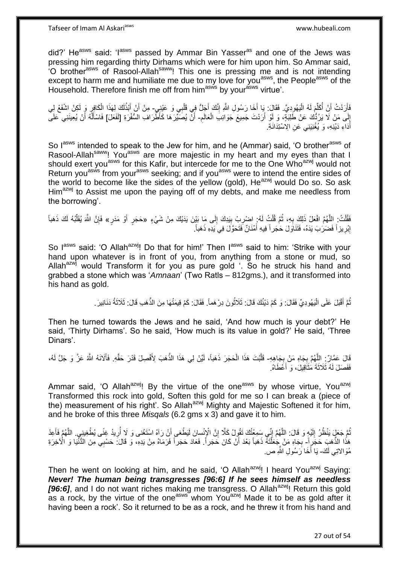Tafseer of Imam Al Askariasws www.hubeali.com

did?' He<sup>asws</sup> said: 'I<sup>asws</sup> passed by Ammar Bin Yasser<sup>as</sup> and one of the Jews was pressing him regarding thirty Dirhams which were for him upon him. So Ammar said, 'O brother<sup>asws</sup> of Rasool-Allah<sup>saww</sup>! This one is pressing me and is not intending except to harm me and humiliate me due to my love for you<sup>asws</sup>, the People<sup>asws</sup> of the Household. Therefore finish me off from him<sup>asws</sup> by your<sup>asws</sup> virtue'.

فَأَرَدْتُ أَنْ أُكَلِّمَ لَهُ الْيَهُودِيَّ. فَقَالَ: يَا أَخَا رَسُولِ اللَّهِ إِنَّكَ أَجَلُّ فِي قَلْبِي وَ عَيْنِيٍ- مِنْ أَنْ أَبْذُلَكَ لِهَذَا الْكَافِرِ وَ لَكِنْ اِشْفَعْ لِي :<br>ا ِّ ُ َ ْ َ ِ َ لَ َ ِ ْ ِ إِلَى مَنْ لَا يَرُدُّكَ عَنْ طَلِبَةٍ، وَ لَوْ أَرَدْتَ جَمِيعَ جَوَانِبَ الْعَالَم- أَنَّ يُصَبِّرَهَا كَأَطَّرَافِ السُّفْرَةِ [لَفَعَلَ] فَاسْأَلَّهُ أَنْ يُعِينَنِي عَلَى ْ اُ ِ ا َ ْ Í أَدَاءِ دَيْنِهِ، وَ يُغْنِيَنِي عَنِ الِاسْتِدَانَةِ. َ

So lasws intended to speak to the Jew for him, and he (Ammar) said, 'O brother<sup>asws</sup> of Rasool-Allah<sup>saww</sup>! You<sup>asws</sup> are more majestic in my heart and my eyes than that I should exert you<sup>asws</sup> for this Kafir, but intercede for me to the One Who<sup>azwj</sup> would not Return you<sup>asws</sup> from your<sup>asws</sup> seeking; and if you<sup>asws</sup> were to intend the entire sides of the world to become like the sides of the yellow (gold),  $He^{azwj}$  would Do so. So ask Him<sup>azwj</sup> to Assist me upon the paying off of my debts, and make me needless from the borrowing'.

فَقُلْتُ. اللَّهُمَّ افْعَلْ ذَلِكَ بِهِ، ثُمَّ قُلْتُ لَهُ ٖ اِضْرِبْ بِبَدِكَ إِلَى مَا بَيْنَ يَدَيْكَ مِنْ شَيْءٍ «حَجَرٍ أَوْ مَدَرٍ» فَإِنَّ الثَّمَ يُقَلِّبُهُ لَكَ ذَهَباً ِ ِ ِ ْ .<br>• • • • ِ ه .<br>ا َ ِّ ∣ٍ إِبْرِيزاً فَضَرَبَ يَدَهُ، فَتَنَاوَلَ حَجَراً فِيهِ أَمْنَانٌ فَتَحَوَّلَ فِيَ يَدِهِ ذَهَباً. َ **∶** ِ

So lasws said: 'O Allah<sup>azwj</sup>! Do that for him!' Then lasws said to him: 'Strike with your hand upon whatever is in front of you, from anything from a stone or mud, so Allah<sup>azwj</sup> would Transform it for you as pure gold '. So he struck his hand and grabbed a stone which was '*Amnaan*' (Two Ratls – 812gms.), and it transformed into his hand as gold.

> ُّمَّ أَقْبَلَ عَلَى الْيَهُودِيِّ فَقَالَ: وَ كَمْ دَيْنُكَ قَالَ: ثَلَاثُونَ دِرْهَماً. فَقَالَ: كَمْ قِيمَتُهَا مِنَ الذَّهَبِ قَالَ: ثَلَاثَةُ دَنَانِيرَ . ر دی با معامل است.<br>ا ا<br>ا َ ُ َ

Then he turned towards the Jews and he said, 'And how much is your debt?' He said, 'Thirty Dirhams'. So he said, 'How much is its value in gold?' He said, 'Three Dinars'.

قَالَ عَمَّالٌ: اللَّهُمَّ بِجَاهِ مَنْ بِجَاهِهِ- قَلَّبْتَ هَذَا الْحَجَرَ ذَهَباً، لَيِّنْ لِي هَذَا الذَّهَبَ لِأَفْصِلَ قَدْرَ حَقِّهِ. فَأَلَانَهُ اللَّهُ عَزَّ وَ جَلَّ لَهُ، **∶ ∶** ْ ا<br>ا فَفَصَلَ لَهُ ثَلَاثَةَ مَثَاَقِيلَ، وَ أَعْطَاهُ اً<br>ا َ

Ammar said, 'O Allah<sup>azwj</sup>! By the virtue of the one<sup>asws</sup> by whose virtue, You<sup>azwj</sup> Transformed this rock into gold, Soften this gold for me so I can break a (piece of the) measurement of his right'. So Allah<sup>azwj</sup> Mighty and Majestic Softened it for him, and he broke of this three *Misqals* (6.2 gms x 3) and gave it to him.

نُّتَم جَعَلٍ يَنْظُنُ إِلَيْهٍ وَ قَالَ: اللَّهُمَّ إِنِّي سَمِعْتُكَ تَقُولُ كَلَّا إِنَّ الْإِنْسانَ لَيَطْغي أَنْ رَآهُ اسْتَغْنى وَ لَا أُرِيدُ غِنًى يُطْغِينِي. اللَّهُمَّ فَأَعِدْ لَ  $\frac{1}{2}$ ֧֧֧֧֦֧֚֚֚֚֚֚֚֚֚֚֚֚֚֝֝֝֬֓֕֓֕֓֕֓֕֓֡֟֓֡֟֓֡֟֓֡֟֓֡֟֓֡֟֓֡֟֟֓ ِ َ ِ اُ َ ه هَذَا الذَّهَبِ حَجَرٍ أَ- بِجَاهِ مَنْ جِخَلَّتَهُ ذَهَباً بَعْدَ أَنْ كَانَ حَجَراً. فَعَادَ حَجَراً فَرَمَاهُ مِنْ يَدِهِ، وَ قَالَ: حَسْبِي مِنَ الدُّنْيَا وَ الْأَخِرَةِ ْ ِ مُوَالاتِي لَكَ- يَا أَخَا رَسُولِ اللَّهِ صِ َ

Then he went on looking at him, and he said, 'O Allah<sup>azwj</sup>! I heard You<sup>azwj</sup> Saying: *Never! The human being transgresses [96:6] If he sees himself as needless*  [96:6], and I do not want riches making me transgress. O Allah<sup>azwj</sup>! Return this gold as a rock, by the virtue of the one<sup>asws</sup> whom You<sup>azwj</sup> Made it to be as gold after it having been a rock'. So it returned to be as a rock, and he threw it from his hand and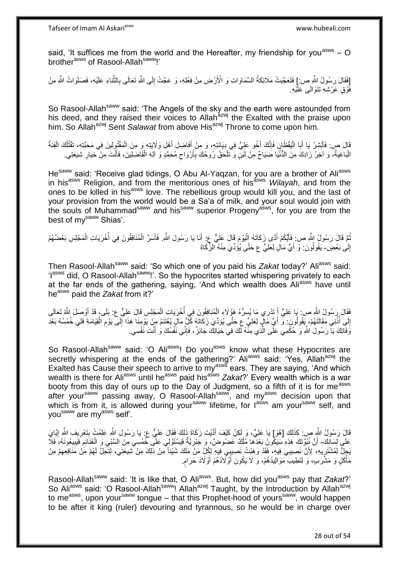said, 'It suffices me from the world and the Hereafter, my friendship for you<sup>asws</sup> – O brother<sup>asws</sup> of Rasool-Allah<sup>saww</sup>!'

[فَقَالَ رَسُولُ اللَّهِ ص:] فَتَعَجَّبَتْ مَلَائِكَةُ السَّمَاوَاتِ وَ الْأَرْضِ مِنْ فِعْلِهِ، وَ عَجَّتْ إِلَى اللَّهِ تَعَالَى بِالثَّنَاءِ عَلَيْهِ، فَصَلَوَاتُ اللَّهِ مِنْ لَ ِ ه ِ فَّوْقِ عَرْشِهِ تَتَوَالَى عَلَّيْهِ.

So Rasool-Allah<sup>saww</sup> said: 'The Angels of the sky and the earth were astounded from his deed, and they raised their voices to Allah<sup>azwj</sup> the Exalted with the praise upon him. So Allah<sup>azwj</sup> Sent *Salawat* from above His<sup>azwj</sup> Throne to come upon him.

قَالَ ص: فَأَبْشِرْ يَا أَبَا الْيَقْظَانِ فَإِنَّكَ أَخُو عَلِيٍّ فِي دِيَانَتِهِ، وَ مِنْ أَفَاضِلِ أَهْلِ وَلَايَتِهِ وَ مِنَ الْمَقْتُولِينَ فِي مَحَبَّتِهِ، تَقْتُلُكَ الْفِنَّةُ َ َ ∣اٍ<br>∶ ا<br>ا َ َ ْ ْ اُ الْبَاغِيَةُ، وَ آخِرُ زَادِكَ مِنَ الدُّنْيَا ضَيَاحٌ مِنْ لَبَنٍّ وَ تَلْحَقُ رُوحُكَ بِأَرْوَاحِ مُحَمَّدٍ وَ آلِهِ الْفَاضِلِينَ، فَأَنْتَ مِنْ خِيَارِ شِيعَتِي. :<br>ا ِ َ ْ  $\zeta$ أ ِ ْ

Hesaww said: 'Receive glad tidings, O Abu Al-Yaqzan, for you are a brother of Aliasws in his<sup>asws</sup> Religion, and from the meritorious ones of his<sup>asws</sup> Wilayah, and from the ones to be killed in his<sup>asws</sup> love. The rebellious group would kill you, and the last of your provision from the world would be a Sa'a of milk, and your soul would join with the souls of Muhammad<sup>saww</sup> and his<sup>saww</sup> superior Progeny<sup>asws</sup>, for you are from the best of mv<sup>saww</sup> Shias'.

نْعَ قَالَ رَسُولُ اللَّهِ ص: فَأَيُكُمْ أَدًى زَكَاتَهُ إِلْيَوْمَ قَالَ عَلِيٌّ عِ: أَنَا يَا رَسُولَ اللَّهِ. فَأَسَرَّ الْمُنَافِقُونَ فِي أُخْرَيَاتِ الْمَجْلِسِ بَعْضُهُمْ :<br>ا َ َ ُ ْ َ ا<br>أ ْ إِلَى بَعْضٍ- يَقُولُونَ: وَ أَيُّ مَالٍ لِعَلِيٍّ ع حَتَّى يُؤُدِّيَ مِنْهُ الزِّكَاةَ ِ ا<br>ا َ

Then Rasool-Allah<sup>saww</sup> said: 'So which one of you paid his Zakat today?' Ali<sup>asws</sup> said: 'l<sup>asws</sup> did, O Rasool-Allah<sup>saww</sup>!'. So the hypocrites started whispering privately to each at the far ends of the gathering, saying, 'And which wealth does Aliasws have until he<sup>asws</sup> paid the *Zakat* from it?'

فَقَالَ رَسُولُ اللَّهِ ص: يَا عَلِيُّ أَ تَدْرِي مَا يُسِرُّهُ هَؤُلَاءِ الْمُنَافِقُونَ فِي أُخْرَيَاتٍ الْمَجْلِسِ قَالَ عَلِيٍّ ع: بَلَى، قَدْ أَوْصَلَ اللَّهُ تَعَالَى<br>وَقَالَ إِسَاسِ بَيْنَ اللَّهُ عَلَيْهِ أَ تَدْر ْ َ َ ْ ا<br>أ إِلَى أُذُنِّي مَقَالَتَهُمْ، يَقُولُونَ: وَّ أَيُّ مَّالٍ لِعَلِيٍّ عِ حَتَّى يُوَدِّيَ زَكَاتَهُ كُلُّ مَالٍ يُغْتَنَمُ مِنْ يَوْمِنَا هَذَا إِلَى يَوْمِ الْقِيَامَةِ فَلِي خُمُسُهُ بَعْدَ َ ا<br>ا ِ ْ ِ ِ وَفَاتِكَ يَا رَسُولَ اللَّهِ وَ حُكْمِي عَلَى الَّذِي مِنَّهُ لَكَ فِي حَيَاتِكَ جَائِزٌ ، فَإِنِّي نَفْسُكَ وَ أَنْتَ نَفْسِي. َ ا∣<br>ِ∘ِ ه

So Rasool-Allah<sup>saww</sup> said: 'O Ali<sup>asws</sup>! Do you<sup>asws</sup> know what these Hypocrites are secretly whispering at the ends of the gathering?' Aliasws said: 'Yes, Allah<sup>azwj</sup> the Exalted has Cause their speech to arrive to my<sup>asws</sup> ears. They are saying, 'And which wealth is there for Ali<sup>asws</sup> until he<sup>asws</sup> paid his<sup>asws</sup> Zakat?' Every wealth which is a war booty from this day of ours up to the Day of Judgment, so a fifth of it is for me<sup>asws</sup> after your<sup>saww</sup> passing away, O Rasool-Allah<sup>saww</sup>, and my<sup>asws</sup> decision upon that which is from it, is allowed during your<sup>saww</sup> lifetime, for l<sup>asws</sup> am your<sup>saww</sup> self, and you<sup>saww</sup> are my<sup>asws</sup> self'.

قَالَ رَسُولُ اللَّهِ ص: كَذَلِكَ [هُوَ] يَا عَلِيُّ، وَ لَكِنْ كَيْفَ أَدَّيْتَ زَكَاةَ ذَلِكَ فَقَالَ عَلِيٌّ ع: يَا رَسُولَ اللَّهِ عَلِمْتُ بِتَعْرِيفِ اللَّهِ إِيَّايَ َ ِ ِ ِ عَلَى لِسَانِكَ- أَنَّ نُبُوَّتَكَ هَذِهِ سَيَكُونُ بَعْدَهَا مُلْكٌ عَضُوضٌ، وَ جَبْرِيَّةٌ فَيَسْتَوْلِي عَلَّي خُمُسِي مِنَ السَّبْي وَ الْغَنَائِمَ فَبَيْبِعُونَهُ، فَلَا ْ َ ِ ِ ْ ِ **∶** يَجِلُّ لِمُشْتَرِيهِ، ۚ لِأَنَّ نَصِيبِي فِيهِ، فَقَدْ وَهَبْتُ نَصِيبِي ۚفِيهِ لِكُلِّ مَنْ مَلَكَ شَيْئاً مِنْ ذَٰلِكَ مِنْ شَيئتَتِي، لِتَكُلِّ لَهُمْ مَنْ مَنَافِعِهِمْ مِنْ ِ ِ مَأْكَلٍ وَ مَشْرَىبٍ، وَ لِتَطِيبُ مَوَالِيدُهُمْ، وَ لَا يَكُونَ أَوْلَادُهُمْ أَوْلَادَ حَرَامٍ. .<br>ا ٍ اُ َ

Rasool-Allah<sup>saww</sup> said: 'It is like that, O Ali<sup>asws</sup>. But, how did you<sup>asws</sup> pay that *Zakat*?' So Aliasws said: 'O Rasool-Allah<sup>saww</sup>! Allahazwj Taught, by the Introduction by Allahazwj to me<sup>asws</sup>, upon your<sup>saww</sup> tongue – that this Prophet-hood of yours<sup>saww</sup>, would happen to be after it king (ruler) devouring and tyrannous, so he would be in charge over

28 out of 54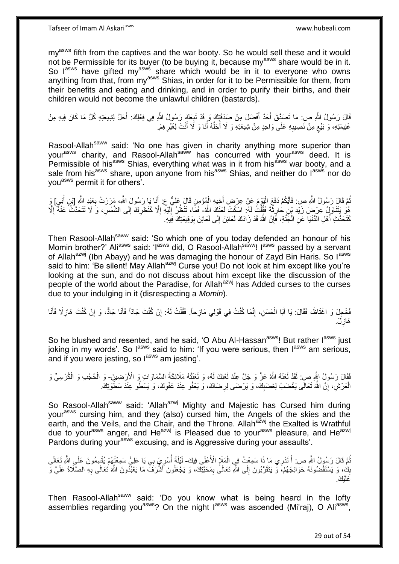Tafseer of Imam Al Askariasws www.hubeali.com

my<sup>asws</sup> fifth from the captives and the war booty. So he would sell these and it would not be Permissible for its buyer (to be buying it, because my<sup>asws</sup> share would be in it. So lasws have gifted myasws share which would be in it to everyone who owns anything from that, from my<sup>asws</sup> Shias, in order for it to be Permissible for them, from their benefits and eating and drinking, and in order to purify their births, and their children would not become the unlawful children (bastards).

قَالَ رَسُولُ اللَّهِ ص: مَا تَصَدَّقَ أَحَدٌ أَفْضَلَ مِنْ صَدَقَتِكَ وَ قَدْ تَبِعَكَ رَسُولُ اللَّهِ فِي فِعْلِكَ: أَحَلَّ لِشِيعَتِهِ كُلَّ مَا كَانَ فِيهِ مِنْ َ َ ِ غَنِيمَتِهِ، وَ بَيْعٍ مِنْ نَصِيبِهِ عَلَى وَاحِدٍ مِنْ شِيعَتِهِ وَ لَا أَحَلَّهُ أَنَا وَ لَا أَنْتَ لِغَيْرِ هِمْ. ِ ٍ **ٍ** َ َ ه َ

Rasool-Allah<sup>saww</sup> said: 'No one has given in charity anything more superior than your<sup>asws</sup> charity, and Rasool-Allah<sup>saww</sup> has concurred with your<sup>asws</sup> deed. It is Permissible of his<sup>asws</sup> Shias, everything what was in it from his<sup>asws</sup> war booty, and a sale from his<sup>asws</sup> share, upon anyone from his<sup>asws</sup> Shias, and neither do l<sup>asws</sup> nor do you<sup>asws</sup> permit it for others'.

مُّمَّ قَالَ رَسُولُ اللَّهِ ص: فَأَيَّكُمْ دَفَعَ الْيَوْمَ عَنْ عِرْضٍ أَخِيهِ الْمُؤْمِنِ قَالَ عَلِيٍّ ح: أَنَا يَا رَسُولَ اللَّهِ، مَرَرْتُ بِعَنْدِ اللَّهِ [بْنِ أُبَيٍ] وَ<br>وَمَدَّنَ مَثَّلَ اللَّهُ عَنِي رَبِّ مَن َ ْ َ ا<br>ا ا ُ ُ ِ هُوَ يَتَنَاوَلُ عِرْضَ زَيْدِ بْنِ حَارِثَةً فَقُلْتُ لَهُ. اسْكُتْ لَعَنَكَ الثَّهُ- فَمَا، تَنْظُرُ إَلَيْهِ إِلَّا كَنَظَرِكَ إِلَى الشَّمْسِ، وَ َلا تَتَحَدَّثْ عَنْهُ إِلَّا ْ ِ ِ ِ ِ ا<br>ا لَ ِ كَتَحَدُّثِ أَهْلِ الدُّنْيَا عَنِ الْجَنَّةِ، فَإِنَّ اللَّهَ قَدْ زَادَكَ لَعَائِنَ إِلَى لَعَائِنَ بِوَقِيعَتِكَ فِيَهِ. ِ ْ َ ِ ِ

Then Rasool-Allah<sup>saww</sup> said: 'So which one of you today defended an honour of his Momin brother?' Ali<sup>asws</sup> said: 'I<sup>asws</sup> did, O Rasool-Allah<sup>saww</sup>! I<sup>asws</sup> passed by a servant of Allah<sup>azwj</sup> (Ibn Abayy) and he was damaging the honour of Zayd Bin Haris. So l<sup>asws</sup> said to him: 'Be silent! May Allah<sup>azwj</sup> Curse you! Do not look at him except like you're looking at the sun, and do not discuss about him except like the discussion of the people of the world about the Paradise, for Allah<sup>azwj</sup> has Added curses to the curses due to your indulging in it (disrespecting a *Momin*).

نَفَخَجِلَ وَ اغْتَاظَ، فَقَالَ: يَا أَبَا الْحَسَنِ، إِنَّمَا كُنْتُ فِي قَوْلِي مَازِحاً. فَقُلْتُ لَهُ: إِنْ كُنْتَ مَازَ كُنْتَ هَازِلًا فَأَنَا ֺ֧ׅ֧ׅ֧֧֚֚֚֚֚֚֚֚֚֚֚֚֚֚֚֚֚֝֝֬֓֡֡֡֡֡֡֡֬֓֡֟֓֡֟֓֡֟֓֡֡֡֬֓֡֡֬֩֓֓֬֩ ْ َ ِ ْ َ ِ ِ َ هَازِلٌ. **∶** 

So he blushed and resented, and he said, 'O Abu Al-Hassan<sup>asws</sup>! But rather l<sup>asws</sup> just joking in my words'. So  $I^{assys}$  said to him: 'If you were serious, then  $I^{assys}$  am serious, and if you were jesting, so l<sup>asws</sup> am jesting'.

فَقَالَ رَسُولُ النَّهِ صِ: لَقَدْ لَعَنَهُ اللَّهُ عَزَّ وَ جَلَّ عِنْدَ لَعْنِكَ لَهُ، وَ لَعَنَنْهُ مَلَائِكَةُ السَّمَاوَاتِ وَ الْأَرَضِينَ- وَ الْحُجُبِ وَ الْكُرْسِيِّ وَ ْ الْعَرْشِ، إِنَّ اللَّهَ تَعَالَى يَغْضَبُ لِغَضَبِكَ، وَ يَرْضَى لِرِضَاكَ، وَ يَعْفُو عِنْدَ عَفْوِكَ، وَ يَسْطُو عِنْدَ سَطْوَتِكَ. ِ ِ ْ ِ ِ

So Rasool-Allah<sup>saww</sup> said: 'Allah<sup>azwj</sup> Mighty and Majestic has Cursed him during your<sup>asws</sup> cursing him, and they (also) cursed him, the Angels of the skies and the earth, and the Veils, and the Chair, and the Throne. Allah<sup>azwj</sup> the Exalted is Wrathful due to your<sup>asws</sup> anger, and He<sup>azwj</sup> is Pleased due to your<sup>asws</sup> pleasure, and He<sup>azwj</sup> Pardons during your<sup>asws</sup> excusing, and is Aggressive during your assaults'.

ثُمَّ قَالَ رَسُولُ الثَّهِ ص: أَ تَدْرِي مَا ذَا سَمِعْتُ فِي الْمَلَإِ الْأَعْلَى فِيكَ- لَيْلَةَ أُسْرِيَ بي يَا عَلِيُّ سَمِعْتُهُمْ يُقْسِمُونَ عَلَى الثَّهِ تَعَالَى<br>. ْ ُ بِكَ، وَ يَسْتَقْضُونَهُ حَوَائِجَهُمْ، وَ يَتَقَرَّبُونَ إِلَى اللَّهِ تَعَالَى بِمَحَبَّتِكَ، وَ يَجْعَلُونَ أَشْرَفَ مَا يَعْبُدُونَ اللَّهَ تَعَالَى بِهِ الصَّلَاةَ عَلَيَّ وَ ِ  $\frac{1}{2}$ **∣ ∶** َ <u>ْإِتَى</u> َعلَ

Then Rasool-Allah<sup>saww</sup> said: 'Do you know what is being heard in the lofty assemblies regarding you<sup>asws</sup>? On the night lasws was ascended (Mi'raj), O Ali<sup>asws</sup>,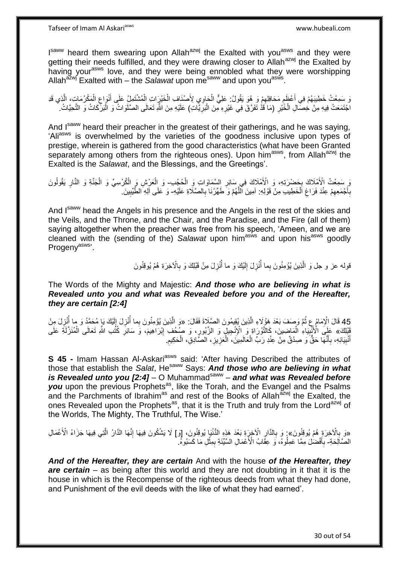I<sup>saww</sup> heard them swearing upon Allah<sup>azwj</sup> the Exalted with you<sup>asws</sup> and they were getting their needs fulfilled, and they were drawing closer to Allah<sup>azwj</sup> the Exalted by having your<sup>asws</sup> love, and they were being ennobled what they were worshipping Allah<sup>azwj</sup> Exalted with – the Salawat upon me<sup>saww</sup> and upon you<sup>asws</sup>.

وَ سَمِعْتُ خَطِيبَهُمْ فِي أَعْظَمِ مَحَافِلِهِمْ وَ ِ هُوَ يَقُولُ: عَلِيٌّ الْحَاوِيِ لِأَصْنَافِ الْخَيْرَاتِ الْمُشْتَمِلُ عَلَى أَنْوَاعِ الْمَكْرُمَاتِ، الَّذِي قَدِ ْ ْ ْ ِ ِ َ ه ْ ِ َ ْ اجْتَمَعَتْ فِيهِ مِنْ خِصَّالِ الْخَيْرِ (مَا قَدْ تَفَرَّقَ فِي غَيْرِهِ مِنَ الْبَرِّيَّاتِ) عَلَيْهِ مِنَ الثَّهِ تَعَالَى الصَّلَوَاتُ وَ الْبَرِّكَاتُ وَ التَّحِيَّاتُ. **∶** ْ **∶** :<br>ا ِ

And I<sup>saww</sup> heard their preacher in the greatest of their gatherings, and he was saying, 'Ali<sup>asws</sup> is overwhelmed by the varieties of the goodness inclusive upon types of prestige, wherein is gathered from the good characteristics (what have been Granted separately among others from the righteous ones). Upon him<sup>asws</sup>, from Allah<sup>azwj</sup> the Exalted is the *Salawat*, and the Blessings, and the Greetings'.

َ سَمِعْتُ الْأَمْلَاكَ بِحَضْرَتِهِ، وَ الْأَمْلَاكَ فِي سَائِرِ السَّمَاوَاتِ وَ الْحُجُبِ- وَ الْعَرْشِ وَ الْكُرْسِيِّ وَ الْجَنَّةِ وَ النَّارِ يَقُولُونَ ْ **∶** ¦ ا<br>ا ِ ْ ْ بِأَجْمَعِهِمْ عِنْدَ فَرَاغِ اَلْخَطِيبِ مِنْ قَوْلِهِ: آمِينَ الَّلَّهُمَّ وَ طَهِّرْنَا بِالصَّلَاةِ عَلَيْهِ- وَ عَلَى آلِهِ الطَّيِّبِينَ ْ ِ ِ َ **∶ ∶** ِ

And Isaww head the Angels in his presence and the Angels in the rest of the skies and the Veils, and the Throne, and the Chair, and the Paradise, and the Fire (all of them) saying altogether when the preacher was free from his speech, 'Ameen, and we are cleaned with the (sending of the) Salawat upon him<sup>asws</sup> and upon his<sup>asws</sup> goodly Progeny<sup>asws</sup>'.

> قوله عز و جل وَ الَّذِينَ يُؤْمِنُونَ بِما أُنْزِلَ إِلَيْكَ وَ ما أُنْزِلَ مِنْ قَبْلِكَ وَ بِالْآخِرَةِ هُمْ يُوقِنُونَ ِ ُ لَ ∣∣<br>∶ ِ ا<br>ا ِ

The Words of the Mighty and Majestic: *And those who are believing in what is Revealed unto you and what was Revealed before you and of the Hereafter, they are certain [2:4]*

45 قَالَ الْإِمَامُ عِ ثُمَّ وَصَفَ بَعْدَ هَؤُلَاءِ الَّذِينَ يُقِيمُونَ الصَّلَاةَ فَقَالَ: «وَ الَّذِينَ يُؤْمِنُونَ بِما أُنْزِلَ إِلَيْكَ يَا مُحَمَّدُ وَ ما أُنْزِلَ مِنْ لَ ِ ه ؚ<br>ۣ ِ ُ ْ الْأَنْبِيَاءِ الْمَاضِينَ، كَالتَّوْرَاةِ وَ الْإِنْجِيلِ وَ الزَّبُورِ، وَ صُحُفِ إِبْرَاهِيمَ، وَ سَائِرِ كُتُب اللَّهِ تَعَالَى الْمُنَزَّلَةِ عَلَى ِ ِ ْ **!** ْ ِ أَنْبِيَائِهِ، بِأَنَّهَا حَقٌّ وَ صِدْقٌ مِنْ عِنْدِ رَبِّ الْعَالَمِينَ، الْعَزِيزِ، الصَّادِقِ، الْحَكِيمِ. ِ ْ ِ ِ ْ ْ ֧֞<sup>֓</sup>֓֡֘֩֕׆ **∶ !** َ

**S 45 -** Imam Hassan Al-Askari<sup>asws</sup> said: 'After having Described the attributes of those that establish the Salat, He<sup>saww</sup> Says: And those who are believing in what is Revealed unto you [2:4] - O Muhammad<sup>saww</sup> - and what was Revealed before you upon the previous Prophets<sup>as</sup>, like the Torah, and the Evangel and the Psalms and the Parchments of Ibrahim<sup>as</sup> and rest of the Books of Allah<sup>azwj</sup> the Exalted, the ones Revealed upon the Prophets<sup>as</sup>, that it is the Truth and truly from the Lord<sup>azwj</sup> of the Worlds, The Mighty, The Truthful, The Wise.'

«وَ بِالْآخِرَةِ هُمْ يُوقِنُونَ»; وَ بِالذَّارِ الْآخِرَةِ بَعْدَ هَذِهِ الدُّنْيَا يُوقِنُونَ، [وَ] لَا يَشْكُونَ فِيهَا إِنَّهَا الذَّارُ الَّتِي فِيهَا جَزَاءُ الْأَعْمَالِ ه ه ِ **∶ ∶** الصَّاَلِحَةِ- بِأَفْضَلَ مِمَّا ۖ عَمِلُوهُ، وَ عِقَّابُ الْأَعْمَالِ السَّيِّئَةِ بِمِثْلِ مَا كَسَبُوهُ. َ **∶** ْ ِ

*And of the Hereafter, they are certain* And with the house *of the Hereafter, they*  **are certain** – as being after this world and they are not doubting in it that it is the house in which is the Recompense of the righteous deeds from what they had done, and Punishment of the evil deeds with the like of what they had earned'.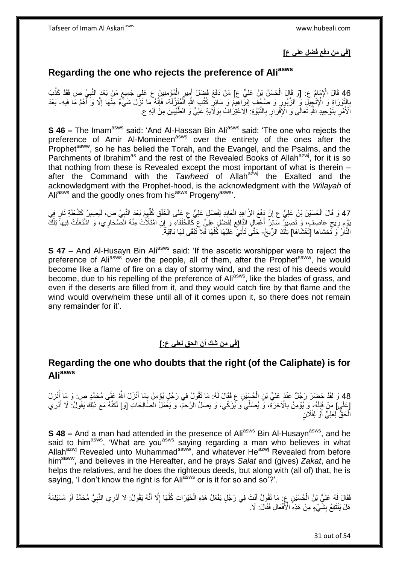## **]في من دفع فضل علي ع[**

# **Regarding the one who rejects the preference of Aliasws**

46 قَالَ الْإِمَامُ ع: [وَ قَالَ الْحَسَنُ بْنُ عَلِيٍّ ع] مَنْ دَفَعَ فَضْلَ أَمِيرٍ الْمُؤْمِنِينَ عِ عَلَى جَمِيعٍ مَنْ بَعْدَ النَّبِيِّ ص فَقَدْ كَذَّبَ<br>للَّهُ عَلَيْ مَثَلُوهُ عَلَيْهِ الْمُسْئِلِ الْحَسَنُ بِّنْ عَ ِ ْ ْ ِ َ ِ التَّوْرَاةِ وَ الْإِنْجِيلِ وَ الزَّبُورِ وَ صُحُفٍ إِبْرَاهِيمَ وَ سَائِرِ كُتُبِ اللَّهِ الْمُنَزَّلَةِ، فَإِنَّهُ مَا نَزَلَ شَيْءٌ مِنْهَا إِلَّا وَ أَهُمُّ مَا فِيهِ- بَعْدَ<br>إِنَّ وَالْجُمْ الْإِنْجِيلِ فَي الزَّبُ ِ ْ ِ ِ ِ **∶** َ ا<br>ا الْأَمْرِ بِتَوْحِيدِ اللَّهِ تَعَالَى وَ الْإِقْرَارِ بِالنُّبُوَّةِ: الِاعْتِرَافُ بِوَلَايَةِ عَلِيٍّ وَ الطَّيِّبِينَ مِنَّ آلِهِ ع **ِ** ِ ِ ِ ِ **∶** 

**S 46 –** The Imam<sup>asws</sup> said: 'And Al-Hassan Bin Ali<sup>asws</sup> said: 'The one who rejects the preference of Amir Al-Momineen<sup>asws</sup> over the entirety of the ones after the Prophet<sup>saww</sup>, so he has belied the Torah, and the Evangel, and the Psalms, and the Parchments of Ibrahim<sup>as</sup> and the rest of the Revealed Books of Allah<sup>azwj</sup>, for it is so that nothing from these is Revealed except the most important of what is therein – after the Command with the *Tawheed* of Allah<sup>azwj</sup> the Exalted and the acknowledgment with the Prophet-hood, is the acknowledgment with the *Wilayah* of Aliasws and the goodly ones from hisasws Progeny<sup>asws,</sup>

47 وَ قَالَ الْحُسَيْنُ بْنُ عَلِيٍّ ع إِنَّ دَفْعَ الزَّاهِدِ الْعَابِدِ لِفَضْلٍ عَلِيٍّ عِ عَلَى الْخَلْقِ كُلِّهِمْ بَعْدَ النَّبِيِّ ص، لَيَصِيرُ كَشُعْلَةِ ذَارٍ فِي ِ ِّ ْ ِ ْ ِ ْ ِّوْمٍ رِّيِحٍ عَاصِفٍۗ، وَ تَصِيرُ سَائِنُ أَعْمَالٍ الذَّافِعِ لِفَضَلْ عَلِيٍّ عِ كَالْحُلُفَاءِ وَ إِنِّ ا<br>يَوْمِ رَبِّعِ عَاصِفٍ، يَزِيرَتَ بِأَوْضٍ بِنَ اللَّهُ عَلَى اللَّهُ فَيَهَا مَنْ يَوْمِ يَهْدُونَ وَيَوْمَ ي ֖֡֡֡֟֟֟֟֟֟֟֟֟֟֟֟֟֓֟֓֟֓֟֡֟֬֟֓֟֬֟֓֞֞֞֟֩֬֓֞֞ ِ َ ٍ ِ ْ النَّاَرُ ۚ وَ تَّحْشاها [تَغْشَاهَا] تِلْكَ الرِّيحُ- حَتَّى تَأْتِيَ ۚ عَلَيْهَا كُلُّهَا فَّلاَ تَبْقَى لَهَا بَاقِيَةٌ ْ ِّ ْ لَ

**S 47 –** And Al-Husayn Bin Ali<sup>asws</sup> said: 'If the ascetic worshipper were to reject the preference of Aliasws over the people, all of them, after the Prophet<sup>saww</sup>, he would become like a flame of fire on a day of stormy wind, and the rest of his deeds would become, due to his repelling of the preference of Aliasws, like the blades of grass, and even if the deserts are filled from it, and they would catch fire by that flame and the wind would overwhelm these until all of it comes upon it, so there does not remain any remainder for it'.

## **]في من شك أن الحق لعلي ع:[**

## **Regarding the one who doubts that the right (of the Caliphate) is for Aliasws**

48 وَ لَقَدْ حَضَرَ رَجُلٌ عِنْدَ عَلِيِّ بْنِ الْحُسَيْنِ عِ فَقَالَ لَهُ: مَا تَقُولُ فِي رَجُلٍ يُؤْمِنُ بِمَا أَنْزَلَ اللَّهُ عَلَى مُحَمَّدٍ ص: وَ مَا أُنْزِلَ<br>وَيَمْسُونَ مَنْ يَمْسُونَ فَيَمْسَ الْمُسَلَّمَاتِ الْ **ٔ** َ ْ ؙ<br>ا [عَلَىٍ] مَنْ قَبْلَهُ، وَ يُؤْمِنُ بِالْآخِرَةِ، وَ يُصَلِّي وَ يُزَكِّي، وَ يَصِلُ الرَّحِمّ، وَ يَغْمَلُ الصَّالِحَاتِ [وَ] لَكِنَّهُ مَعَ ذَلِكَ يَقُولُ: لَا أَدْرِي **∶** ِ َ الْحَقُّ لِعَلِيٍّ أَوْ لِفُلَانٍ َ ْ

**S 48 –** And a man had attended in the presence of Ali<sup>asws</sup> Bin Al-Husayn<sup>asws</sup>, and he said to him<sup>asws</sup>, 'What are you<sup>asws</sup> saying regarding a man who believes in what Allah<sup>azwj</sup> Revealed unto Muhammad<sup>saww</sup>, and whatever He<sup>azwj</sup> Revealed from before himsaww, and believes in the Hereafter, and he prays *Salat* and (gives) *Zakat*, and he helps the relatives, and he does the righteous deeds, but along with (all of) that, he is saying, 'I don't know the right is for Ali<sup>asws</sup> or is it for so and so'?'.

فَقَالَ لَهُ عَلِيُّ بْنُ الْحُسَيْنِ عِ. مَا تَقُولُ أَنْتَ فِي رَجُلٍ يَفْعَلُ هَذِهِ الْخَيْرَاتِ كُلَّهَا إِلَّا أَنَّهُ يَقُولُ: لَا أَدْرِي النَّبِيُّ مُحَمَّدٌ أَوْ مُسَيْلَمَةُ<br>زدد: كَيفة الصَّابِعِينَ عَبَّدَتْ ا َ ْ أ ِ َ َ ِ ه ْ هَلْ يَنْتَفِعُ بِشَّيْءٍ مِنْ هَذِهِ الْأَفْعَالِ فَقَالَ: لَا. **∣**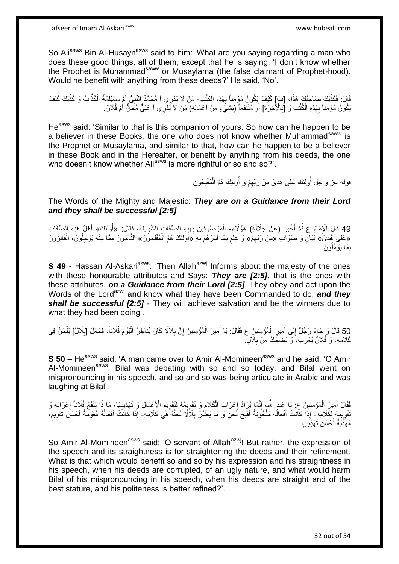So Aliasws Bin Al-Husayn<sup>asws</sup> said to him: 'What are you saying regarding a man who does these good things, all of them, except that he is saying, 'I don't know whether the Prophet is Muhammad<sup>saww</sup> or Musaylama (the false claimant of Prophet-hood). Would he benefit with anything from these deeds?' He said, 'No'.

قَالَ: فَكَذَلِكَ هَذَا، [فَ) كَيْفَ يَكُونُ مُؤْمِناً بِهَذِهِ الْكُتُبِ- مَنْ لَا يَدْرِي أَ مُحَمَّدٌ النَّبِيُّ أَمْ مُسَئِلَمَةُ الْكَذَّابُ وَ كَذَلِكَ كَيْفَ<br>فَالَ: فَكَذَلِكَ صَاحِبُكُ \*\*\*\*\*\*\*\*\*\*\*\*\*\*\*\*\*\*\*\*\*\*\*\*\*\*\*\* **∶** ْ َ ِ َ َبَكُونُ مُؤْمِناً بِهَذِهِ الْكُتُبِ وَ [إِلأَخْرَةِ] أَوْ مُنْتَفِعاً (بِشَيْءٍ مِنْ أَعْمَالِهِ) مَنْ لَا يَذْرِي أَ عَلِيٌّ مُحِّقٌّ أُمْ فُلَانٌ. **∣** َ **∶ ∶** َ َ

He<sup>asws</sup> said: 'Similar to that is this companion of yours. So how can he happen to be a believer in these Books, the one who does not know whether Muhammad<sup>saww</sup> is the Prophet or Musaylama, and similar to that, how can he happen to be a believer in these Book and in the Hereafter, or benefit by anything from his deeds, the one who doesn't know whether Ali<sup>asws</sup> is more rightful or so and so?'.

> ُقوله عز و جل أَولئِكَ عَلى هُدىً مِنْ رَبِّهِمْ وَ أَولئِكَ هُمُ الْمُفْلِحُونَ ُ ْ

The Words of the Mighty and Majestic: *They are on a Guidance from their Lord and they shall be successful [2:5]*

49 قَالَ الْإِمَامُ عِ ثُمَّ أَخْبَرَ (عَنْ جَلَالَةِ) هَؤُلَاءٍ- الْمَوْصُوفِينَ بِهَذٍهِ الصِّفَاتِ الشَّرِيفَةِ، فَقَالَ: «أُولِئِكَ» أَهْلُ هَذِهِ الصِّفَاتِ ِ ْ َ «عَلى هُدِيُّ» بَيَانٍ وَ ٰصَوَابٍ ُ «مِنْ رَبِّهِمْ» وَ ۗ عِلَمٍ بِمَا أَمَرَ هُمْ بِهِ «أَوْلَئِكَ هُمُ الْمُفْلِحُونَّ» النَّاجُونَ مِمَّا مِنْهُ يَوْجِلُونَ، الْفَائِزُونَ ِ َ ِ ْ ْ ُو َن َما ُيَؤ ِّمل ِ بِمَا يُؤَمِّلُونَ.

**S 49 -** Hassan Al-Askari<sup>asws</sup>: 'Then Allah<sup>azwj</sup> Informs about the majesty of the ones with these honourable attributes and Says: *They are [2:5]*, that is the ones with these attributes, *on a Guidance from their Lord [2:5]*. They obey and act upon the Words of the Lord<sup>azwj</sup> and know what they have been Commanded to do, and they *shall be successful [2:5]* - They will achieve salvation and be the winners due to what they had been doing'.

50 قَالَ وَ جَاءَ رَجُلٌ إِلَى أَمِيرِ الْمُؤْمِنِينَ ع فَقَالَ: يَا أَمِيرَ الْمُؤْمِنِينَ إِنَّ بِلَالًا كَانَ يُنَاظِرُ الْيَوْمَ فُلَاناً، فَجَعَلَ [بِلَالٌ] يَلْحَنُ فِي<br>وَيَنْ الْبَرْهَ فَلَاناً، فَجَعَلَ [بِلَالٌ] ي ْ ِ ْ ِ ِ ْ َ ْ َ ِ كَلَامِهِ، وَ فُلَانٌ يُعْرِبُ، وَ يَضْحَكُ مِنْ بِلَالٍ ۖ ِ ِ

**S 50 –** He<sup>asws</sup> said: 'A man came over to Amir Al-Momineen<sup>asws</sup> and he said, 'O Amir Al-Momineen<sup>asws</sup>! Bilal was debating with so and so today, and Bilal went on mispronouncing in his speech, and so and so was being articulate in Arabic and was laughing at Bilal'.

ِ فَقَالَ أَمِيرُ الْمُؤْمِنِينَ عِ: يَا عَبْدَ اللَّهِ، إِنَّمَا يُرَادُ إِعْرَابُ الْكَلَامِ وَ تَقْوِيمُهُ لِتَقْوِيمِ الْأَعْمَالِ وَ تَهْذِيبِهَا، مَا ذَا يَنْفَعُ فُلَاناً إعْرَابُهُ وَ ْ ِ ِ ْ َ ِ ِ ِ ِ ِ يَشُوبِمُهُ لِكَلَامِهِ- إِذَا كَانَتْ أَفْعَالُهُ مَلْحُونَةً أَقْبَحَ لَحْنٍ وَ مَا يَضُرُّ بِلَاَلًا لَحْنُهُ فِي كَلَامِهِ- إِذَا كَانَتْ أَفْعَالُهُ مُقَوَّمَةً أَحْسَنَ نَقْوِيمٍ، ِ ِ َ ْ ا<br>ا َ  $\overline{a}$ َ م ِ َ مُهََذَّبَةً أَحْسَنَ تَهْذِيَبٍ

So Amir Al-Momineen<sup>asws</sup> said: 'O servant of Allah<sup>azwj</sup>! But rather, the expression of the speech and its straightness is for straightening the deeds and their refinement. What is that which would benefit so and so by his expression and his straightness in his speech, when his deeds are corrupted, of an ugly nature, and what would harm Bilal of his mispronouncing in his speech, when his deeds are straight and of the best stature, and his politeness is better refined?'.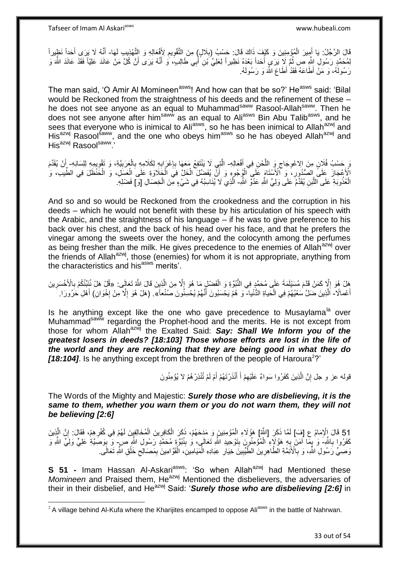Tafseer of Imam Al Askariasws www.hubeali.com

1

قَالَ الرَّجُلُ: يَا أَمِيرَ الْمُؤْمِنِينَ وَ كَيْفَ ذَاكَ قَالَ: حَسْبُ (بِلَالٍ) مِنَ التَّقْوِيمِ لِأَفْعَالِهِ وَ التَّهْزِيبِ لَهَا- أَنَّهُ لَا يَرَى أَحَدًا نَظِيراً **∶** ِ ِ ْ َ َ َ لِمُحَمَّدٍ رَسُولِ اللَّهِ ص ثُمَّ لَا يَرَي أَحَداً بَعْدَهُ نَظِيراً لِعَلِيٍّ ُبْنِ أُبِي طَالِبٍ، وَ أَنَّهُ يَرَى أَنَّ كُلَّ مَنْ عَانَدَ عَلِيَّاً فَقَدْ عَانَدَ اللَّهَ وَ ُ َ َ اُ رَسُولَهُ، وَ مَنْ أَطَاعَهُ فَقَدْ أَطَاعَ اللَّهَ وَ رَسُولَهُ.

The man said, 'O Amir Al Momineen<sup>asws</sup>! And how can that be so?' He<sup>asws</sup> said: 'Bilal would be Reckoned from the straightness of his deeds and the refinement of these – he does not see anyone as an equal to Muhammad<sup>saww</sup> Rasool-Allah<sup>saww</sup>. Then he does not see anyone after him<sup>saww</sup> as an equal to Ali<sup>asws</sup> Bin Abu Talib<sup>asws</sup>, and he sees that everyone who is inimical to Ali<sup>asws</sup>, so he has been inimical to Allah<sup>azwj</sup> and His<sup>azwj</sup> Rasool<sup>saww</sup>, and the one who obeys him<sup>asws</sup> so he has obeyed Allah<sup>azwj</sup> and His<sup>azwj</sup> Rasoolsaww<sup>2</sup>

وَ حَسْبُ فُلَانٍ مِنَ الِاعْوِجَاجِ وَ اللَّحْنِ فِي أَفْعَالِهِ- الَّتِي لَا يَنْتَفِعُ مَعَهَا بِإِعْرَابِهِ لِكَلامِهِ بِالْعَرَبِيَّةِ، وَ تَقْوِيمِهِ لِلِسَانِهِ- أَنْ يُقَدِّمَ َ ه ِ ِ ِ ِ ْ ِ ِ ِ ِ َ الْأَعْجَازَ عَلَىَّ الصُّدُورِ، ۚ وَ كَانْأَسْتَاهَ عَلَى الْوُجُوهِ وَ أَنَّ يُفَضِّلَ الْخَلَّ فِيَ الْجَلَاوَةِ عَلَى الْعَسَلَ، وَ الْخَنْظَلَ فِي الطِّيبَ، وَ ْ ِ ْ ْ ْ ْ الْعُذُوبَةِ عَلَى اللَّبَنِ يُقَدِّمُ عَلَى وَلِيٍّ اللَّهِ عَدُوَّ اللَّهِ- الَّذِي لَا يُنَاسِبُهُ فِي شَيْءٍ مِّنَ الْخِصَالِ [وَ] فَضْلِهِ. ه ه ْ

And so and so would be Reckoned from the crookedness and the corruption in his deeds – which he would not benefit with these by his articulation of his speech with the Arabic, and the straightness of his language – if he was to give preference to his back over his chest, and the back of his head over his face, and that he prefers the vinegar among the sweets over the honey, and the colocynth among the perfumes as being fresher than the milk. He gives precedence to the enemies of Allah<sup>azwj</sup> over the friends of Allah<sup>azwj</sup>, those (enemies) for whom it is not appropriate, anything from the characteristics and his<sup>asws</sup> merits'.

هَلْ هُوَ إِلَّا كَمَنْ قَدَّمَ مُسَيْلَمَةَ عَلَى مُحَمَّدٍ فِي النُّبُوَّةِ وَ الْفَضْلِ مَا هُوَ إِلَّا مِنَ الَّذِينَ قَالَ اللَّهُ تَعَالَى: «قُلْ هَلْ نُنَنِّئُكُمْ بِالْأَخْسَرِين ه ِ ْ ِ ِ ِ أَعْمالًا- اَلَّذِينَ ضَلَّ سَعْيُهُمْ فِي الْحَياةِ الذُّنْيا- ۖ وَ هُمْ يَخْسَبُونَ أَنَّهُمْ يُحْسِنُونَ صَنْعاً». (هَلْ هُوَ إِلَّا مِنْ إِخْوَانِ) أَهْلِ حَرُورَا. ه ْ َ َ **∶** ا<br>ا

Is he anything except like the one who gave precedence to Musaylama<sup>la</sup> over Muhammad<sup>saww</sup> regarding the Prophet-hood and the merits. He is not except from those for whom Allahazwj the Exalted Said: *Say: Shall We Inform you of the greatest losers in deeds? [18:103] Those whose efforts are lost in the life of the world and they are reckoning that they are being good in what they do*  [18:104]. Is he anything except from the brethren of the people of Haroura<sup>2</sup>?'

> قوله عز و جل إِنَّ الَّذِينَ كَفَرُوا سَواءٌ عَلَيْهِمْ أَ أَنْذَرْتَهُمْ أَمْ لَمْ تُنْذِرْهُمْ لا يُؤْمِنُونَ َ َ َ ِ ه ِ

The Words of the Mighty and Majestic: *Surely those who are disbelieving, it is the same to them, whether you warn them or you do not warn them, they will not be believing [2:6]*

51 قَالَ الْإِمَامُ عِ [فَ)] لَمَّا ذَكَرَ [اللَّهُ] هَوُ لَاءِ الْمُؤْمِنِينَ وَ مَدَحَهُمْ، ذَكَرَ الْكَافِرِينَ الْمُخَافِينَ لَهُمْ فِي كُفْرِهِمْ، فَقَالَ: إِنَّ الَّذِينَ<br>يَهُذَهُ اللَّهُ عَلَيْهِ مَنْ الْمَا ذَكَرَ ه ِ ْ ْ ْ :<br>نا كَفَرُوا بِاللَّهِ-َ وَ ٰبِمَا آمَنَ بِهِ هَؤُلَاءِ ۗالْمُؤْمِنُونَ بِتَوْحِيدِ اللَّهِ تَعَالَى، وَ بِنُبُوَّةٍ مُحَمَّدٍ رَسُولِ اللَّهِ صِ ٰ وَ بِوَصَيَّةِ عَلِيٍّ وَلِيٍّ اللَّهِ وَ **∶**  $\frac{1}{2}$  $\frac{1}{2}$ ْ **∶** ِ ِ وَصِّيِّ رَسُولِ اللَّهِ، وَ بِالْأَئِمَّةِ الْطَّاهِرِينَ الطَّيِّبِينَ خِيَارِ عِبَادِهِ الْمَيَامِينِ، الْقَوَّامِينَ بِمَصَالِحِ خَلْقِ اللَّهِ تَعَالَى **∶** ْ ِ ِ ْ ْ ِ ِ **∶** 

**S 51 -** Imam Hassan Al-Askari<sup>asws</sup>: 'So when Allah<sup>azwj</sup> had Mentioned these *Momineen* and Praised them, He<sup>azwj</sup> Mentioned the disbelievers, the adversaries of their in their disbelief, and He<sup>azwj</sup> Said: '*Surely those who are disbelieving [2:6]* in

 $2$  A village behind Al-Kufa where the Kharijites encamped to oppose Ali<sup>asws</sup> in the battle of Nahrwan.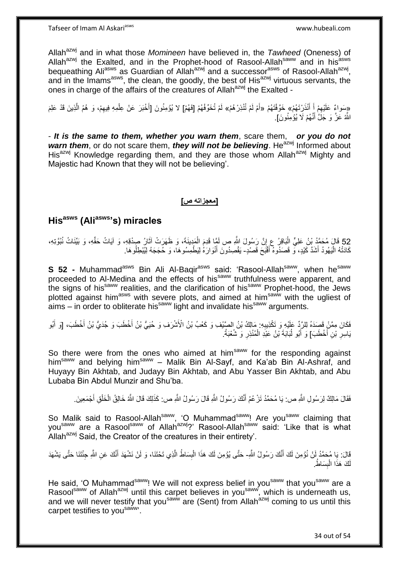Allah<sup>azwj</sup> and in what those *Momineen* have believed in, the *Tawheed* (Oneness) of Allah<sup>azwj</sup> the Exalted, and in the Prophet-hood of Rasool-Allah<sup>saww</sup> and in his<sup>asws</sup> bequeathing Ali<sup>asws</sup> as Guardian of Allah<sup>azwj</sup> and a successor<sup>asws</sup> of Rasool-Allah<sup>azwj</sup>, and in the Imams<sup>asws</sup>, the clean, the goodly, the best of His<sup>azwj</sup> virtuous servants, the ones in charge of the affairs of the creatures of Allah<sup>azwj</sup> the Exalted -

«ِسَواءٌ عَلَيْهِمْ إِلَّ أَنْذَرْتَهُمْ» خَوَّفْتَهُمْ «أَمْ لَمْ تُنْذِرْهُمْ» لَمْ تُخَوِّفْهُمْ [فَهُمْ] لا يُؤْمِنُونَ [أَخْبَرَ عَنْ عِلْمِهِ فِيهِمْ، وَ هُمُ الَّذِينَ قَدْ عَلِمَ ه َ َ :<br>ن **ٔ** َ َ اللَّهُ عَزَّ وَ جَلَّ أَنَّهُمْ لَا يُؤْمِنُونَ]. َ

- *It is the same to them, whether you warn them*, scare them, *or you do not warn them*, or do not scare them, *they will not be believing*. He<sup>azwj</sup> Informed about His<sup>azwj</sup> Knowledge regarding them, and they are those whom Allah<sup>azwj</sup> Mighty and Majestic had Known that they will not be believing'.

#### **]معجزاته ص[**

# **Hisasws (Aliasws's) miracles**

52 قَالَ مُحَمَّدُ بِْنُ عَلِيٍّ الْبَاقِرُ عِ إِنَّ رَسُولَ اللَّهِ صِ لَمِّيَا قَدِمَ الْمَدِينَةَ، وَ ظَهَرَتْ آثَارُ صِدْقِهِ، وَ آيَاتُ حَقِّهِ، وَ بَيِّنَاتُ نُبُوَّتِهِ، َ ْ ֧<u>׀</u> :<br>ا كَادَتْهُ الْيَهُودُ أَشَدَّ كَيْدٍ، وَّ قَصَدُوهُ أَقْبَحَ قَصْدٍ- يَقْصِدُونَ أَنْوَارَهُ لِيَطْمِسُوهَا، وَ حُجَجَهُ لِيُبْطِلُوهَا. َ َ ا<br>ا َ

**S 52 -** Muhammad<sup>asws</sup> Bin Ali Al-Baqir<sup>asws</sup> said: 'Rasool-Allah<sup>saww</sup>, when he<sup>saww</sup> proceeded to Al-Medina and the effects of his<sup>saww</sup> truthfulness were apparent, and the signs of his<sup>saww</sup> realities, and the clarification of his<sup>saww</sup> Prophet-hood, the Jews plotted against him<sup>asws</sup> with severe plots, and aimed at him<sup>saww</sup> with the ugliest of  $\sinh^2$  – in order to obliterate his<sup>saww</sup> light and invalidate his<sup>saww</sup> arguments.

فَكَانَ مِمَّنْ قَصَدَهُ لِلرَّدِّ عَلَيْهِ وَ تَكْذِيبِهِ: مَالِكُ بْنُ الصَّيْفِ وَ كَعْبُ بْنُ الْأَشْرَفِ وَ حُيَيٌّ بْنُ أَخْطَبَ وَ جُدَيُّ بْنُ أَخْطَبَ، [وَ أَبُو ِ َ َ َ يَاسِرِ بْنِ أَخْطَبَ] وَ أَبُو لُبَابَةَ بْنُ عَبْدِ الْمُنْذِرِ وَ شُعْبَةُ. َ ِ **∶** ْ ُ َ

So there were from the ones who aimed at him<sup>saww</sup> for the responding against him<sup>saww</sup> and belying him<sup>saww</sup> - Malik Bin Al-Sayf, and Ka'ab Bin Al-Ashraf, and Huyayy Bin Akhtab, and Judayy Bin Akhtab, and Abu Yasser Bin Akhtab, and Abu Lubaba Bin Abdul Munzir and Shu'ba.

فَقَالَ مَالِكٌ لِرَسُولِ اللَّهِ ص: يَا مُحَمَّدُ تَزْعُمُ أَنَّكَ رَسُولُ اللَّهِ قَالَ رَسُولُ اللَّهِ ص: كَذَلِكَ قَالَ اللَّهُ خَالِقُ الْخَلْقِ أَجْمَعِينَ َ َ ْ ْ

So Malik said to Rasool-Allah<sup>saww</sup>, 'O Muhammad<sup>saww</sup>! Are you<sup>saww</sup> claiming that you<sup>saww</sup> are a Rasool<sup>saww</sup> of Allah<sup>azwj</sup>?' Rasool-Allah<sup>saww</sup> said: 'Like that is what Allah<sup>azwj</sup> Said, the Creator of the creatures in their entirety'.

قَالَ: يَا مُحَمَّدُ لَنْ نُؤْمِنَ لَكَ أَنَّكَ رَسُولُ اللَّهِ- حَتَّى يُؤْمِنَ لَكَ هَذَا الْبِسَاطُ الَّذِي تَحْتَنَا، وَ لَنْ نَشْهَدَ أَنَّكَ عَنِ اللَّهِ جِئْنَنَا حَتَّى يَشْهَدَ َ َ ه **∣** ْ كَ هَذَا الْبِسَاطُ. **ِ** ْ لَ

He said, 'O Muhammad<sup>saww</sup>! We will not express belief in you<sup>saww</sup> that you<sup>saww</sup> are a Rasool<sup>saww</sup> of Allah<sup>azwj</sup> until this carpet believes in you<sup>saww</sup>, which is underneath us, and we will never testify that you<sup>saww</sup> are (Sent) from Allah<sup>azwj</sup> coming to us until this carpet testifies to you<sup>saww</sup>.

34 out of 54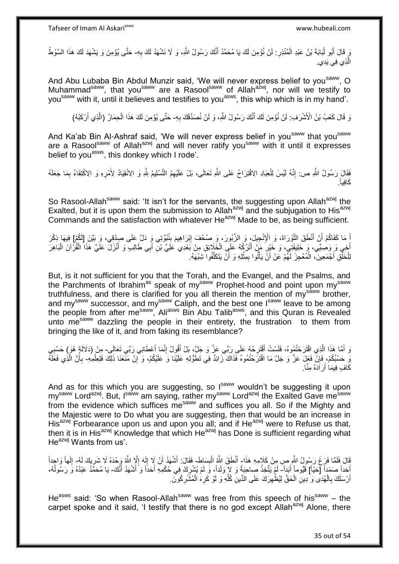رَ قَالَ أَبُو لُبَابَةَ بْنُ عَبْدِ الْمُنْذِرِ : لَنْ نُؤْمِنَ لَكَ يَا مُحَمَّدُ أَنَّكَ رَسُولُ الثَّهِ، وَ لَا نَشْهَدُ لَكَ بِهِ- حَتَّى يُؤْمِنَ وَ يَشْهَدَ لَكَ هَذَا السَّوْطُ ِ ْ ُ َ **∶** َ الَّذِ*ي* فِ*ي* يَدِي. ه

And Abu Lubaba Bin Abdul Munzir said, 'We will never express belief to you<sup>saww</sup>, O Muhammad<sup>saww</sup>, that you<sup>saww</sup> are a Rasool<sup>saww</sup> of Allah<sup>azwj</sup>, nor will we testify to you<sup>saww</sup> with it, until it believes and testifies to you<sup>asws</sup>, this whip which is in my hand'.

وَ قَالَ كَعْبُ بْنُ الْأَشْرَفِ: لَنْ نُؤْمِنَ لَكَ أَنَّكَ رَسُولُ اللَّهِ، وَ لَنْ نُصَدِّقَكَ بِهِ- حَتَّى يُؤْمِنَ لَكَ هَذَا الْحِمَارُ (الَّذِي أَرْكَبُهُ) ِ َ َ ه ْ لَ

And Ka'ab Bin Al-Ashraf said, 'We will never express belief in you<sup>saww</sup> that you<sup>saww</sup> are a Rasoolsaww of Allah<sup>azwj</sup> and will never ratify you<sup>saww</sup> with it until it expresses belief to you<sup>asws</sup>, this donkey which I rode'.

ِ فَقَالَ رَسُولُ اللَّهِ ص: إِنَّهُ لَيْسَ لِلْعِبَادِ الِاقْتِرَاحُ عَلَى اللَّهِ تَعَالَى، بَلْ عَلَيْهِمُ التَّسْلِيمُ لِلَّهِ وَ الِالْقِيَادُ لِأَمْرِهِ وَ الِاكْتِفَاءُ بِمَا جَعَلَهُ ْ יִי (ו ِ ِ . َكاِفياً

So Rasool-Allah<sup>saww</sup> said: 'It isn't for the servants, the suggesting upon Allah<sup>azwj</sup> the Exalted, but it is upon them the submission to Allah<sup>azwj</sup> and the subjugation to His<sup>azwj</sup> Commands and the satisfaction with whatever He<sup>azwj</sup> Made to be, as being sufficient.

إَ مَا كَفَاكُمْ أَنْ أَنْطَقَ التَّوْرَاةَ، وَ الْإِنْجِيلَ، وَ الزَّبُورَ، وَ صُحُفَ إِبْرَاهِيمَ بِنُبُوَّتِي وَ ذَلَّ عَلَى صِدْقِي، وَ بَيَّنَ إِلَٰٓئُهِمْ إِنِّكْرَ َ َ **∶** ِ أَخِي وَ وَصِبِّي، وَ خَلِيفَتِي، وَ خَيْرٍ مَنْ أَتْرُكُهُ عَلَى الْخَلَاثِقِ مِنْ بَعْدِي عَلَىّ بْنِّ أَبِي طَالِبٍ وَ أَنْزَلَ عَلَىّ هَذَا الْقُرْآنَ الْبَاهِرَ َ َ ْ ِ ْ ْ لِلْخَلْقِ أَجْمَعِينَ، الْمُعْجِزَ لَهُمْ عَنْ أَنَّ يَأْتُوا بِمِثْلِهِ وَ أَنْ يَتَكَلَّفُوا َشِبْهَهُ. ه اُ ْ ِ ֧֧֧֧֧֧֧֧֦֧֧֧֧֧֘֝֟֝֟֓֟֓֟֓֟֓֓֟֓֓֟֓֡֟֓֡֟֓֟֓֟֓֡֟֓֟֓֟֓֡֟֓֓֞֟֓֟֓֡֟֓֓֞֟֓֡֟֓֡֟֓֟֓֟֓֝֬֓֬֓֓֝֬֝֬֝֬ اُ ْ ْ ْ

But, is it not sufficient for you that the Torah, and the Evangel, and the Psalms, and the Parchments of Ibrahim<sup>as</sup> speak of my<sup>saww</sup> Prophet-hood and point upon my<sup>saww</sup> truthfulness, and there is clarified for you all therein the mention of my<sup>saww</sup> brother, and my<sup>saww</sup> successor, and my<sup>saww</sup> Caliph, and the best one I<sup>saww</sup> leave to be among the people from after me<sup>saww</sup>, Ali<sup>asws</sup> Bin Abu Talib<sup>asws</sup>, and this Quran is Revealed unto me<sup>saww</sup> dazzling the people in their entirety, the frustration to them from bringing the like of it, and from faking its resemblance?

رَ أَمَّا هَذَا الَّذِي اقْتَرَحْتُمُوهُ، فَلَسْتُ أَقْتَرِحُهُ عَلَى رَبِّي عَزَّ وَ جَلَّ، بَلْ أَقُولُ إِنَّمَا أَعْطَانِي رَبِّي تَعَالَى- مِنْ (دَلَالَةٍ هُوَ) حَسْبِي ِ َ ه َ ِ َ **∶** وَ حَسْبُكُمْ، فَإِنّْ فَعَلَ عَزَّ وَ جَلَّ مَا اقْتَرَحْتُمُوهُ فَذَاكَ زَائِدٌ فِي تَطَوُّلِهِ عَلَيْنَا وَ عَلَيْكُمْ، وَ آبِنْ مَنْعَنَا ذَلِكَ فَلِعِلْمِهِ- بِأَنَّ الَّذِي فَعَلَهُ ِ ِ ْ ه أ ِ كَافٍ فِيمَا أَرَادَهُ مِنَّا. اُ

And as for this which you are suggesting, so I<sup>saww</sup> wouldn't be suggesting it upon my<sup>saww</sup> Lord<sup>azwj</sup>. But, I<sup>saww</sup> am saying, rather my<sup>saww</sup> Lord<sup>azwj</sup> the Exalted Gave me<sup>saww</sup> from the evidence which suffices me<sup>saww</sup> and suffices you all. So if the Mighty and the Majestic were to Do what you are suggesting, then that would be an increase in His<sup>azwj</sup> Forbearance upon us and upon you all; and if He<sup>azwj</sup> were to Refuse us that, then it is in His<sup>azwj</sup> Knowledge that which He<sup>azwj</sup> has Done is sufficient regarding what  $He^{azwj}$  Wants from us'.

قَالَ فَلَمَّا فَرَغَ رَسُولُ اللَّهِ صِ مِنْ كَلَامِهِ هَذَا- أَنْطَقَ اللَّهُ الْبِسَاطَ- فَقَالَ: أَشْهَدُ أَنْ لَا إِلَهَ إِلَّا اللَّهُ وَحْدَهُ لَا شَرِيكَ لَمُ- إِلَهاً وَاحِداً **∣** ْ ِ ِ لَ ∣∣<br>ِ َ َ ِ أَحَداً صَمَداً [حَيّاً] قَيُّوماً أَبَداً- لَمْ يَتَّخِذْ صاحِبَةً وَ لاٍ وَلَداً، وَ لَمْ يُشْرِكْ فِي حُكْمِهِ أَحَداً وَ أَشْهَدُ أَنَّكَ- يَا مُحَمَّدُ عَبْدُهُ وَ رَسُولُهُ، َ **∶** .<br>. َ َ َ ُ أَرْسَلَكَ بِالْهُدَى وَ دِينِ الْحَقِّ لِيُظْهِرَكَ عَلَى الدِّينِ كُلِّهِ وَ لَوْ كَرِهَ الْمُشْرِكُونَ ِ ْ **∶** ِ ْ ِ ْ ِ ِّ

He<sup>asws</sup> said: 'So when Rasool-Allah<sup>saww</sup> was free from this speech of his<sup>saww</sup> – the carpet spoke and it said, 'I testify that there is no god except Allah<sup>azwj</sup> Alone, there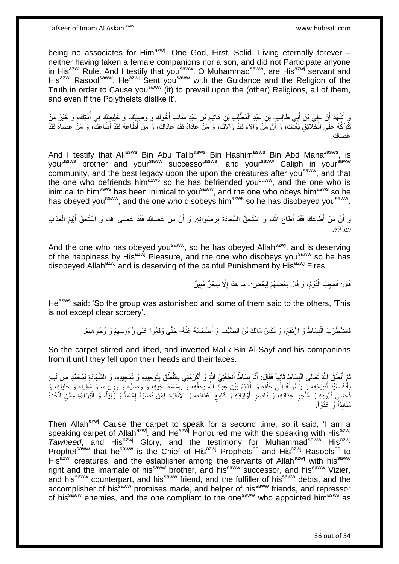being no associates for Him<sup>azwj</sup>- One God, First, Solid, Living eternally forever neither having taken a female companions nor a son, and did not Participate anyone in His<sup>azwj</sup> Rule. And I testify that you<sup>saww</sup>, O Muhammad<sup>saww</sup>, are His<sup>azwj</sup> servant and His<sup>azwj</sup> Rasool<sup>saww</sup>. He<sup>azwj</sup> Sent you<sup>saww</sup> with the Guidance and the Religion of the Truth in order to Cause you<sup>saww</sup> (it) to prevail upon the (other) Religions, all of them, and even if the Polytheists dislike it'.

ِّ أَشْهَدُ أَنَّ عَلِيَّ بْنَ أَبِي طَالِبٍ بْنِ عَبْدِ الْمُطَّلِبِ بْنِ هَاشِمِ بْنِ عَبْدِ مَنَافٍ أَخُوكَ وَ وَصِبِيًّكَ، وَ خَلِيْفَتُكَ فِي أُمَّتِكَ، وَ خَيْرُ مَنْ َ ْ َ ِ نَّتْرُكُهُ عَلَى الْخَلَّائِقِ بَعْدَكَ، وَ أَنَّ مَّنْ وَالاهُ فَقَدْ وَالالَّكَ، وَ مَنْ َعَادَاهُ فَقَدْ عَادَاكَ، وَ مَنْ أَطَاعَهُ فَقَدْ أَطَاعَكَ، وَ مَنْ عَصَاهُ فَقَدْ َ ْ عَصَاكَ

And I testify that Ali<sup>asws</sup> Bin Abu Talib<sup>asws</sup> Bin Hashim<sup>asws</sup> Bin Abd Manaf<sup>asws</sup>, is yourasws brother and yoursaww successor<sup>asws</sup>, and your<sup>saww</sup> Caliph in your<sup>saww</sup> community, and the best legacy upon the upon the creatures after you<sup>saww</sup>, and that the one who befriends him<sup>asws</sup> so he has befriended you<sup>saww</sup>, and the one who is inimical to him<sup>asws</sup> has been inimical to you<sup>saww</sup>, and the one who obeys him<sup>asws</sup> so he has obeyed you<sup>saww</sup>, and the one who disobeys him<sup>asws</sup> so he has disobeyed you<sup>saww</sup>.

وَ أَنَّ مَنْ أَطَاعَكَ فَقَدْ أَطَاعَ اللَّهَ، وَ اسْتَحَقَّ السَّعَادَةَ بِرِضْوَانِهِ. وَ أَنَّ مَنْ عَصَاكَ فَقَدْ عَصَى اللَّهَ، وَ اسْتَحَقَّ أَلِيمَ الْعَذَاب اً **∶** ْ َ بِنِيرَانِهِ. ِ

And the one who has obeyed you<sup>saww</sup>, so he has obeyed Allah<sup>azwj</sup>, and is deserving of the happiness by His<sup>azwj</sup> Pleasure, and the one who disobeys you<sup>saww</sup> so he has disobeyed Allah<sup>azwj</sup> and is deserving of the painful Punishment by His<sup>azwj</sup> Fires.

> قَالَ: فَعَجِبَ الْقَوْمُ، وَ قَالَ بَعْضُهُمْ لِبَعْضٍ:- مَا هَذَا إِلَّا سِحْرٌ مُبِينٌ. ْ ِ ِ

He<sup>asws</sup> said: 'So the group was astonished and some of them said to the others, 'This is not except clear sorcery'.

> فَاضْطَرَبَ الْبِسَاطُ وَ ارْتَفَعَ، وَ نَكَسَ مَالِكَ بْنَ الصَّيْفِ وَ أَصْحَابَهُ عَنْهُ- حَتَّى وَقَعُوا عَلَى رُءُوسِهِمْ وَ وُجُوهِهِمْ. َ **∣** ْ ِ ِ

So the carpet stirred and lifted, and inverted Malik Bin Al-Sayf and his companions from it until they fell upon their heads and their faces.

نُمَّ أَنْطَقَ اللَّهُ تَعَالَى الْبِسَاطَ ثَانِياً فَقَالَ: أَنَا بِسَاطٌ أَنْطَقَنِيَ اللَّهِ وَ أَكْرَمَنِي بِالنُّطْقِ بِتَوْحِيدِهِ وَ تَمْحِيدِهِ، وَ الشَّهَادَةِ لِمُحَمَّدٍ صِ نَبِيِّهِ **∶** َ َ **ِ** َ َ **∣** ْ َ ِ **!** بِأَنَّهُ سَيِّدُ أَنْبِيَائِهِ، وَ رَسُولُهُ إِلَى خَلْقِهِ وَ الْقَائِمُ بَيْنَ عِبَالِّهِ اللَّهِ بِحَقِّهِ، وَ أَبِهَامَةِ أَخِيهِ، وَ وَصِيِّهِ وَ وَزِيرِهِ، وَ شَقِيقِهِ وَ خَلِيلِهِ، وَ ْ ْ ِ ُ ِ اً<br>ا َ **∶** ِ ِ َ ِ ِ ِ قَاضِيٍ دُيُونَهِ وَ مُنْجِزِ عِدَاتِهِ، وَ نَاصِرِ أَوْلِيَائِهِ وَ قَامِعِ أَعْدَائِهِ، وَ الِأَنْقِيَادِ لِمَنْ نَصنَهُ إِمَاماً وَ وَلِيّاً، وَ الْبَرَاءَةِ مِمَّنِ اتَّخَذُهُ ِ َ ِ َ **∶ ∶** ْ مُنَابِذاً ۖ وَ عَدُوّاً ۚ

Then Allah<sup>azwj</sup> Cause the carpet to speak for a second time, so it said, 'I am a speaking carpet of Allah<sup>azwj</sup>, and He<sup>azwj</sup> Honoured me with the speaking with His<sup>azwj</sup> Tawheed, and His<sup>azwj</sup> Glory, and the testimony for Muhammad<sup>saww</sup> His<sup>azwj</sup> Prophet<sup>saww</sup> that he<sup>saww</sup> is the Chief of His<sup>azwj</sup> Prophets<sup>as</sup> and His<sup>azwj</sup> Rasools<sup>as</sup> to His $\frac{3}{2}$  creatures, and the establisher among the servants of Allah<sup>azwj</sup> with his<sup>saww</sup> right and the Imamate of his<sup>saww</sup> brother, and his<sup>saww</sup> successor, and his<sup>saww</sup> Vizier, and his<sup>saww</sup> counterpart, and his<sup>saww</sup> friend, and the fulfiller of his<sup>saww</sup> debts, and the accomplisher of his<sup>saww</sup> promises made, and helper of his<sup>saww</sup> friends, and repressor of his<sup>saww</sup> enemies, and the one compliant to the one<sup>saww</sup> who appointed him<sup>asws</sup> as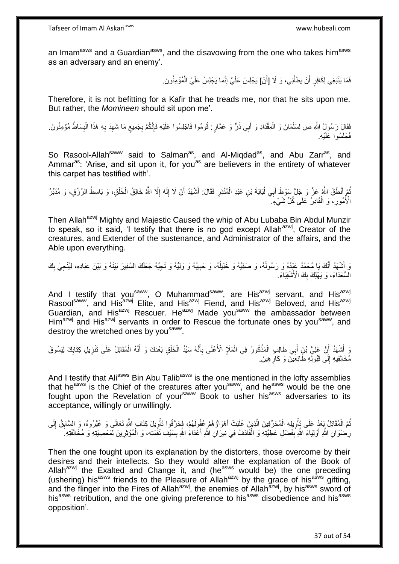an Imam<sup>asws</sup> and a Guardian<sup>asws</sup>, and the disavowing from the one who takes him<sup>asws</sup> as an adversary and an enemy'.

> فَمَا يَنْبَغِي لِكَافِرٍ أَنْ يَطَأَنِي، وَ لَا [أَنْ] يَجْلِسَ عَلَيَّ إِنَّمَا يَجْلِسُ عَلَيَّ الْمُؤْمِنُونَ. َ ْ ِ

Therefore, it is not befitting for a Kafir that he treads me, nor that he sits upon me. But rather, the *Momineen* should sit upon me'.

فَقَالٍَ رَسُولُ اللَّهِ ص لِسَلْمَانَ وَ الْمِقْدَادِ وَ أَبِي ذَرٌّ وَ عَمَّارٍ : قُومُوا فَاجْلِسُوا عَلَيْهِ فَإِنَّكُمْ بِجَمِيعِ مَا شَهِدَ بِهِ هَذَا الْبِسَاطُ مُؤْمِنُونَ ِ ا∣<br>ِ∘ِ ْ ْ ِ ْ **∶** ِ ِ ِ فَجَلَسُوا عَلَيْهِ

So Rasool-Allah<sup>saww</sup> said to Salman<sup>as</sup>, and Al-Migdad<sup>as</sup>, and Abu Zarr<sup>as</sup>, and Ammar<sup>as</sup>: 'Arise, and sit upon it, for you<sup>as</sup> are believers in the entirety of whatever this carpet has testified with'.

نُمَّ أَنْطَقَ اللَّهُ عَزَّ وَ جَلَّ سَوْطَ أَبِي لُبَابَةَ بْنِ عَبْدِ الْمُنْذِرِ فَقَالَ: أَشْهَدُ أَنْ لَا إِلَهَ إِلَّا اللَّهُ خَالِقُ الْخَلْقِ، وَ بَاسِطُ الرِّزْقِ، وَ مُدَبِّرُ ِ ْ ا<br>1 َ ْ ْ ِ لَ ِ َ الْأُمُورِ ، وَ الْقَادِرُ ۚ عَلَى كُلِّ شَيْءٍ ۗ ْ ِ

Then Allah<sup>azwj</sup> Mighty and Majestic Caused the whip of Abu Lubaba Bin Abdul Munzir to speak, so it said, 'I testify that there is no god except Allah<sup>azwj</sup>, Creator of the creatures, and Extender of the sustenance, and Administrator of the affairs, and the Able upon everything.

وَ أَشْهَدُ أَنَّكَ يَا مُحَمَّدُ عَذُهُ وَ رَسُولُهُ، وَ صَفِيُّهُ وَ خَلِيلُهُ، وَ وَلِيلُهُ وَ نَجِيُّهُ جَعَلَكَ السَّفِيرَ بَيْنَهُ وَ بَيْنَ عِبَادِهِ، لِيُنْجِيَ بِكَ ِ ٔ<br>ا ان<br>ا َ َ ِ الْسُّعَدَاءَ، وَ يَهْلِكَ بِكَ الْأَشْقِيَاءَ  $\frac{1}{2}$ 

And I testify that you<sup>saww</sup>, O Muhammad<sup>saww</sup>, are His<sup>azwj</sup> servant, and His<sup>azwj</sup> Rasool<sup>saww</sup>, and His<sup>azwj</sup> Elite, and His<sup>azwj</sup> Fiend, and His<sup>azwj</sup> Beloved, and His<sup>azwj</sup> Guardian, and His<sup>azwj</sup> Rescuer. He<sup>azwj</sup> Made you<sup>saww</sup> the ambassador between Him<sup>azwj</sup> and His<sup>azwj</sup> servants in order to Rescue the fortunate ones by you<sup>saww</sup>, and destroy the wretched ones by you<sup>saww</sup>.

وَ أَشْهَدُ أَنَّ عَلِيَّ بْنِ أَبِي طَالِبٍ الْمَذْكُورُ فِي الْمَلَإِ الْأَعْلَى بِأَنَّهُ سَيِّدُ الْخَلْقِ بَعْدَكَ وَ أَنَّهُ الْمُقَاتِلُ عَلَى تَنْزِيلِ كِتَابِكَ لِيَسُوقَ َ ِ ْ **ٔ** ْ َ َ ِ ِ ْ َ ْ ْ مُخَالِفِيهِ إِلَى قَبُولِّهِ طَائِعِينَ وَ كَارِهِينَ ِ  $\frac{1}{2}$ 

And I testify that Ali<sup>asws</sup> Bin Abu Talib<sup>asws</sup> is the one mentioned in the lofty assemblies that he<sup>asws</sup> is the Chief of the creatures after you<sup>saww</sup>, and he<sup>asws</sup> would be the one fought upon the Revelation of you<sup>saww</sup> Book to usher his<sup>asws</sup> adversaries to its acceptance, willingly or unwillingly.

نُمَّ الْمُقَاتِلُ بَعْدُ عَلَى تَأْوِيلِهِ الْمُحَرِّفِينَ الَّذِينَ غَلَبَتْ أَهْوَاؤُهُمْ عُقُولَهُمْ، فَحَرَّفُوا تَأْوِيلَ كِتَابِ اللَّهِ تَعَالَى وَ غَيَّرُوهُ، وَ السَّابِقُ إِلَى ْ ِ ا<br>است ْ ِ ِ ْ لَ ِ رِحْنُوَانِ اللَّهِ أَوْلِيَاءَ اللَّهِ بِفَضْلِ عَطِيَّتِهِ وَ الْقَاذِفُ فِي نِيرَانِ اللَّهِ أَعْدَاءَ اللَّهِ بِسَيْفِ نَقِمَتِهِ، وَ الْمُؤْثِرِينَ لِمَعْصِيَتِهِ وَ مُخَالَفَتِهِ. ْ **∣** َ ِ ْ ِ َ ِ

Then the one fought upon its explanation by the distorters, those overcome by their desires and their intellects. So they would alter the explanation of the Book of Allah<sup>azwj</sup> the Exalted and Change it, and (he<sup>asws</sup> would be) the one preceding (ushering) his<sup>asws</sup> friends to the Pleasure of Allah<sup>azwj</sup> by the grace of his<sup>asws</sup> gifting, and the flinger into the Fires of Allah<sup>azwj</sup>, the enemies of Allah<sup>azwj</sup>, by his<sup>asws</sup> sword of his<sup>asws</sup> retribution, and the one giving preference to his<sup>asws</sup> disobedience and his<sup>asws</sup> opposition'.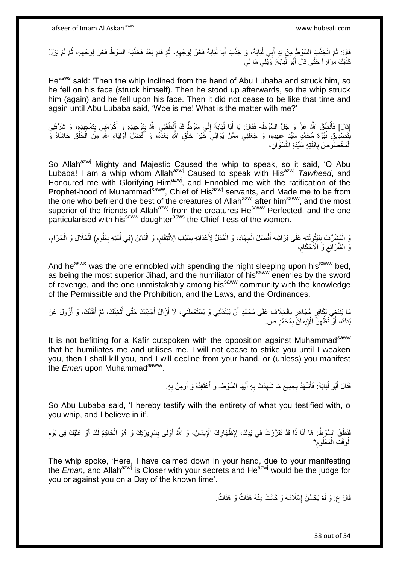قَالَ: ثُمَّ انْجَذَبَ السَّوْطُ مِنْ يَدِ أَبِي لُبَابَةَ، وَ جَذَبَ أَبَا لُبَابَةَ فَخَرَّ لِوَجْهِهِ، ثُمَّ لَمْ يَزَلْ لَهَجَدَبَهُ السَّوْطُ فَخَرَّ لِوَجْهِهِ، ثُمَّ لَمْ يَزَلْ ُ ُ ِ ا<br>ا َ ُ<br>ا ُ ِ كَذَلِكَ مِرَارٍ أَ حَتَّى قَالَ أَبُو لُبَابَةَ: وَيْلِي مَا لِي ُ َ

He<sup>asws</sup> said: 'Then the whip inclined from the hand of Abu Lubaba and struck him, so he fell on his face (struck himself). Then he stood up afterwards, so the whip struck him (again) and he fell upon his face. Then it did not cease to be like that time and again until Abu Lubaba said, 'Woe is me! What is the matter with me?'

[قَالَ] فَأَنْطَقَ اللَّهُ عَزَّ وَ جَلَّ السَّوْطَ- فَقَالَ: يَا أَبَا لَبَابَةَ إِنِّي سَوْطٌ قَدْ أَنْطَقَنِي اللَّهُ بِتَوْحِيدِهِ وَ أَكْرَمَنِي بِتَمْجِيدِهِ، وَ شَرَّفَنِي َ َ ِ َ ِ ُ ِ ِنَجْمِنْدِيقِ نُبُوَّةِ مُحَمَّدٍ سَيِّدٍ عَبِيدِهِ، وَ جَعَلَنِي مِمَّنْ يُوَالِيَ خَيْرَ خَلْقِ اللَّهِ بَعْدَهُ، وَ أَفْضَلَ أَوْلِيَاءِ اللَّهِ مِنَ الْخَلْقِ حَاشَاهُ وَ **! ֓** ْ ْ َ َ ْ اَلْمَخْصُوَصَ بِابْنَتِهِ سَيِّدَةِ النِّسْوَانِ، ِ

So Allah<sup>azwj</sup> Mighty and Majestic Caused the whip to speak, so it said, 'O Abu Lubaba! I am a whip whom Allahazwj Caused to speak with Hisazwj *Tawheed*, and Honoured me with Glorifying Him<sup>azwj</sup>, and Ennobled me with the ratification of the Prophet-hood of Muhammad<sup>saww</sup>, Chief of His<sup>azwj</sup> servants, and Made me to be from the one who befriend the best of the creatures of Allah<sup>azwj</sup> after him<sup>saww</sup>, and the most superior of the friends of Allah<sup>azwj</sup> from the creatures He<sup>saww</sup> Perfected, and the one particularised with his<sup>saww</sup> daughter<sup>asws</sup> the Chief Tess of the women.

وَ الْمُشْرَّفَ بِبَيْتُوِتَتِهِ عَلَى فِرَاشِهِ أَفْضَلَ الْجِهَادِ، وَ الْمُذِلَّ لِأَعْدَائِهِ بِسَيْفِ الِانْتِقَامِ، وَ الْبَائِنَ (فِي أُمَّتِهِ بِعُلُومِ) الْحَلَالِ وَ الْحَرَامِ، ِ **!** ْ ْ َ **∣** ِ ْ ْ ِ ِ ُ ْ  $\zeta$ وَّ الشَّرَاْنِع وَ الْأَحْكَام، ِ

And he<sup>asws</sup> was the one ennobled with spending the night sleeping upon his<sup>saww</sup> bed, as being the most superior Jihad, and the humiliator of his<sup>saww</sup> enemies by the sword of revenge, and the one unmistakably among hissaww community with the knowledge of the Permissible and the Prohibition, and the Laws, and the Ordinances.

مَا يَنْبَغِي لِكَافِرٍ مُجَاهِرٍ بِالْخِلَافِ عَلَى مُحَمَّدٍ أَنْ يَبْتَذِلَنِي وَ يَسْتَعْمِلَنِي، لَا أَزَالُ أُجْذِبُكَ حَتَّى أَتْخِنَكَ، ثُمَّ أَقْتُلُكَ، وَ أَزُولُ عَنْ َ َ اُ ْ ֘<u>֓</u> َ ُ َ ُ **ٔ** ر<br>أأ يَدِكَ، أَوْ تُظْهِرَ ۚ الْإِيمَانَ ۚ بِمُحَمَّدٍ ص ِ ِ َ

It is not befitting for a Kafir outspoken with the opposition against Muhammad<sup>saww</sup> that he humiliates me and utilises me. I will not cease to strike you until I weaken you, then I shall kill you, and I will decline from your hand, or (unless) you manifest the *Eman* upon Muhammad<sup>saww</sup>.

> فَقَالَ أَبُو لُبَابَةَ: فَأَشْهَدُ بِجَمِيعِ مَا شَهِدْتَ بِهِ أَيُّهَا السَّوْطُ- وَ أَعْتَقِدُهُ وَ أُومِنُ بِهِ.  $\zeta$ **∶** َ ار<br>1 َ َ **∶** ِ ُ َ

So Abu Lubaba said, 'I hereby testify with the entirety of what you testified with, o you whip, and I believe in it'.

فَنَطَقَ السَّوْطُ: هَا أَنَا ذَا قَدْ تَقَرَّرْتُ فِي بَدِكَ، لِإِظْهَارِكَ الْإِيمَانَ، وَ اللَّهُ أَوْلَى بِسَرِيرَتِكَ وَ هُوَ الْحَاكِمُ لَكَ أَوْ عَلَيْكَ فِي يَوْمِ َ َ ِ َ ْ ِ ِ ِ الْوَقْتِ الْمَعْلُومِ\* ِ ْ :<br>ا

The whip spoke, 'Here, I have calmed down in your hand, due to your manifesting the *Eman*, and Allah<sup>azwj</sup> is Closer with your secrets and He<sup>azwj</sup> would be the judge for you or against you on a Day of the known time'.

> قَالَ ع: وَ لَمْ يَحْسُنْ إِسْلَامُهُ وَ كَانَتْ مِنْهُ هَذَاتٌ وَ هَذَاتٌ . ِ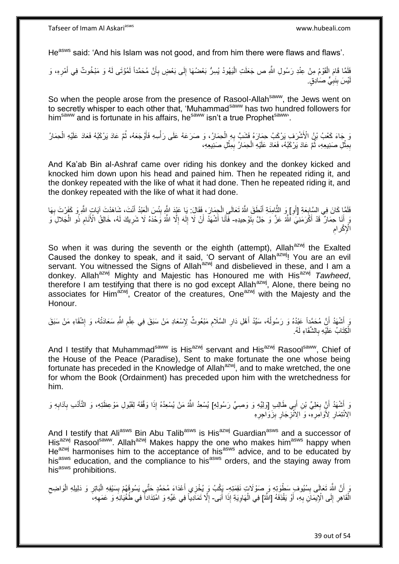He<sup>asws</sup> said: 'And his Islam was not good, and from him there were flaws and flaws'.

فَلَمَا قَامَ الْقَوْمُ مِنْ عِنْدِ رَسُولِ اللَّهِ ص جَعَلَتِ الْيَهُودُ يُسِرُّ بَعْضُهَا إِلَى بَعْضٍ بِأَنَّ مُحَمَّداً لَمُؤْتَى لَهُ وَ مَبْخُوتٌ فِي أَمْرِهِ، وَ لَ َ **∶** ِ :<br>إ ْ ِ َ يْسَ بِنَبِيٍّ صَادِقٍ. ِ **∣** لَ

So when the people arose from the presence of Rasool-Allah<sup>saww</sup>, the Jews went on to secretly whisper to each other that, 'Muhammad<sup>saww</sup> has two hundred followers for him<sup>saww</sup> and is fortunate in his affairs, he<sup>saww</sup> isn't a true Prophet<sup>saww</sup>.

وَ جَاءَ كَعْبُ بْنُ الْأَشْرَفِ يَرْكَبُ حِمَارَهُ فَشَبَّ بِهِ الْحِمَارُ، وَ صَرَعَهُ عَلَى رَأْسِهِ فَأَوْجَعَهُ، ثُمَّ عَادَ يَرْكَبُهُ فَعَادَ عَلَيْهِ الْحِمَارُ ْ ِ ْ ا<br>ا َ **ٔ** بِمِثْلِ صَنِنِيعِهِ، ثُمَّ عَادَ يَرْكَبُهُ، فَعَادَ عَلَيْهِ الْحِمَارُ بِمِثْلِ صَنِنِيعِهِ، **ٔ** ِ ْ ُ **ٔ** ِ

And Ka'ab Bin al-Ashraf came over riding his donkey and the donkey kicked and knocked him down upon his head and pained him. Then he repeated riding it, and the donkey repeated with the like of what it had done. Then he repeated riding it, and the donkey repeated with the like of what it had done.

اً فَلَمَّا كَانَ فِي السَّابِعَةِ [أَوِ] وَ الثَّامِنَةِ أَنْطَقَ اللَّهُ تَعَالَى الْجِمَارَ، فَقَالَ: يَا عَيْدَ اللَّهِ بِئْسَ الْعَنْدُ أَنْتَ، شَاهَدْتَ آياتٍ اللَّهِ وَ كَفَرْتَ بِهَا **∶** َ ْ  $\frac{1}{2}$ ْ َ ه ِ وَ إِنَا حِمَارٌ ۖ قَدْ أَكْرَمَنِيَ اللَّهُ عَنَّ وَ جَلَّ بِتَوْحِيدِهِ- فَأَنَا أَشْهَدُ أَنْ لَا إِلَهَ إِلَّا اللَّهُ وَحْدَهُ لَا شَرِيكَ لَهُ، خَالِقُ الْأَنَامِ ذُو الْجَلالِ وَ ِ َ َ ِ َ َ َ ِ ِ ا<br>ا ْ ِ الْإِكْرامِ

So when it was during the seventh or the eighth (attempt), Allah<sup>azwj</sup> the Exalted Caused the donkey to speak, and it said, 'O servant of Allah<sup>azwj</sup>! You are an evil servant. You witnessed the Signs of Allah<sup>azwj</sup> and disbelieved in these, and I am a donkey. Allah<sup>azwj</sup> Mighty and Majestic has Honoured me with His<sup>azwj</sup> Tawheed, therefore I am testifying that there is no god except Allah<sup>azwj</sup>, Alone, there being no associates for Him<sup>azwj</sup>, Creator of the creatures, One<sup>azwj</sup> with the Majesty and the Honour.

ِ ِ أَشْهَدُ أَنَّ مُحَمَّداً عَبْدُهُ وَ رَسُولُهُ، سَيِّدُ أَهْلِ دَارِ السَّلَامِ مَبْعُوثٌ لِإِسْعَادِ مَنْ سَبَقَ<br>وَ يَسْهُدُ أَنَّ مُحَمَّداً عَبْدُهُ وَ رَسُولُهُ، سَيِّدُ أَهْلِ دَارِ السَّلَامِ مَبْعُوثٌ لِإِسْعَاد **∶** َ ٔ<br>ا اُ ِ ِ ْ الْكِتَابُ عَلَيْهِ بِالشَّقَاءِ لَهُ. ِ ْ

And I testify that Muhammad<sup>saww</sup> is His<sup>azwj</sup> servant and His<sup>azwj</sup> Rasool<sup>saww</sup>, Chief of the House of the Peace (Paradise), Sent to make fortunate the one whose being fortunate has preceded in the Knowledge of Allah<sup>azwj</sup>, and to make wretched, the one for whom the Book (Ordainment) has preceded upon him with the wretchedness for him.

وَ أَشْهَدُ أَنَّ بِعَلِيِّ بْنِ أَبِي طَالِبٍ [وَلِيِّهِ وَ وَصِمِّ رَسُولِهِ] يُسْعِدُ اللَّهُ مَنْ يُسْعِدُهُ إِذَا وَفَقَهُ لِقَبُولِ مَوْعِظَتِهِ، وَ النَّأُدُبِ بِآدَابِهِ وَ َ ِ َ َ ِ ِ َ الِاُنْتِمَارِ لِأَوَامَِرِةِ، وَ الِاَنْزِجَارِ بِزَوَاجِرِهِ **∶** ِ **∶ ∶ ∶ ∶** 

And I testify that Ali<sup>asws</sup> Bin Abu Talib<sup>asws</sup> is His<sup>azwj</sup> Guardian<sup>asws</sup> and a successor of His<sup>azwj</sup> Rasool<sup>saww</sup>. Allah<sup>azwj</sup> Makes happy the one who makes him<sup>asws</sup> happy when  $He^{azwj}$  harmonises him to the acceptance of his<sup>asws</sup> advice, and to be educated by his<sup>asws</sup> education, and the compliance to his<sup>asws</sup> orders, and the staying away from his<sup>asws</sup> prohibitions.

وَ أَنَّ اللَّهَ تَعَالَى بِسُيُوفِ سَطْوَتِهِ وَ صَوْلَاتٍ نَقِمَتِهِ- يَكُبُ وَ يُخْزِي أَعْدَاءَ مُحَمَّدٍ حَتَّي يَسُوقَهُمْ بِسَيْفِهِ الْبَاتِرِ وَ دَلِيلِهِ الْوَاضِحِ **ِ**  $\zeta$ ْ ِ ْ ِ َ الْقَاهِرِ إِلَى الْإِيمَانِ بِهِ، أَوْ يَقْذِفَهُ [اللَّهُ] فِي الْهَاوِيَةِ إِذَا أَبَى- إِلَّا تَمَادِيَاً فِي غَيِّهِ وَ امْتِدَاداً فِي طُغْيَانِهِ وَ عَمَهِهِ، َ ِ ِ **∶** َ ِ ْ ِ ِ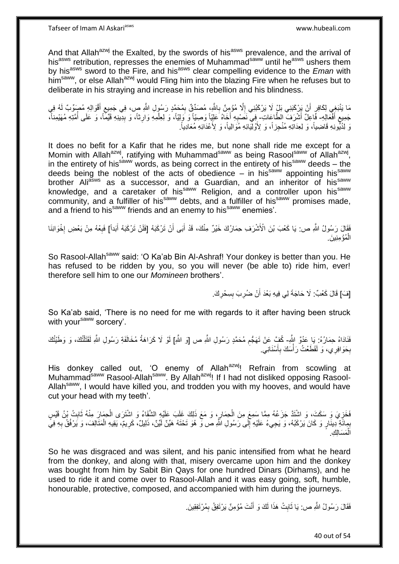And that Allah<sup>azwj</sup> the Exalted, by the swords of his<sup>asws</sup> prevalence, and the arrival of his<sup>asws</sup> retribution, represses the enemies of Muhammad<sup>saww</sup> until he<sup>asws</sup> ushers them by his<sup>asws</sup> sword to the Fire, and his<sup>asws</sup> clear compelling evidence to the *Eman* with him<sup>saww</sup>, or else Allah<sup>azwj</sup> would Fling him into the blazing Fire when he refuses but to deliberate in his straying and increase in his rebellion and his blindness.

مَا يَنْبَغِي لِكَافِرٍ أَنْ يَرْكَبَنِي بَلٍْ لَا يَرْكَبُنِي إِلَّا مُؤْمِنٌ بِاللَّهِ، مُصَنِّقٌ بِمُحَمَّدٍ رَسُولِ اللَّهِ صٍ، فِي جَمِيعِ أَقْوَالِهِ مُصٖنِّ لَهُ فِي اً َ ِ ِ **∶** ِ جَمِيع أَفْعَالِهِ- فَاعِلٌ أَشْرَفَ الطَّاعَاتِ- فِي نَصْبِهِ أَخَاهُ عَلِيّاً وَصِيّاً وَ وَلِيّاً، وَ لِعِلْمِهِ وَارِثاً، وَ بِدِينِهِ فَيِّماً، وَ عَلَى أُمَّتِهِ مُهَيْمِناً، َ ِ **∶** ْ َ **∶** ا<br>ا ِ رَ لِدُيُونِهِ قَاضِياً، وَ لِعِدَاتِهِ مُنْجِزاً، وَ لِأَوْلَيْكِهِ مُوَالِياً، وَ لِأَعْدَابَهِ مُعَادِياً.

It does no befit for a Kafir that he rides me, but none shall ride me except for a Momin with Allah<sup>azwj</sup>, ratifying with Muhammad<sup>saww</sup> as being Rasool<sup>saww</sup> of Allah<sup>azwj</sup>, in the entirety of his<sup>saww</sup> words, as being correct in the entirety of his<sup>saww</sup> deeds – the deeds being the noblest of the acts of obedience – in his<sup>saww</sup> appointing his<sup>saww</sup> brother Ali<sup>asws</sup> as a successor, and a Guardian, and an inheritor of his<sup>saww</sup> knowledge, and a caretaker of his<sup>saww</sup> Religion, and a controller upon his<sup>saww</sup> community, and a fulfiller of his<sup>saww</sup> debts, and a fulfiller of his<sup>saww</sup> promises made, and a friend to his<sup>saww</sup> friends and an enemy to his<sup>saww</sup> enemies'.

فَقَالَ رَسُولُ اللَّهِ ص: يَا كَعْبَ بْنَ الْأَشْرَفِ حِمَارُكَ خَيْرٌ مِنْكَ، قَدْ أَبَى أَنْ تَرْكَبَهُ [فَلَنْ تَرْكَبَهُ أَبَداً] فَبِعْهُ مِنْ بَعْضِ إِخْوَانِنَا َ َ ן<br>י ِ َ الْمُؤْمِنِينَ. ْ

So Rasool-Allah<sup>saww</sup> said: 'O Ka'ab Bin Al-Ashraf! Your donkey is better than you. He has refused to be ridden by you, so you will never (be able to) ride him, ever! therefore sell him to one our *Momineen* brothers'.

> ِ [فَ] قَالَ كَعْبٌ: لَا حَاجَةَ لِي فِيهِ بَعْدَ أَنْ ضُرِبَ بِسِحْرِكَ. **∣** ِ َ

So Ka'ab said, 'There is no need for me with regards to it after having been struck with your<sup>saww</sup> sorcery'.

فَادَاهُ حِمَارُهُ: بَا عَدُوَّ النُّهِ- كُفٍّ عَنْ تَهَجُّمِ مُحَمَّدٍ رَسُولِ النُّهِ ص [وَ النُّهِ] لَوْ لَا كَرَاهَةُ مُخَالَفَةِ رَسُولِ النُّهِ لَقَتَلْتُكَ، وَ وَطَيْتُكَ ِ ْ بِحَوَافِرِي، وَ لَقَطَعْتُ رَأْسَكَ بِأَسْنَانِي<sub>.</sub> اً ِ :<br>ا ِ

His donkey called out, 'O enemy of Allah<sup>azwj</sup>! Refrain from scowling at Muhammad<sup>saww</sup> Rasool-Allah<sup>saww</sup>. By Allah<sup>azwj</sup>! If I had not disliked opposing Rasool-Allah<sup>saww</sup>, I would have killed you, and trodden you with my hooves, and would have cut your head with my teeth'.

فَخَزِيَ وَ سَكَتَ، وَ اشْتَدَّ جَزَعُهُ مِمَّا سَمِعَ مِنَ الْحِمَارِ، وَ مَعَ ذَلِكَ غَلَبَ عَلَيْهِ الشَّقَاءُ وَ اشْتَرَى الْحِمَارَ مِنْهُ ثَابِتُ بْنُ قَيْسٍ ِ ْ ِ ِ َ ْ بِمِائَةِ ۚدِينَارٍ وَ كَانَ بَرْكَبُهُ، وَ يَجِيءُ عَلَيْهِ إِلَى رَسُولِ اللَّهِ ص وَّ هُوَ تَحْتَهُ هَيِّنٌ لَيِّنٌ، ذَلِيلٌ، كَرِيمٌ، يَقِيهِ الْمَتَالِفَ، وَ يَرْفُقُ بِهِ فِيَّ **∶** لَ ِ **∶** ْ ِ مَسَالِكِ ْ ال

So he was disgraced and was silent, and his panic intensified from what he heard from the donkey, and along with that, misery overcame upon him and the donkey was bought from him by Sabit Bin Qays for one hundred Dinars (Dirhams), and he used to ride it and come over to Rasool-Allah and it was easy going, soft, humble, honourable, protective, composed, and accompanied with him during the journeys.

> فَقَالَ رَسُولُ اللَّهِ ص: يَا ثَابِتُ هَذَا لَكَ وَ أَنْتَ مُؤْمِنٌ يَرْتَفِقُ بِمُرْتَفِقِينَ. ِ َ **∣** َ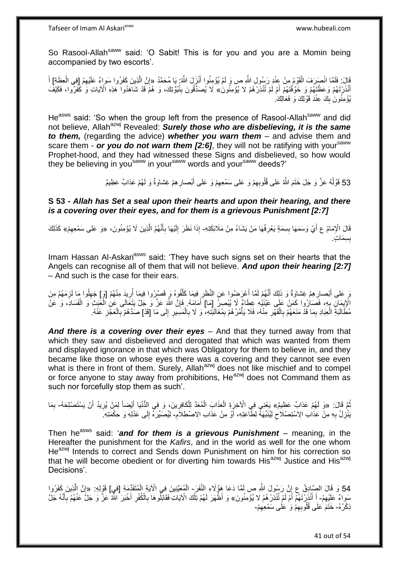So Rasool-Allah<sup>saww</sup> said: 'O Sabit! This is for you and you are a Momin being accompanied by two escorts'.

قَالَ: فَلَمَّا انْصَرَفَ الْقَوْمُ مِنْ عِنْدِ رَسُولِ اللَّهِ ص وَ لَمْ يُؤْمِنُوا أَنْزَلَ اللَّهُ: يَا مُحَمَّدُ «إِنَّ الَّذِينَ كَفَرُوا سَواءٌ عَلَيْهِمْ [فِي الْعِظَةِ] أَ َ ْ ِ ه ِ َ ْ أَنْذَرْتَهُمْ وَعَظْتَهُمْ وَ خَوَّفْتَهُمْ أَمْ لَمْ تُنْذِرْهُمْ لا يُؤْمِنُونَ» لا يُصَدِّقُونَ بِنُبُوَّتِكَ، وَ هُمَّ قَدْ شَاهَدُوا ۖ هَذِهِ الْآيَاتِ وَ كَفَرُوا، فَكَيْفَ **∣** يُؤْمِنُونَ بِكَ عِنْدَ قَوْلِكَ وَ فَعَالِكَ. **!** 

He<sup>asws</sup> said: 'So when the group left from the presence of Rasool-Allah<sup>saww</sup> and did not believe, Allah<sup>azwj</sup> Revealed: **Surely those who are disbelieving, it is the same** *to them,* (regarding the advice) *whether you warn them* – and advise them and scare them - **or you do not warn them [2:6]**, they will not be ratifying with your<sup>saww</sup> Prophet-hood, and they had witnessed these Signs and disbelieved, so how would they be believing in you<sup>saww</sup> in your<sup>saww</sup> words and your<sup>saww</sup> deeds?'

> 53 قَوْلُهُ عَزَّ وَ جَلَ خَتَمَ اللَّهُ عَلى قُلُوبِهِمْ وَ عَلى سَمْعِهِمْ وَ عَلى أَبْصـارِ هِمْ غِشاوَةٌ وَ لَهُمْ عَذابٌ عَظِيمٌ َ ِ ٔ<br>ا

**S 53 -** *Allah has Set a seal upon their hearts and upon their hearing, and there is a covering over their eyes, and for them is a grievous Punishment [2:7]*

قَالَ الْإِمَامُ ع أَيْ وَسَمَهَا بِسِمَةٍ يَعْرِفُهَا مَنْ يَشَاءُ مِنْ مَلَائِكَتِهِ- إِذَا نَظَرَ إِلَيْهَا بِأَنَّهُمُ الَّذِينَ لَا يُؤْمِنُونَ، «وَ عَلى سَمْعِهِمْ» كَذَلِكَ ِ **∣** َ ه َ ِ لَ ِ ېس**مَاتٍ**. **ِ** 

Imam Hassan Al-Askari<sup>asws</sup> said: 'They have such signs set on their hearts that the Angels can recognise all of them that will not believe. *And upon their hearing [2:7]*  – And such is the case for their ears.

وَ عَلى أَبْصارِهِمْ غِشاوَةٌ وَ ذَلِكَ أَنَّهُمْ لَمَّا أَعْرَضُوا عَنِ النَّظَرِ فِيمَا كَلَّفُوهُ وَ قَصَيْرُوا فِيمَا أُرِيدَ مِنْهُمْ [وَ] جَهِلُوا مَا لَزِمَهُمُ مِنَ اً<br>ا َ ِ ِ ِ ِ اُ ه ِ الْإِيمَانِ بِهِ، فَصَارُوا كَمَنْ عَلَى عَيْنَيْهِ غِطَاءٌ لَا يُبْصِرُ إِمَا] أَمَامَهُ فَإِنَّ اللَّهَ عَنّ وَ جَلَّ يَتَعَالَى عَنِ الْعَبَيْ وَ الْفَسَادَ، وَ عَنْ ِ َ ِ ْ ْ لَ ِ مُطَّالَبَةِ الْعِبَادِ بِمَا قَدْ مَنَعَهُمْ بِالْقَهْرِ مِنْهُ، فَلَا يَأْمُرُهُمْ بِمُغَالَبَتِهِ، وَ لَا بِالْمَسِيرِ إِلَى مَا [قَدْ] صَدَّهُمْ بِالْعَجَّزِ عَنْهُ. ِ ْ ِ ِ **المناخ العامل** ِ ْ **∶** ِ ْ ِ ْ ِ

*And there is a covering over their eyes* – And that they turned away from that which they saw and disbelieved and derogated that which was wanted from them and displayed ignorance in that which was Obligatory for them to believe in, and they became like those on whose eyes there was a covering and they cannot see even what is there in front of them. Surely, Allah<sup>azwj</sup> does not like mischief and to compel or force anyone to stay away from prohibitions, He<sup>azwj</sup> does not Command them as such nor forcefully stop them as such'.

ثُمَّ قَالَ: «وَ لَهُمْ عَذابٌ عَظِيمٌ» يَعْنِي فِي الْآخِرَةِ الْعَذَابَ الْمُعَدَّ لِلْكَافِرِينَ، وَ فِي الدُّنْيَا أَيْضاً لِمَنْ يُرِيدُ أَنْ يَسْتَصْلِحَهُ- بِمَا َ ِ َ ِ ْ ْ ْ ِ ِ َبْنُزِلُ بِهِ مِنْ عَذَابِ الِاسْتِصْلَاحِ لِيُنَبِّهَهُ لِطَّاعَتِهِ، أَوْ مِنْ عَذَابِ الِاصْطِلَامِ- لِيُصَبِّرَهُ إِلَى عَدْلِهِ وَ حِكْمَتِهِ ِ اُ ِ **∶ ∶** ِ

Then he<sup>asws</sup> said: 'and for them is a grievous Punishment – meaning, in the Hereafter the punishment for the *Kafirs*, and in the world as well for the one whom He<sup>azwj</sup> Intends to correct and Sends down Punishment on him for his correction so that he will become obedient or for diverting him towards His<sup>azwj</sup> Justice and His<sup>azwj</sup> Decisions'.

54 وَ قَالَ الصِّادِقُ ع إِنَّ رَسُولَ اللَّهِ ص لَمَّا دَعَا هَؤُلَاءِ النَّفَرَ- الْمُعَيَّنِينَ فِي الْآيَةِ الْمُتَقَدِّمَةِ [فِي] قَوْلِهِ: «إِنَّ الَّذِينَ كَفَرُوا ه ِ ْ ْ ِ سَواءٌ عَلَيْهِمْ- أَ أَنْذَرِّتَهُمْ أَمْ لَمْ تُنْذِرْهُمْ لا يُؤْمِنُونَ» وَ أَظْهَرَ لَهُمْ تِلْكَ الْآيَاتِ فَقَابَلُوهَا بِالْكُفْرِ أَخْبَرَ اللَّهُ عَنَّ وَ جَلَّ عَنْهُمْ بِأَنَّهُ جَلَّ ِ َ َ ْ َ ِ َ **ٍ** ِ ذِكْرُهُ- خَتَمَ ٰعَلَى قُلُوبِهِمْ وَ ٰ عَلَى سَمْعِهِمْ-ِ ِ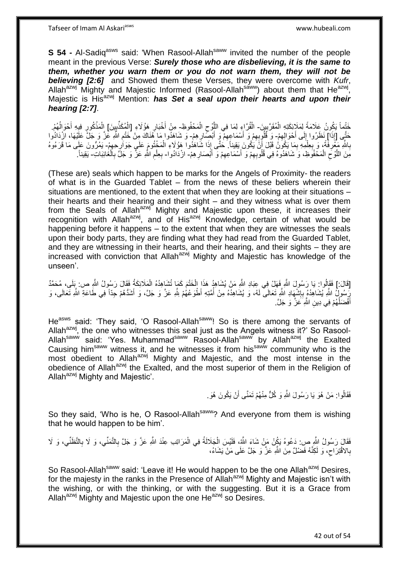**S 54 -** Al-Sadiq<sup>asws</sup> said: 'When Rasool-Allah<sup>saww</sup> invited the number of the people meant in the previous Verse: *Surely those who are disbelieving, it is the same to them, whether you warn them or you do not warn them, they will not be believing [2:6]* and Showed them these Verses, they were overcome with *Kufr*, Allah<sup>azwj</sup> Mighty and Majestic Informed (Rasool-Allah<sup>saww</sup>) about them that He<sup>azwj</sup>, Majestic is His<sup>azwj</sup> Mention: **has Set a seal upon their hearts and upon their** *hearing [2:7]*.

خَتْماً يَكُونُ عَلَامَةً لِمَلَائِكَتِهِ الْمُقَرَّبِينَ- الْقُرَّاءِ لِمَا فِي اللَّوْح الْمَحْفُوظِ- مِنْ أَخْبَارِ هَؤُلَاءِ [الْمُكَذِّبِينَ] اِلْمَذْكُورِ فِيهِ أَحْوَالُهُمْ. ِ ْ ْ ِ ه ِ ْ ِ َ ا<br>ا َ ِ **ٔ** ْ حَتَّى [إِذَا] نَظَرُوا إِلَى أَحْوَالِهِمْ- وَ قُلُوبِهِمْ وَ أَسْمَاعِهِمْ وَ أَبْصِلْرِهِمْ- وَ شَاهَدُوا مَا هَٰذَاكَ مِنْ خَتْمِ اللَّهِ عَٰزَ وَ جَلَّ عَلَيْهَا، ازْدَادُوا ِ َ ∣∣<br>∶ ِ َ ِ َ ِ ِ بِاللَّهِ مَعْرِفَةً، وَ بِعِلْمِهِ بِمَا يَكُونُ قَبْلَ أَنَّ يَكُونَ بَقِيناً. خُتَّى إِذَا شَاهَدُوا هَؤُلَاءِ الْمَخْتُومَ عَلَي جَوَارِحِهِمْ- يَمُرُّونَ عَلَي مَا قَرَءُوهُ ْ اً ِ ْ **∶** ِ **∶**  $\epsilon$ ِ مِنَ اللَّوْحِ الْمَحْفُوظِ، وَ شَاهَدُوهُ فِي قُلُوبِهِمْ وَ أَسْمَاعِهِمْ وَ أَبْصَارِهِمْ- ازْدَادُوا- بِعِلْمِ اللَّهِ عَزَّ وَ جَلَّ بِالْغَائِبَاتِ- يَقِيناً. **∶** َ ِ َ ِ ْ ِ ه ْ ِ ِ ْ ِ

(These are) seals which happen to be marks for the Angels of Proximity- the readers of what is in the Guarded Tablet – from the news of these beliers wherein their situations are mentioned, to the extent that when they are looking at their situations – their hearts and their hearing and their sight – and they witness what is over them from the Seals of Allah $a$ <sup>zwj</sup> Mighty and Majestic upon these, it increases their recognition with Allah<sup>azwj</sup>, and of His<sup>azwj</sup> Knowledge, certain of what would be happening before it happens – to the extent that when they are witnesses the seals upon their body parts, they are finding what they had read from the Guarded Tablet, and they are witnessing in their hearts, and their hearing, and their sights – they are increased with conviction that Allah<sup>azwj</sup> Mighty and Majestic has knowledge of the unseen'.

[قَالَ:] فَقَالُوا: يَا رَسُولَ اللَّهِ فَهَلْ فِي عِبَادِ اللَّهِ مَنْ يُشَاهِدُ هَذَا الْخَتْمَ كَمَا تُشَاهِدُهُ الْمَلَائِكَةُ فَقَالَ رَسُولُ اللَّهِ ص: بَلَى، مُحَمَّدٌ ْ ْ رِّسُولُ اللَّهِ يُشَاهِدُهُ بِإِشْهَادِ اللَّهِ تَعَالَى لَهُ، وَ يُشَاهِدُهُ مِنْ أُمَّتِهِ أَطْوَعُهُمْ لِلَّهِ عَزَّ وَ جَلَّ، وَ أَشَدُّهُمْ جَدَّاً فِي طَاعَةِ اللَّهِ تَعَالَى، وَ ُ ِ ِ َ أَفْضَلُٰهُمْ فِي دِينِ الثَّهِ ۖ عَزَّ وَ جَلَّ ۚ. ُ َ

He<sup>asws</sup> said: 'They said, 'O Rasool-Allah<sup>saww</sup>! So is there among the servants of Allah<sup>azwj</sup>, the one who witnesses this seal just as the Angels witness it?' So Rasool-Allah<sup>saww</sup> said: 'Yes. Muhammad<sup>saww</sup> Rasool-Allah<sup>saww</sup> by Allah<sup>azwj</sup> the Exalted Causing him<sup>saww</sup> witness it, and he witnesses it from his<sup>saww</sup> community who is the most obedient to Allah<sup>azwj</sup> Mighty and Majestic, and the most intense in the obedience of Allah<sup>azwj</sup> the Exalted, and the most superior of them in the Religion of Allah<sup>azwj</sup> Mighty and Majestic'.

> فَقَالُوا: مَنْ هُوَ يَا رَسُولَ اللَّهِ وَ كُلٍّ مِنْهُمْ تَمَنَّى أَنْ يَكُونَ هُوَ . اُ

So they said, 'Who is he, O Rasool-Allah<sup>saww</sup>? And everyone from them is wishing that he would happen to be him'.

فَقَالَ رَسُولُ الثَّهِ ص: دَعُوهُ يَكُنْ مَنْ شَاءَ الثَّهُ، فَلَيْسَ الْجَلَالَةُ فِي الْمَرَاتِب عِنْدَ الثَّهِ عَزَّ وَ جَلَّ بِالتَّمَنِّي، وَ لَا بِالتَّطَنِّي، وَ لَا ْ ْ ِ ِ بِالاَقْتِرَاح، وَ لَكِنَّهُ فَضْلٌ مِنَ النَّهِ عَزَّ وَ جَلَّ عَلَى مَنْ يَشَاءُ،  $\zeta$ **∶** 

So Rasool-Allah<sup>saww</sup> said: 'Leave it! He would happen to be the one Allah<sup>azwj</sup> Desires, for the majesty in the ranks in the Presence of Allah<sup>azwj</sup> Mighty and Majestic isn't with the wishing, or with the thinking, or with the suggesting. But it is a Grace from Allah $a^{2x}$  Mighty and Majestic upon the one He $a^{2x}$  so Desires.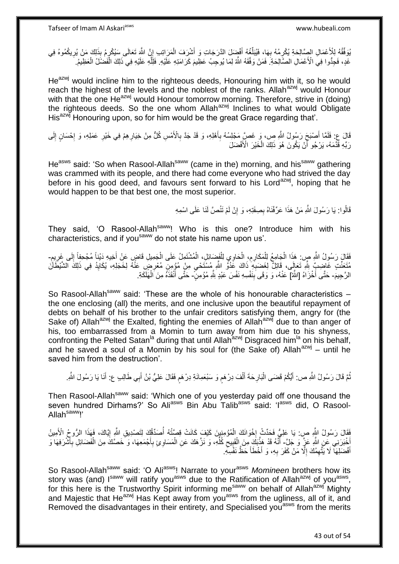يُوفِّقُهُ لِلْأَعْمَالِ الصَّالِحَةِ يُكْرِمُهُ بِهَا، فَيُبَلِّغُهُ أَفْضِلَ الذَّرَجَاتِ وَ أَشْرَفَ الْمَرَاتِبِ إِنَّ اللَّهَ تَعَالَى سَيُكْرِمُ بِذَلِكَ مَنْ يُرِيكُمُوهُ فِي َ ِّ ِ ِ ْ َ ِ ₹ ِ غَدٍ، فَجِدُّوا فِي الْأَعْمَالِ الْصَّالِحَةِ ۖ فَمَنْ وَقَقَهُ اللَّهُ لِمَا يُوجِبُ عَظِيمَ كَرَامَتِهِ عَلَيْهِ. فَلِلَّهِ عَلَيْهِ فِي ذَلِكَ الْفَضْلَلُ الْعَظِيمُ ه ْ ْ

He<sup>azwj</sup> would incline him to the righteous deeds, Honouring him with it, so he would reach the highest of the levels and the noblest of the ranks. Allah<sup>azwj</sup> would Honour with that the one He<sup>azwj</sup> would Honour tomorrow morning. Therefore, strive in (doing) the righteous deeds. So the one whom Allah<sup>azwj</sup> Inclines to what would Obligate His<sup>azwj</sup> Honouring upon, so for him would be the great Grace regarding that'.

قَالَ عِ: فَلَمَّا أَصْبَحَ رَسُولُ اللَّهِ ص، وَ غَصرٍّ مَجْلِسُهُ بِأَهْلِهِ، وَ قَدْ جَدَّ بِالْأَمْسِ كُلٍّ مِنْ خِيَارِهِمْ فِي خَيْرِ عَمَلِهِ، وَ إِحْسَانٍ إِلَى ِ ِ **∫ ∶** َ ِ יֲ<br>י ِ رَبِّهِ قَذَّمَهُ، يَرْجُو أَنْ يَكُونَ هُوَ ذَلِكَ الْخَيْرَ الْأَفْضَلَ ْ ؘ

He<sup>asws</sup> said: 'So when Rasool-Allah<sup>saww</sup> (came in the) morning, and his<sup>saww</sup> gathering was crammed with its people, and there had come everyone who had strived the day before in his good deed, and favours sent forward to his Lord<sup>azwj</sup>, hoping that he would happen to be that best one, the most superior.

> قَالُوا: يَا رَسُولَ اللَّهِ مَنْ هَذَا عَرِّفْنَاهُ بِصِفَدِّهِ، وَ إِنْ لَمْ تَنُصَّ لَنَا عَلَى اسْمِهِ ِ ِ

They said, 'O Rasool-Allah<sup>saww</sup>! Who is this one? Introduce him with his characteristics, and if you<sup>saww</sup> do not state his name upon us'.

فَقَالَ رَسُولُ اللَّهِ صٍ هَذَا الْجَامِعُ لِلْمَكَارِمِ، الْحَاوِي لِلْفَصَائِلِ، الْمُشْتَمِلُ عَلَى الْجَمِيلِ قَاضٍ عَنْ أَخِيهِ دَيْناً مُجْحِفاً إِلَى غَرِيمٍ-ْ ْ ْ ْ ِ ِ ْ ْ ֧֧֧֧֚֓֝֓֝֬֓֝֓֝ ِ ِ َ مُتَعَنِّتٍ غَاضِبٌٍ لِلَّهِ تَعَالَى، قَاتِلٌ لِغَضَبِهِ ذَاكَ عَذُوٌّ اللَّهِ مُسْتَحْيٍ مِنْ مُؤْمِنٍ مُعْرِضٍ عَذُهُ لِخَجَلِهِ، يُكَايِدُ فِي ذَلِكَ الشَّيْطَأَنُ<br>نَقَطَّتُتِ عَاصِبٍ وَ تَقَلِّقُ الْمَسْتَظَلِّلُ لِغ ِ ِ ِ ِ الرَّجِيمَ- حَتَّى أَخْزَاهُ [اللَّهُ] عَنْهُ، وَ وَقَى بِنَفْسِهِ نَفْسَ عَبْدٍ بِلَّهِ مُؤْمِنٍۗ- حَتَّى أَنْقَذَهُ مِنَ الْهَلَكَةِ. **!** ْ َ

So Rasool-Allah<sup>saww</sup> said: 'These are the whole of his honourable characteristics  $$ the one enclosing (all) the merits, and one inclusive upon the beautiful repayment of debts on behalf of his brother to the unfair creditors satisfying them, angry for (the Sake of) Allah<sup>azwj</sup> the Exalted, fighting the enemies of Allah<sup>azwj</sup> due to than anger of his, too embarrassed from a Momin to turn away from him due to his shyness, confronting the Pelted Satan<sup>la</sup> during that until Allah<sup>azwj</sup> Disgraced him<sup>la</sup> on his behalf, and he saved a soul of a Momin by his soul for (the Sake of) Allah $a^{2}$  – until he saved him from the destruction'.

َ نُمَّ قَالَ رَسُولُ اللَّهِ ص: أَيُّكُمْ قَضَى الْبَارِحَةَ أَلْفَ دِرْهَمٍ وَ سَبْعَمِائَةِ دِرْهَمٍ فَقَالَ عَلِيُّ بْنُ أَبِي طَالِبٍ ع: أَنَا يَا رَسُولَ اللَّهِ. ֧֧֧֧֧֧֧֧֓֝֓֝֓֝֓֝֬֟֓֟֓֓֓֟֓֓֟֓֓<del>֛</del> ٍ ْ َ **∶** ا.<br>ا َ ُ َ

Then Rasool-Allah<sup>saww</sup> said: 'Which one of you yesterday paid off one thousand the seven hundred Dirhams?' So Ali<sup>asws</sup> Bin Abu Talib<sup>asws</sup> said: 'I<sup>asws</sup> did, O Rasool-Allah<sup>saww</sup>!'

ِّفَقَالَ رَسُولُ اللَّهِ صِ: يَا عَلِيُّ فَجَدِّثْ إِخْوَانَكَ الْمُؤْمِنِينَ كَيْفٍ كَانَتْ قِصَنَّتُهُ أُصَدِّقُكَ لِتَصْدِيقِ اللَّهِ إِيَّاكَ، فَهَذَا الرُّوحُ الْأَمِينُ  $\frac{1}{2}$ ון<br>≀ ُ إِخْبَرَنِي عَنِ اللَّهِ عَزٍّ وَ جَلَّ- أَنَّهُ قَدْ هَذَّبَكَ مِنَ الْقَبِيحِ كُلِّهِ، وَ نَزَّهَكَ عَنِ الْمَسَاوِئِ بِأَجْمَعِهَا، وَ خَصَّكَ مِنَ الْفَضَائِلِ بِأَشْرَفِهَا وَ َ ِ ْ ِّ  $\zeta$ ِ ْ اً **∶** ْ أَفْضَلِهَا ۖ لَا يَتَّهِمُكَ إِلَّا مَنْ كَفَرَ بِهِ، وَ أَخْطَأَ حَظٌّ نَفْسِهِۖ. َ َ **∶** ِ ِ َ

So Rasool-Allah<sup>saww</sup> said: 'O Ali<sup>asws</sup>! Narrate to your<sup>asws</sup> Momineen brothers how its story was (and) Isaww will ratify you<sup>asws</sup> due to the Ratification of Allah<sup>azwj</sup> of you<sup>asws</sup>, for this here is the Trustworthy Spirit informing me<sup>saww</sup> on behalf of Allah<sup>azwj</sup> Mighty and Majestic that He<sup>azwj</sup> Has Kept away from you<sup>asws</sup> from the ugliness, all of it, and Removed the disadvantages in their entirety, and Specialised you<sup>asws</sup> from the merits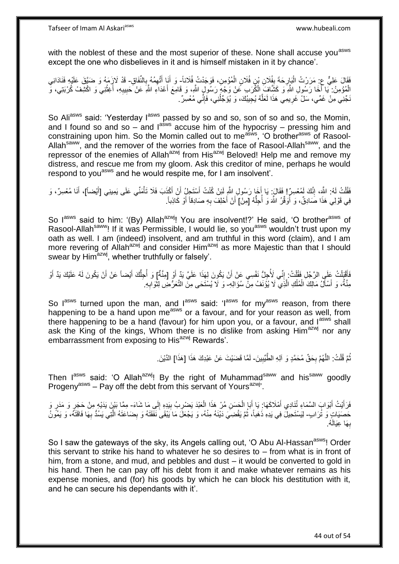with the noblest of these and the most superior of these. None shall accuse you<sup>asws</sup> except the one who disbelieves in it and is himself mistaken in it by chance'.

فَقَالَ عَلِيٌّ عِ مَرَرْتُ الْبَإِرِحَةَ بِفُلَانِ بْنِ فُلَانٍ الْمُؤْمِنِ، فَوَجَدْتُ فُلَاناً- وَ أَنَا أَتَّهِمُهُ بِالنَّفَاقِ- قَدْ لَازِمَهُ وَ ضَيَّقَ عَلَيْهِ فَنَادَانِي ¦ ِ ْ َ َ ِ الْمُؤْمِنُ: ۖ يَا أَخَا رَسُولِ اللَّهِ وَ كَثَبَافٍَ الْكُرَبِ عَنْ وَجْهٍ رَسُولٍ اللَّهِ، وَ قَامِعَ أَعْدَاءِ اللَّهِ عَنْ حَبِيبِهِ، أَغِثْنِي وَ اكْشِفْ كُرْبَتِي، وَّ َ َ ْ ِ **ٔ** َ ِ نَجِّنِي مِنْ غَمِّي، سَلْ غَرِيمِي هَذَا لَعَلَّهُ يُجِيبُكَ، وَ يُؤَجِّلُنِي، فَإِنِّي مُعْسِرٌ . ∣اٍ ُ ه **∶** 

So Aliasws said: 'Yesterday lasws passed by so and so, son of so and so, the Momin, and I found so and so – and  $I^{absws}$  accuse him of the hypocrisy – pressing him and constraining upon him. So the Momin called out to me<sup>asws</sup>, 'O brother<sup>asws</sup> of Rasool-Allah<sup>saww</sup>, and the remover of the worries from the face of Rasool-Allah<sup>saww</sup>, and the repressor of the enemies of Allah<sup>azwj</sup> from His<sup>azwj</sup> Beloved! Help me and remove my distress, and rescue me from my gloom. Ask this creditor of mine, perhaps he would respond to you<sup>asws</sup> and he would respite me, for I am insolvent.

فَقُلْتُ لَهُ: اللَّهَ، إِنَّكَ لَمُعْسِرٌ إِ فَقَالَ ۚ يَا إِنَّذٍا رَسُولِ اللَّهِ لَئِنْ كُنْتُ أَسْتَجِلُ أَنْ أَكْذَبَ فَلَا تَأْمَنُّي عَلَى يَمِينِي [أَيْضاً]، أَنَا مُعْسِرٌ، وَ َ ِ ْ َ َ َ ْ َ َ فِي قَوْلِي هَذَا صَادِقٌ، وَ أُوَقِّرُ اللَّهَ وَ أُجِلَّهُ [مِنْ] أَنْ أَحْلِفَ بِهِ صَادِقاً أَوْ كَاذِباً. ُّ ُ ِ َ اُ

So lasws said to him: '(By) Allah<sup>azwj</sup>! You are insolvent!?' He said, 'O brother<sup>asws</sup> of Rasool-Allah<sup>saww</sup>! If it was Permissible, I would lie, so you<sup>asws</sup> wouldn't trust upon my oath as well. I am (indeed) insolvent, and am truthful in this word (claim), and I am more revering of Allah<sup>azwj</sup> and consider Him<sup>azwj</sup> as more Majestic than that I should swear by Him<sup>azwj</sup>, whether truthfully or falsely'.

فَأَقْيَلْتُ عَلَى الرَّجُلِ فَقُلْتُ: إِنِّي لَأُجِلُّ نَفْسِي عَنْ أَنْ يَكُونَ لِهَذَا عَلَيَّ يَدٍّ أَوْ [مِنَّةٌ] وَ أُجِلُّكَ أَيْضاً عَنْ أَنْ يَكُونَ لَهُ عَلَيْكَ يَدٌ أَوْ ا<br>أ َ اُ ِ ْ ْ َ َ َ اُ مِنَّةٌ، وَ أَسْأَلُ مَالِكَ الْمُلْكِ الَّذِي لَا يُؤْنَفُ مِنّْ سُؤَالِهِ- وَ لَا يُسْتَحَى مِنَّ التَّعَرُّضِ لِثْوَابِهِ ْ ْ َ اُ، **∶** َ

So  $I^{asws}$  turned upon the man, and  $I^{asws}$  said: ' $I^{asws}$  for my<sup>asws</sup> reason, from there happening to be a hand upon me<sup>asws</sup> or a favour, and for your reason as well, from there happening to be a hand (favour) for him upon you, or a favour, and lasws shall ask the King of the kings, Whom there is no dislike from asking Him<sup>azwj</sup> nor any embarrassment from exposing to His<sup>azwj</sup> Rewards'.

> ثُمَّ قُلْتُ: اللَّهُمَّ بِحَقِّ مُحَمَّدٍ وَ آلِهِ الطَّيِّبِينَ- لَمَّا قَضَيْتَ عَنْ عَبْدِكَ هَذَا [هَذَا] الدَّيْنَ ِ **∶** ه ْ ُ لَ

Then I<sup>asws</sup> said: 'O Allah<sup>azwj</sup>! By the right of Muhammad<sup>saww</sup> and his<sup>saww</sup> goodly Progeny<sup>asws</sup> – Pay off the debt from this servant of Yours<sup>azwj</sup>'.

فَرَأَيْتُ أَبْوَابَ السَّمَاءِ ثُنَادِي أَمْلَاكَها: يَا أَبَا الْحَسَنِ مُنْ هَذَا الْعَبْدَ يَضْرِبُ بِيَدِهِ إِلَي مَا شَاءَ- مِمَّا بَيْنَ يَدَيْهِ مِنْ حَجَرٍ وَ مَدَرٍ وَ َ َ َ ِ ِ ¦ ْ ْ حَصَيَاتٍ وَ تُرَابٍ- لِيَسْتَحِيلُ فِي يَدِهِ ذَهَباً، ثُمَّ يَقْضِيَ دَيْنَهُ مِنْهُ، وَ يَجْعَلَ مَا يَبْقَى نَفَقَتَهُ وَ بِضَاعَتَهُ الَّتِي يَسُدُّ بِهَا فَاقَتَهُ، وَ يَمُونُ ه ِ ان<br>المقامات ِ بِهَا عِيَالَهُ. **∶** 

So I saw the gateways of the sky, its Angels calling out, 'O Abu Al-Hassan<sup>asws</sup>! Order this servant to strike his hand to whatever he so desires to – from what is in front of him, from a stone, and mud, and pebbles and dust – it would be converted to gold in his hand. Then he can pay off his debt from it and make whatever remains as his expense monies, and (for) his goods by which he can block his destitution with it, and he can secure his dependants with it'.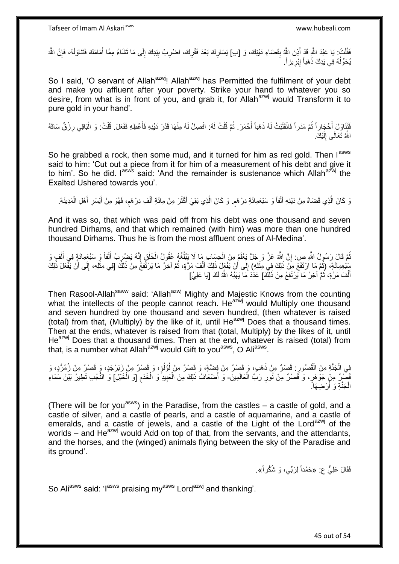فَقُلْتُ: يَا عَبْدَ اللَّهِ قَدْ أَذِنَ اللَّهُ بِقَضَاءِ دَيْنِكَ، وَ [ب] يَسَارِكَ بَعْدَ فَقْرِكَ، اضْرِبْ بِيَدِكَ إِلَى مَا تَشَاءُ مِمَّا أَمَامَكَ فَتَنَاوَلْهُ، فَإِنَّ اللَّهَ ِ **ٍ ∶ ∣** َ .<br>ا  $\sum_{i=1}^{n}$ ْ َ ِ ِ يُحَوِّلُهُ فِي يَدِكَ ذَهَباً إِبْرِيزاً. ِ ِ ُ

So I said, 'O servant of Allah<sup>azwj</sup>! Allah<sup>azwj</sup> has Permitted the fulfilment of your debt and make you affluent after your poverty. Strike your hand to whatever you so desire, from what is in front of you, and grab it, for Allah<sup>azwj</sup> would Transform it to pure gold in your hand'.

فَتَنَاوَلَ أَحْجَاراً ثُمَّ مَدَراً فَانْقَلَبَتْ لَهُ ذَهَباً أَحْمَرَ . ثُمَّ قُلْتُ لَهُ: افْصِلْ لَهُ مِنْهَا قَدْرَ دَيْنِهِ فَأَعْطِهِ فَفَعَلَ. قُلْتُ: وَ الْبَاقِي رِزْقٌ سَاقَهُ ُ َ ْ ِ ْ ْ َ اللَّهُ تَعَالَى إِلَيْكَ. لَ ِ

So he grabbed a rock, then some mud, and it turned for him as red gold. Then  $I^{assvs}$ said to him: 'Cut out a piece from it for him of a measurement of his debt and give it to him'. So he did. I<sup>asws</sup> said: 'And the remainder is sustenance which Allah<sup>azwj</sup> the Exalted Ushered towards you'.

رَ كَانَ الَّذِي قَضَاهُ مِنْ دَيْنِهِ أَلْفاً وَ سَبْعَمِائَةِ دِرْهَمٍ. وَ كَانَ الَّذِي بَقِيَ أَكْثَرَ مِنْ مِائَةِ أَلْفِ دِرْهَمٍ، فَهُوَ مِنْ أَيْسَرِ أَهْلِ الْمَدِينَةِ. ه ٍ ْ َ َ ه ْ َ ِ َ م ْ َ

And it was so, that which was paid off from his debt was one thousand and seven hundred Dirhams, and that which remained (with him) was more than one hundred thousand Dirhams. Thus he is from the most affluent ones of Al-Medina'.

نُمَّ قَالَ رَسُولُ اللَّهِ صِ: إِنَّ اللَّهَ عَنَّ وَ جَلَّ يَعْلَمُ مِنَ الْحِسَابِ مَا لَا يَبْلُغُهُ عُقُولُ الْخَلْقِ إِنَّهُ يَضْرِبُ أَلْفاً وَ سَبْعَمِائَةٍ فِي أَلْفٍ وَ ِ ْ ْ ُ ْ **׀** ْ َ ْ َ ِ سَلْعِمِائَةٍ، (ثُمَّ مَا ارْتَفَعَ مِنْ ذَلِكَ فِي مِثْلِهِ) إِلَى أَنْ يَفْعَلَ ذَلِكَ أَلْفَ مَرَّةٍ، ثُمَّ آخِرُ مَا يَرْتَفِعُ مِنْ ذَلِكَ [فِي مِثْلِهِ، إِلَى أَنْ يَفْعَلَ ذَلِكَ ر<br>ا َ ِ **ٔ** ُ ْ َ  $\frac{1}{2}$ أَلْفَ مَرَّةٍ، ثُمَّ آخِرُ مَا يَرْتَفِعُ مِنْ ذَلِكَ] عَذَدَ مَا يَهَبُّهُ اللَّهُ لَكَ [يَا عَلِيُ] ۖ ُ ْ

Then Rasool-Allah<sup>saww</sup> said: 'Allah<sup>azwj</sup> Mighty and Majestic Knows from the counting what the intellects of the people cannot reach. He<sup>azwj</sup> would Multiply one thousand and seven hundred by one thousand and seven hundred, (then whatever is raised (total) from that, (Multiply) by the like of it, until  $He^{azwj}$  Does that a thousand times. Then at the ends, whatever is raised from that (total, Multiply) by the likes of it, until He<sup>azwj</sup> Does that a thousand times. Then at the end, whatever is raised (total) from that, is a number what Allah<sup>azwj</sup> would Gift to you<sup>asws</sup>, O Ali<sup>asws</sup>.

فِي الْجَنَّةِ مِنَ الْقُصُورِ : قَصْرٌ مِنْ ذَهَبٍ، وَ قَصِرٌ مِنْ قَصْرٌ مِنْ لُؤُلُوٍ، وَ قَصْرٌ مِنْ زَبَرْجَدٍ، وَ قَصْرٌ مِنْ زُمُرُّدٍ، وَ ا<br>ا ُ ِ :<br>ا قَصْرٌ مِنْ جَوْهَرٍ، وَ قَصْرٌ مِنْ نُورِ رَبِّ الْعَالَمِينَ- وَ أَضْعَافُ ذَلِكَ مِنَ الْعَبِيدِ وَ الْخَدَمِ [وَ الْخَيْلِ] وَ النُّجُبِ تَطِيرُ بَيْنَ سَمَاءِ<br>أَوْ الْخَيْلِ وَإِن مِنْهُمْ مِنْ نُورِ رَبِّ الْعَالَمِ ْ ِ ْ ْ ِ ْ الْجَنَّةِ وَ أَرْضِهَا ً َ ْ

(There will be for you<sup>asws</sup>) in the Paradise, from the castles  $-$  a castle of gold, and a castle of silver, and a castle of pearls, and a castle of aquamarine, and a castle of emeralds, and a castle of jewels, and a castle of the Light of the Lord<sup>azwj</sup> of the worlds – and  $He^{azwj}$  would Add on top of that, from the servants, and the attendants, and the horses, and the (winged) animals flying between the sky of the Paradise and its ground'.

فَقَالَ عَلِيٌّ ع: «حَمْداً لِرَبِّي، وَ شُكْر أَ».

So Aliasws said: 'I<sup>asws</sup> praising my<sup>asws</sup> Lord<sup>azwj</sup> and thanking'.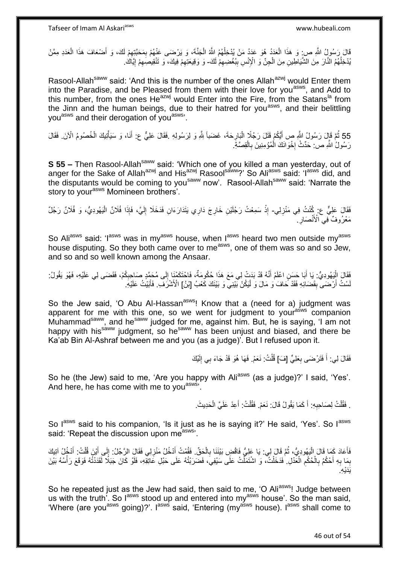قَالَ رَسُولُ اللَّهِ ص: وَ هَذَا الْعَدَدُ هُوَ عَدَدُ مَنْ يُدْخِلُهُمُ اللَّهُ الْجَنَّةَ، وَ يَرْضَى عَنْهُمْ بِمَحَبَّتِهِمْ لَكَ، وَ أَصْعَافَ هَذَا الْعَدَدِ مِمَّنْ ْ ٔ<br>ا ْ َ ِ ِ ْ بُدْخِلُهُمُ النَّارَ مِنَ الشَّيَاطِينِ مِنَ الْجِنِّ وَ الْإِنْسِ بِبُغْضِيهِمْ لَكَ- وَ وَقِيعَتِهِمْ فِيكَ، وَ تَنْقِيصِيَهِمْ إِيَّاكُ. ِ **∣** ْ ُ ِ ِ

Rasool-Allah<sup>saww</sup> said: 'And this is the number of the ones Allah<sup>azwj</sup> would Enter them into the Paradise, and be Pleased from them with their love for you<sup>asws</sup>, and Add to this number, from the ones He $a$ <sup>zwj</sup> would Enter into the Fire, from the Satans<sup>la</sup> from the Jinn and the human beings, due to their hatred for you<sup>asws</sup>, and their belittling you<sup>asws</sup> and their derogation of you<sup>asws</sup>.

55 ثُمَّ قَإِلَ رَسُولُ اللَّهِ صِ أَيُكُمْ قَتَلَ رَجُلًا الْبَارِحَةَ، غَضَباً لِلَّهِ وَ لِرَسُولِهِ .فَقَالَ عَلِيٌّ ع: أَنَا، وَ سَيَأْتِيكَ الْخُصُومُ الْأَنَ. فَقَالَ ْ ِ ْ َ رَسُولُ اللَّهِ ص: حَدِّثْ إِخْوَانَكَ الْمُؤْمِنِينَ بِالْقِصَّةِ. ْ ِ ْ ┆

**S 55 –** Then Rasool-Allah<sup>saww</sup> said: 'Which one of you killed a man yesterday, out of anger for the Sake of Allah<sup>azwj</sup> and His<sup>azwj</sup> Rasool<sup>saww</sup>?' So Ali<sup>asws</sup> said: 'I<sup>asws</sup> did, and the disputants would be coming to you<sup>saww</sup> now'. Rasool-Allah<sup>saww</sup> said: 'Narrate the story to your<sup>asws</sup> Momineen brothers'.

فَقَالَ عَلِيٌّ ع: كُنْتُ فِي مَنْزِلِي- إِذْ سَمِعْتُ رَجُلَيْنِ خَارِجَ دَارِي يَتَدَارَءَانِ فَدَخَلَا إِلَيَّ، فَإِذَا فُلَانٌ الْيَهُودِيُّ، وَ فُلَانٌ رَجُلٌ ِ **∶ ∶** ْ ْ لَ ∣∣<br>ِ مَعْرُوفٌ فِي الْأَنْصَارِ ـِ ِ

So Aliasws said: 'I<sup>asws</sup> was in my<sup>asws</sup> house, when I<sup>asws</sup> heard two men outside my<sup>asws</sup> house disputing. So they both came over to me<sup>asws</sup>, one of them was so and so Jew, and so and so well known among the Ansaar.

ْفَقَالَ الْيَهُودِيُّ: يَا أَبَا حَسَنِ اعْلَمْ أَنَّهُ قَدْ بَدَتْ لِي مَعَ هَذَا حُكُومَةٌ، فَاحْتَكَمْنَا إِلَى مُحَمَّدٍ صَاحِبِكُمْ، فَقَضَى لِي عَلَيْهِ، فَهُوَ يَقُولُ: ∣∣<br>∶ َ َ ا<br>ا ِ لَسْتُ أَرْضَى بِقَضَائِهِ فَقَدْ حَافَ وَ مَالَ وَ لْيَكُنْ بَيْنِي وَ بَيْنَكَ كَعْبُ [بْنُ] الْأَشْرَفَ فَأَبَيْتُ عَلَيْهِ َ ِ َ

So the Jew said, 'O Abu Al-Hassan<sup>asws</sup>! Know that a (need for a) judgment was apparent for me with this one, so we went for judgment to your<sup>asws</sup> companion Muhammad<sup>saww</sup>, and he<sup>saww</sup> judged for me, against him. But, he is saying, 'I am not happy with his<sup>saww</sup> judgment, so he<sup>saww</sup> has been unjust and biased, and there be Ka'ab Bin Al-Ashraf between me and you (as a judge)'. But I refused upon it.

> فَقَالَ لِي: أَ فَتَرْضَى بِعَلِيٍّ [فَ)] قُلْتُ: نَعَمْ. فَهَا هُوَ قَدْ جَاءَ بِي إِلَيْكَ لَ ِ ْ ِ َ

So he (the Jew) said to me, 'Are you happy with Ali<sup>asws</sup> (as a judge)?' I said, 'Yes'. And here, he has come with me to you<sup>asws,</sup>

> . فَقُلْتُ لِصَاحِبِهِ: أَ كَمَا يَقُولُ قَالَ: نَعَمْ. فَقُلْتُ: أَعِدْ عَلَيَّ الْحَدِيثَ. َ **∶** ْ ْ َ ْ

So lasws said to his companion, 'Is it just as he is saying it?' He said, 'Yes'. So lasws said: 'Repeat the discussion upon measws'.

فَأَعَادَ كَمَا قَالَ الْيَهُودِيُّ، ثُمَّ قَالَ لِي. يَا عَلِيُّ فَاقْضِ بَيْنَنَا بِالْحَقِّ. فَقُمْتُ أَدْخُلُ مَنْزِلِي فَقَالَ الرَّجُلُ: إِلَى أَيْنَ قُلْتُ: أَدْخُلُ آتِيكَ ُ :<br>ا َ َ ْ َ ِ ِ َ ْ ِ بِهِ أَحْكُمُ بِالْحُكْمِ الْغَدْلِ. ٰ فَدَخَلْتُ، وَ اشْتَمَلَّتُ عَلَى سَيْفِيَ، فَضَرَبْتُهُ عَلَى حَبْلِ عَاتِقِهِ، فَلَوْ كَانَ جَبَلًا لَقَدَنْتُهُ فَوَقَعَ رَأْسُهُ بَيْنَ ْ ْ ْ ِ ْ **∶** َ **∶ ∶ المعلمات** َيَدْي ِه.

So he repeated just as the Jew had said, then said to me, 'O Ali<sup>asws</sup>! Judge between us with the truth<sup>7</sup>. So l<sup>asws</sup> stood up and entered into my<sup>asws</sup> house'. So the man said, 'Where (are you<sup>asws</sup> going)?'. I<sup>asws</sup> said, 'Entering (my<sup>asws</sup> house). I<sup>asws</sup> shall come to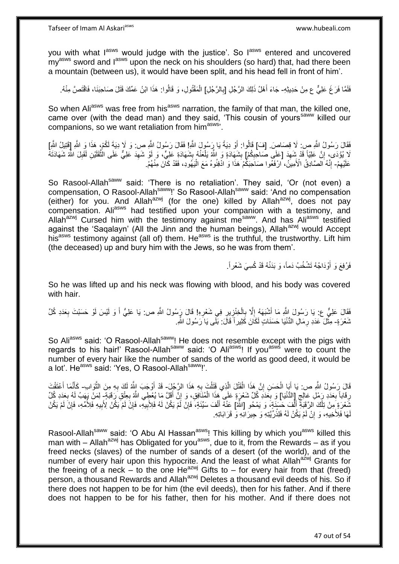Tafseer of Imam Al Askariasws www.hubeali.com

you with what lasws would judge with the justice'. So lasws entered and uncovered my<sup>asws</sup> sword and l<sup>asws</sup> upon the neck on his shoulders (so hard) that, had there been a mountain (between us), it would have been split, and his head fell in front of him'.

فَلَمَّا فَرَغَ عَلِيٌّ ع مِنْ حَدِيثِهِ- جَاءَ أَهْلُ ذَلِكَ الرَّجُلِ [بِالرَّجُلِ] الْمَقْتُولِ، وَ قَالُوا: هَذَا ابْنُ عَمِّكَ قَتَلَ صَاحِبَنَا، فَاقْتَصَّ مِنْهُ. ِ َ ُ ْ

So when Ali<sup>asws</sup> was free from his<sup>asws</sup> narration, the family of that man, the killed one, came over (with the dead man) and they said, 'This cousin of yours<sup>saww</sup> killed our companions, so we want retaliation from him<sup>asws</sup>.

فَقَالَ رَسُولُ اللَّهِ صِ: لَا قِصَاصَ. [فَ] قَالُوا: أَوْ دِيَةً يَا رَسُولُ اللَّهِ! فَقَالَ رَسُولُ اللَّهِ ص: وَ لَإ دِيَةَ لَكُمْ، هَذَا وَ اللَّهِ إِقَتِيلُ اللَّهِ] ً لَا يُؤْدَى، إِنَّ عَلِيّاً قَدْ شَهِدَ [عَلَى صَاحِبِكُمْ] بِشَهَادَةٍ وَ اللَّهُ يَلْعَنُهُ بِشَهَادَةِ عَلِيٍّ، وَ أَوْ شَهِدَ عَلِيٍّ عَلَى الثَّقَلَيْنِ لَقَبِلَ اللَّهُ شَهَادَتَهُ ِ ِ ِ ِ **∶** ْ **ِ** ِ ه عَلَيْهِمْ- إِنَّهُ الْصَّادِقُ الْأَمِينُ، الرْفَعُوا صَاحَبَكُمْ هَذَا وَ ادْفِنُوهُ مَعَ الْيَهُودِ، فَقَدْ كَانَ مِنْهُمْ. ِ ْ ֺׅׅ֧֧֦֧֧֧֧ׅ֧֧ׅ֧ׅ֧ׅ֧ׅ֧֧ׅ֧ׅ֧֧ׅ֧ׅ֧֧֧֧֚֚֚֚֚֚֚֚֚֚֚֚֚֚֚֚֚֚֚֚֚֚֚֚֚֚֚֝֡֡֡֡֡֡֡֝֡֓֡֝֓֓֡֓֡֬֓֝֬֡֬֝֬֝֬֝֬

So Rasool-Allah<sup>saww</sup> said: 'There is no retaliation'. They said, 'Or (not even) a compensation, O Rasool-Allah<sup>saww</sup>!' So Rasool-Allah<sup>saww</sup> said: 'And no compensation (either) for you. And Allah<sup>azwj</sup> (for the one) killed by Allah<sup>azwj</sup>, does not pay compensation. Ali<sup>asws</sup> had testified upon your companion with a testimony, and Allah<sup>azwj</sup> Cursed him with the testimony against me<sup>saww</sup>. And has Ali<sup>asws</sup> testified against the 'Saqalayn' (All the Jinn and the human beings), Allah<sup>azwj</sup> would Accept his<sup>asws</sup> testimony against (all of) them. He<sup>asws</sup> is the truthful, the trustworthy. Lift him (the deceased) up and bury him with the Jews, so he was from them'.

> فَرُفِعَ وَ أَوْدَاجُهُ تَشْخُبُ دَماً، وَ بَدَنُهُ قَدْ كُسِيَ شَعْرٍ أَ َ

So he was lifted up and his neck was flowing with blood, and his body was covered with hair.

فَقَالَ عَلِيٌّ ع: يَا رَسُولَ اللَّهِ مَا أَشْبَهَهُ إِلَّا بِالْخِنْزِيرِ فِي شَعْرِهِ! قَالَ رَسُولُ اللَّهِ ص: يَا عَلِيُّ أَ وَ لَيْسَ لَوْ حَسَبْتَ بِعَدَدِ كُلِّ َ ِ ِ ِ ْ ِ ِ َ **∶** شَعْرَةٍ- مِثَّلَ عَدَدِ رِمَالِ الدُّنْيَا حَسَنَاتٍ لَكَانَ كَثِيراً قَالَ: بَلَّى يَا َرَسُولَ اللَّهِ. ِ <u>ٔ</u>

So Ali<sup>asws</sup> said: 'O Rasool-Allah<sup>saww</sup>! He does not resemble except with the pigs with regards to his hair!' Rasool-Allah<sup>saww</sup> said: 'O Ali<sup>asws</sup>! If you<sup>asws</sup> were to count the number of every hair like the number of sands of the world as good deed, it would be a lot'. He<sup>asws</sup> said: 'Yes, O Rasool-Allah<sup>saww</sup>!'.

قَالَ رَسُولُ اللَّهِ ص: يَا أَبَا الْحَسَنِ إِنَّ هَذَا الْقَتْلَ الَّذِي قَتَلْتَ بِهِ هَذَا الرَّجُلَ- قَدْ أَوْجَبَ اللَّهُ لَكَ بِهِ مِنَ الثَّوَاب- كَأَنَّمَا أَعْتَقْتَ ِ ْ ه ْ ِ ْ َ ه **∶** َ َ ِ رِقَاباً بِعَدَدِ رَمْلِ عَالِجِ إِللاُّنْيَا] وَ بِعَدَدِ كُلِّ شَعْرَةٍ عَلَى هَذَا الْمُنَافِقِ، وَ إِنَّ أَقَلَّ مَا يُعْطِي اللَّهُ بِعِنْقِ رَقَبَةٍ ۖ لِمَنْ يَهَبُ لَهُ بِعَدَدِ كُلِّ ِ ِ **∶** َ ِ ْ ِ ِ لِّمَعْرَةٍ مِنْ تِلْكَ الرَّقِبَةِ أَلْفَ حَسَنَةٍ، وَ يَمْحُو [الثَّمَا عَنْهُ أَلْفَ سَيِّئَةٍ، فَإِنَّ لَمْ يَكُنْ لَهُ فَلِأَبِيهِ، فَإِنَّ لَمْ يَكُنْ لَا يَكُنْ الْإِبِيهِ فَلِأَمْلِهِ، فَإِنَّ لَمْ يَكُنْ ْ َ ْ ِ ْ َ ِ ِ ∣ٍ إ ِ لَهَا فَلِأَخِيهِ، وَ إِنْ لَمْ يَكُنْ لَهُ فَلِذُرِّيَّتِهِ وَ حِيرَانِّهِ وَ قَرَابَاتِهِ. **إ** 

Rasool-Allah<sup>saww</sup> said: 'O Abu Al Hassan<sup>asws</sup>! This killing by which you<sup>asws</sup> killed this man with – Allah<sup>azwj</sup> has Obligated for you<sup>asws</sup>, due to it, from the Rewards – as if you freed necks (slaves) of the number of sands of a desert (of the world), and of the number of every hair upon this hypocrite. And the least of what Allah<sup>azwj</sup> Grants for the freeing of a neck – to the one He<sup>azwj</sup> Gifts to – for every hair from that (freed) person, a thousand Rewards and Allah<sup>azwj</sup> Deletes a thousand evil deeds of his. So if there does not happen to be for him (the evil deeds), then for his father. And if there does not happen to be for his father, then for his mother. And if there does not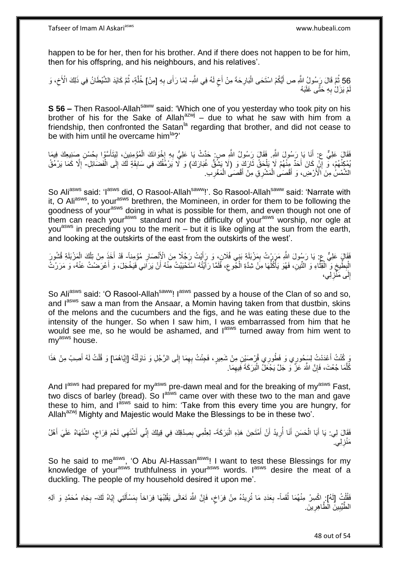Tafseer of Imam Al Askariasws www.hubeali.com

happen to be for her, then for his brother. And if there does not happen to be for him, then for his offspring, and his neighbours, and his relatives'.

56 ثُمَّ قَالَ رَبِّسُولُ اللَّهِ ص أَيُّكُمْ اسْتَحَى الْبَارِحَةَ مِنْ أَخٍ لَهُ فِي اللَّهِ- لِمَا رَأَى بِهِ [مِنْ] خُلَّةٍ، ثُمَّ كَايَدَ الشَّيْطَانُ فِي ذَلِكَ الْأَخِ، وَ<br>أَنْ يَرْمَ َ ِ ِ ِ ا دیکھیے ه مْ يَزَلْ بِهِ حَتَّى غَلَبَهُ **∶** لَ

**S 56 –** Then Rasool-Allah<sup>saww</sup> said: 'Which one of you yesterday who took pity on his brother of his for the Sake of Allah $a^{2}$ wj – due to what he saw with him from a friendship, then confronted the Satan<sup>la</sup> regarding that brother, and did not cease to be with him until he overcame him<sup>la</sup>?'

فَقَالَ عَلِيٌّ ع: أَنَا يَا رَسُولَ اللَّهِ. فَقَالَ رَسُولُ اللَّهِ ص: حَدِّثْ يَا عَلِيُّ بِهِ إِخْوَانَكَ الْمُؤْمِنِينَ، لِيَتَأَسَّوْا بِحُسْنِ صَنِبِعِكَ فِيمَا<br>مسكومات َ ْ  $\frac{1}{2}$ ِ َ ِ يُمْكِنُهُمْ، وَ إِنِّ كَانَ أَحَدٌ مِنْهُمْ لَا يَلْحَقُ ثَارَكَ وَ (لَا يَشْقُّ غُبَارَكَ) وَ لَا يَرْمُقُكَ فِي سَابِقَةٍ لَكَ إِلَى الْفَضَائِلِ- إِلَّا كَمَا يَرْمُقُ َ ْ َ ِ ْ ِ **!** ا<br>ا الشَّمْسُ مِنَ ٱلْأَرْضِ، وَ أَقْصَى الْمَشْرِقِ مِنْ أَقْصَى الْمَغْرِبِ. ِ ْ َ ْ َ

So Ali<sup>asws</sup> said: 'I<sup>asws</sup> did, O Rasool-Allah<sup>saww</sup>!'. So Rasool-Allah<sup>saww</sup> said: 'Narrate with it, O Aliasws, to your<sup>asws</sup> brethren, the Momineen, in order for them to be following the goodness of your<sup>asws</sup> doing in what is possible for them, and even though not one of them can reach your<sup>asws</sup> standard nor the difficulty of your<sup>asws</sup> worship, nor ogle at you<sup>asws</sup> in preceding you to the merit – but it is like ogling at the sun from the earth, and looking at the outskirts of the east from the outskirts of the west'.

فَقَالٍ عَلِيٌّ عِ: يَا رَسُولَ اللَّهِ مَرَرْتُ بِمَزْبَلَةِ بَنِي فُلَانٍ، وَ رَأَيْتُ رَجُلًا مِنَ الْإِنْصَارِ مُؤْمِناً- قَدْ أَخَذَ مِنْ تِلْكَ الْمَزْبَلَةِ قُسُورَ َ ِ **∶** ْ ْ َ َ الْبِطَّيخِ وَ ۗ الْقِنَّاءِ وَ النَّينِ، فَهُوَ يَأْكُلُهَا مِنْ شِدَّةِ الْمُبْوعِ، فَلَمَّا رَأَيْتُهُ اسْتَحْيَيْتُ مِنْهُ أَنْ يَرَانِي فَيَخْجَلَ، وَ أَعْرَضْتُ عَنْهُ، وَ مَرَرْتُ َ ِ ْ ا<br>ا ا<br>ا ه ْ ِ ِ َ إِلَى مَنَّزِلِي، ِ **∶** 

So Aliasws said: 'O Rasool-Allah<sup>saww</sup>! I<sup>asws</sup> passed by a house of the Clan of so and so, and lasws saw a man from the Ansaar, a Momin having taken from that dustbin, skins of the melons and the cucumbers and the figs, and he was eating these due to the intensity of the hunger. So when I saw him, I was embarrassed from him that he would see me, so he would be ashamed, and last turned away from him went to my<sup>asws</sup> house.

رٍ كُنْتُ أَعْدَدْتُ لِسَجُورِي وَ فَطُورِي قُرْصَيْنِ مِنْ شَعِيرٍ، فَجِئْتُ بِهِمَا إِلَى الرَّجُلِ وَ نَاوَلْتُهُ [إِيَّاهُمَا] وَ قُلْتُ لَهُ أَصِبْ مِنْ هَذَا ِ ْ ِ ِ اً<br>ا َ ْ كُلَّمَا جُعْتَ، فَإِنَّ اللَّهَ عَزَّ وَ جَلَّ يَجْعَلُ الْبَرَكَةَ فِيهِمَا. ِ ه ِ :<br>ا

And l<sup>asws</sup> had prepared for my<sup>asws</sup> pre-dawn meal and for the breaking of my<sup>asws</sup> Fast, two discs of barley (bread). So l<sup>asws</sup> came over with these two to the man and gave these to him, and  $I^{absws}$  said to him: 'Take from this every time you are hungry, for Allah<sup>azwj</sup> Mighty and Majestic would Make the Blessings to be in these two'.

فَقَالَ لِي: يَا أَبَا الْحَسَنِ أَنَا أُرِيدُ أَنْ أَمْتَحِنَ هَذِهِ الْبَرَكَةَ- لِعِلْمِي بِصِدْقِكَ فِي قِيلِكَ إِنِّي أَشْتَهِي لَحْمَ فِرَاخٍ، اشْتَهَاهُ عَلَيَ أَهْلُ ْ َ اُ **∶** ُ َ ْ َ ِ ِ ٍ َ مَنْزِلِي. ۖ ِ

So he said to me<sup>asws</sup>, 'O Abu Al-Hassan<sup>asws</sup>! I want to test these Blessings for my knowledge of your<sup>asws</sup> truthfulness in your<sup>asws</sup> words. I<sup>asws</sup> desire the meat of a duckling. The people of my household desired it upon me'.

فَقُلْتُ [لَهُ]. إِحْسِرْ مِنْهُمَا لُقَماً- بِعَدَدِ مَا تُرِيدُهُ مِنْ فِرَاخٍ، فَإِنَّ اللَّهَ تَعَالَى يَقْلِبُهَا فِرَاحَاً بِمَسْأَلَتِي إِيَّاهُ لَكَ- بِجَاهِ مُحَمَّدٍ وَ آلِهِ ْ ُ ِ لَ ĺ ِ ِ ٍ ِ **∶** ِ الطَّيِّبِينِّ الطَّاهِرِينَ ِ ِ

48 out of 54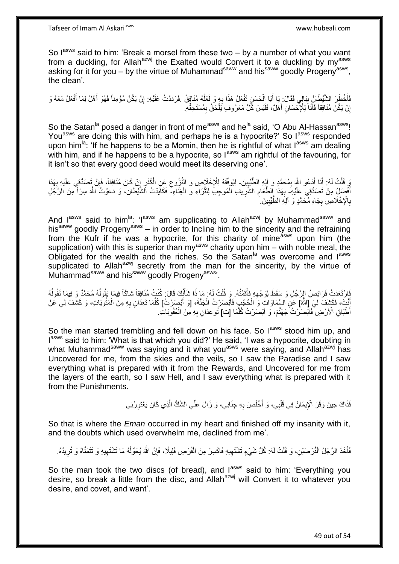So  $I^{asws}$  said to him: 'Break a morsel from these two – by a number of what you want from a duckling, for Allah<sup>azwj</sup> the Exalted would Convert it to a duckling by my<sup>asws</sup> asking for it for you – by the virtue of Muhammad<sup>saww</sup> and his<sup>saww</sup> goodly Progeny<sup>asws</sup>, the clean'.

فَأَخْطَرَ الشَّيْطَانُ بِبَالِي فَقَالَ: يَا أَبَا الْحَسَنِ تَفْعَلُ هَذَا بِهِ وَ لَعَلَّهُ مُنَافِقٌ فَرَدَدْتُ عَلَيْهِ: إِنْ يَكُنْ مُؤْمِناً فَهُوَ أَهْلٌ لِمَا أَفْعَلُ مَعَهُ وَ **∣** ه ِ ْ َ َ ِ إِنْ يَكُنْ مُنَافِقاً فَأَنَا لِلْإِحْسَانِ أَهْلٌ، فَلَيْسَ كُلُّ مَعْرُوفٍ يَلْحَقُ بِمُسْتَحِقِّهِ. َ َ اٍ ِ ْ

So the Satan<sup>la</sup> posed a danger in front of me<sup>asws</sup> and he<sup>la</sup> said, 'O Abu Al-Hassan<sup>asws</sup>! You<sup>asws</sup> are doing this with him, and perhaps he is a hypocrite?' So l<sup>asws</sup> responded upon him<sup>la</sup>: 'If he happens to be a Momin, then he is rightful of what  $I^{ass}$  am dealing with him, and if he happens to be a hypocrite, so last a mightful of the favouring, for it isn't so that every good deed would meet its deserving one'.

وَ قُلْتُ لَهُ: أَنَا أَدْعُو اللَّهَ بِمُحَمَّدٍ وَ إِلِهِ الطَّّنِّيِينَ- لِيُوَفِّقَهُ لِلْإِخْلَاصِ وَ النُّزُوعِ عَنِ الْكُفْرِ إِنْ كَانَ مُنَافِقاً، فَإِنَّ تَصَدُّقِي عَلَيْهِ بِهَذَا ِ َ َ ْ **∣** ِ ِ ِ ِ ِ أَفْضَلُ مِنْ تَصَدُّقِي عَلَيْهِ- بِهَذَا الطَّعَامِ الشَّرِيفِ الْمُوحِبِّ لِلثَّرَاءِ وَ الْغِنَاءِ، فَكَايَدْتُ الشَّيْطَانَ، وَ دَعَوْتُ اللَّهَ سِرّاً مِنَ الرَّجُلِ ْ ه ْ ِ ِ **∶** بِالْإِخْلَاصِ بِجَاهِ مُحَمَّدٍ وَ آلِهِ الطَّيِّبِينَ ِ **! ∶ ∶** 

And  $I^{asws}$  said to him<sup>la</sup>: ' $I^{asws}$  am supplicating to Allah<sup>azwj</sup> by Muhammad<sup>saww</sup> and his<sup>saww</sup> goodly Progeny<sup>asws</sup> – in order to Incline him to the sincerity and the refraining from the Kufr if he was a hypocrite, for this charity of mine<sup>asws</sup> upon him (the supplication) with this is superior than my<sup>asws</sup> charity upon him – with noble meal, the Obligated for the wealth and the riches. So the Satan<sup>la</sup> was overcome and lasws supplicated to Allah<sup>azwj</sup> secretly from the man for the sincerity, by the virtue of Muhammad<sup>saww</sup> and his<sup>saww</sup> goodly Progeny<sup>asws,</sup>.

يْارْتَعَدَتْ فَرَائِصُ الرَّجُلِ وَ سَقَطَ لِوَجْهِهِ فَأَقَمْتُهُ وَ قُلْتُ لَهُ: مَا ذَا شَأَنُكَ قَالَ: كُنْتُ مُنَافِقاً شَاكّاً فِيمَا بَقُولُهُ مُحَمَّدٌ وَ فِيمَا تَقُولُهُ ا<br>المنابع ْ َ ِ ُ ا<br>ا َنْتَ، فَكَشَفَ لِيَ إِللَّهُ] عَلِ السَّمَاوَاتِ وَ الْحُجُبِ فَأَبْصَرْتُ الْجَنَّةَ، [وَ أَبْصَرُتُ] كُلَّمَا تَعِدَانِ بِهِ مِنَ الْمَثُوبَاتِ، وَ كَشَفَ لِي عَنْ َ ْ َ ْ ر<br>:<br>= ْ ِ ه أَطْبَاقِ الْأَرْضِ فَأَبْصَرْتُ جَهَنَّمَ، وَ أَبْصَرْتُ كُلَّمَا [ت] ثُوعِدَانِ بِهِ مِنَ الْعُقُوبَاتِ. ْ **∶** ه َ َ

So the man started trembling and fell down on his face. So lasws stood him up, and lasws said to him: 'What is that which you did?' He said, 'I was a hypocrite, doubting in what Muhammad<sup>saww</sup> was saying and it what you<sup>asws</sup> were saying, and Allah<sup>azwj</sup> has Uncovered for me, from the skies and the veils, so I saw the Paradise and I saw everything what is prepared with it from the Rewards, and Uncovered for me from the layers of the earth, so I saw Hell, and I saw everything what is prepared with it from the Punishments.

> فَذَاكَ حِينَ وَقَرَ الْإِيمَانُ فِي قَلْبِي، وَ أَخْلَصَ بِهِ جِنَانِي، وَ زَالَ عَنِّي الشَّكُّ الَّذِي كَانَ يَعْتَوِرُنِي ِ ه **∶** َ ْ

So that is where the *Eman* occurred in my heart and finished off my insanity with it, and the doubts which used overwhelm me, declined from me'.

فَأَخَذَ الرَّجُلُ الْقُرْصَيْنِ، وَ قُلْتُ لَهُ: كُلُّ شَيْءٍ تَشْتَهِيهِ فَاكْسِرْ مِنَ الْقُرْصِ قَلِيلًا، فَإِنَّ اللَّهَ يُحَوِّلُهُ مَا تَشْتَهِيهِ وَ تَتَمَنَّاهُ وَ تُرِيدُهُ. ْ ْ َ ُ ِ ْ ِ ِ ِ

So the man took the two discs (of bread), and lasws said to him: 'Everything you desire, so break a little from the disc, and Allah<sup>azwj</sup> will Convert it to whatever you desire, and covet, and want'.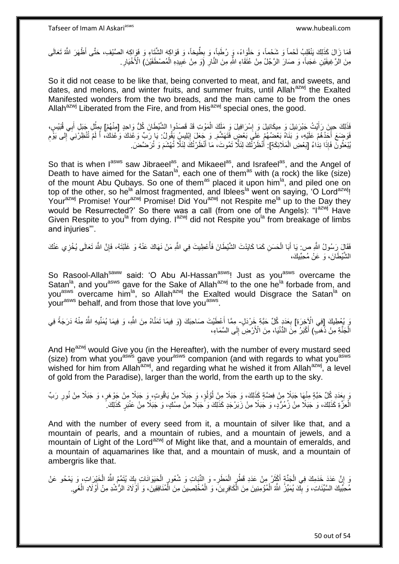فَمَا زَالَ كَذَلِكَ يَنْقَلِبُ لَحْماً وَ شَحْماً، وَ حَلْوَاءً، وَ رُطَباً، وَ بِطَّيخاً، وَ فَوَاكِهَ الشَّتَاءِ وَ فَوَاكِهَ الصَّيْفِ، حَتَّى أَظْهَرَ الثَّهُ تَعَالَى ِ ْ مِنَ الْرَّغِيفَيْنِ عَجَباً، وَ صَارَ الرَّجُلُ مِنْ عُتَقَاءِ اللَّهِ مِنَ النَّارِ (َوَ مِنْ عَبِيدِهِ الْمُصْطَفَيْنَ) الْأَخْيَارِ ِ ِ ْ **!** 

So it did not cease to be like that, being converted to meat, and fat, and sweets, and dates, and melons, and winter fruits, and summer fruits, until Allah<sup>azwj</sup> the Exalted Manifested wonders from the two breads, and the man came to be from the ones Allah<sup>azwj</sup> Liberated from the Fire, and from  $\overline{H}$  His<sup>azwj</sup> special ones, the good.

فَذَلِكَ حِينَ رَأَيْتُ جَبْرَئِيلَ وَ مِيكَانِيلَ وَ إِسْرَافِيلَ وَ مَلَكَ الْمَوْتِ قَدْ قَصَدُوا الشَّيْطَانَ كُلُّ وَاحِدٍ [مِنْهُمْ] بِمِثْلِ جَبَلِ أَبِي قُبَيْسٍ، ْ ِ َ َ ْ ا<br>پنج فَوَضَعَ أَحَدُهُمْ عَلَيْهِ، وَ بَنَاهُ بَعْضُهُمْ عَلَى بَعْضٍ فَتَهَشَّعَ. وَ جَعَلَ إِبْلِيسٍۢ بَقُولُ: يَا رَبِّ وَعْدَكَ وَعْدَكَ أَ لَمْ تُتْظِرُنِيَ ۗإِلى يَوْمِ ِ لَ ِ ِ يُبْعَثُونَّ فَإِذَا نِدَاءُ [بَعْضِ الْمَلَائِكَةِ]: أَنْظَرْتُكَ لِئَلًّا تَمُوتَ، مَا أَنْظَرْتُكَ لِئَلَّا تُهْشَمَ وَ تُرَضَّضَ. ُ ْ َ َ

So that is when lasws saw Jibraeel<sup>as</sup>, and Mikaeel<sup>as</sup>, and Israfeel<sup>as</sup>, and the Angel of Death to have aimed for the Satan<sup>|a</sup>, each one of them<sup>as</sup> with (a rock) the like (size) of the mount Abu Qubays. So one of them<sup>as</sup> placed it upon him<sup>la</sup>, and piled one on top of the other, so he<sup>la</sup> almost fragmented, and Iblees<sup>la</sup> went on saying, 'O Lord<sup>azwj</sup>! Yourazwj Promise! Yourazwj Promise! Did You<sup>azwj</sup> not Respite me<sup>la</sup> up to the Day they would be Resurrected?' So there was a call (from one of the Angels): "I<sup>azwj</sup> Have Given Respite to you<sup>la</sup> from dying. I<sup>azwj</sup> did not Respite you<sup>la</sup> from breakage of limbs and injuries"'.

فَقَالَ رَسُولُ الثَّهِ ص: يَا أَبَا الْحَسَنِ كَمَا كَايَدْتَ الشَّيْطَانَ فَأُعْطِيتَ فِي الثَّهِ مَنْ نَهَاكَ عَنْهُ وَ غَلَيْتَهُ، فَإِنَّ الثَّمَ تَعَالَى يُخْزِي عَنْكَ<br>نَذَةٍ يَن نَفُولُ الثَّهِ ص: يَا أَبَا الْحَس ْ َ ِ :<br>أ الشَّيْطَانَ، وَ عَنْ مُحِبِّيكَ،

So Rasool-Allah<sup>saww</sup> said: 'O Abu Al-Hassan<sup>asws</sup>! Just as you<sup>asws</sup> overcame the Satan<sup>la</sup>, and you<sup>asws</sup> gave for the Sake of Allah<sup>azwj</sup> to the one he<sup>la</sup> forbade from, and you<sup>asws</sup> overcame him<sup>la</sup>, so Allah<sup>azwj</sup> the Exalted would Disgrace the Satan<sup>ia</sup> on your<sup>asws</sup> behalf, and from those that love you<sup>asws</sup>.

وَ يُعْطِيكَ [فِي الْإِخِرَةِ] بِعَدَدٍ كُلِّ حَبَّةٍ خَِرْدَلٍ- مِمَّا أَعْطَيْتَ صَاحِبَكَ (وَ فِيمَا تَمَنَّاهُ مِنَ اللَّهِ، وَ فِيمَا يُمَنِّيهِ اللَّهُ مِنْهُ دَرَجَةً فِي ِ َ الْْجَنَّةِ مِنْ ذَهَبٍّ) أَكْبَرُ مِنَ الدُّنْيَا، مِنَ الْأَرْضِ إِلَى السَّمَاءِ، ِ َ ْ

And He<sup>azwj</sup> would Give you (in the Hereafter), with the number of every mustard seed (size) from what you<sup>asws</sup> gave your<sup>asws</sup> companion (and with regards to what you<sup>asws</sup> wished for him from Allah<sup>azwj</sup>, and regarding what he wished it from Allah<sup>azwj</sup>, a level of gold from the Paradise), larger than the world, from the earth up to the sky.

َمَ بِعَدَدِ كُلِّ حَبَّةٍ مِنْهَا جَبَلًا مِنْ فِضَّةٍ كَذَلِكَ، وَ جَبَلًا مِنْ لُوُلُوٍ، وَ جَبَلًا مِنْ يَاقُوتٍ، وَ جَبَلًا مِنْ جَوْهَرٍ، وَ جَبَلًا مِنْ نُورِ رَبِّ ُ ُ ِ ِ الْعِزَّةِ كَذَلِكَ، وَ جَبَلًا مِنْ زُمُرُّدٍ، وَ جَبَلًا مِنْ زَبَرْجَدٍ كَذَلِكَ وَ ّجَبَلًا مِنْ مِسْكٍ، وَ جَبَلًا مِنْ عَنْبَرٍ كَذَلِكَ. ْ

And with the number of every seed from it, a mountain of silver like that, and a mountain of pearls, and a mountain of rubies, and a mountain of jewels, and a mountain of Light of the Lord<sup>azwj</sup> of Might like that, and a mountain of emeralds, and a mountain of aquamarines like that, and a mountain of musk, and a mountain of ambergris like that.

وَ إِنَّ عَدَدَ خَدَمِكَ فِي الْجَنَّةِ أَكْثَرُ مِنْ عَدَدِ قَطْرٍ الْمَطَرِ- وَ النَّبَاتِ وَ شُعُورٍ الْحَيَوَانَاتِ بِكَ يُتَمِّمُ اللَّهُ الْخَيْرَاتِ، وَ يَمْحُو عَنْ ؙؚ ِ ْ ِ<br>ٍ ة<br>أ ْ ِ ْ ِ مُحِبَّيكَ السَّيِّئَاتِ، وَ بِكَ يُمَيِّزُ اللَّهُ الْمُؤْمِنِينَ مِنَ الْكَافِرِينَ، وَ الْمُخْلِصِينَ مِنَ الْمُنَافِقِينَ، وَ أَوْلَادَ الرُّشْدِ مِنْ أَوْلَادِ الْغَيِ ْ **∣** ْ ِ ْ ِ ْ َ َ ْ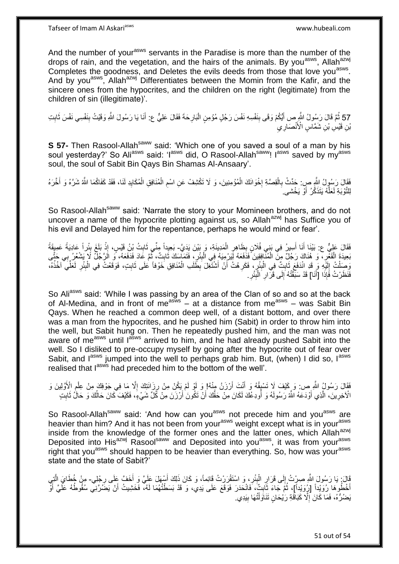Tafseer of Imam Al Askariasws www.hubeali.com

And the number of your<sup>asws</sup> servants in the Paradise is more than the number of the drops of rain, and the vegetation, and the hairs of the animals. By you<sup>asws</sup>, Allah<sup>azwj</sup> Completes the goodness, and Deletes the evils deeds from those that love you<sup>asws</sup>. And by you<sup>asws</sup>, Allah<sup>azwj</sup> Differentiates between the Momin from the Kafir, and the sincere ones from the hypocrites, and the children on the right (legitimate) from the children of sin (illegitimate)'.

57 ثُمَّ قَالَ رَسُولُ النَّهِ ص أَيُّكُمْ وَقَى بِنَفْسِهِ نَفْسَ رَجُلٍ مُؤْمِنٍ الْبَارِحَةَ فَقَالَ عَلِيٌّ ع: أَنَا يَا رَسُولَ اللَّهِ وَقَيْتُ بِنَفْسِي نَفْسَ ثَابِتِ ِ ِ َ ْ َ  $\zeta$ بْنِ قَيْسِ بْنِ شَمَّاسٍ الْأَنْصَارِ يَ

**S 57-** Then Rasool-Allah<sup>saww</sup> said: 'Which one of you saved a soul of a man by his soul yesterday?' So Ali<sup>asws</sup> said: 'I<sup>asws</sup> did, O Rasool-Allah<sup>saww</sup>! I<sup>asws</sup> saved by my<sup>asws</sup> soul, the soul of Sabit Bin Qays Bin Shamas Al-Ansaary'.

فَقَالَ رَسُولُ الثَّهِ صِ: حَدِّثْ بِالْقِصَّةِ إِخْوَانَكَ الْمُؤْمِنِينَ، وَ لَا تَكْشِفْ عَنِ اسْمِ الْمُنَافِقِ الْمُكَايِدِ لَنَا، فَقَدْ كَفَاكُمَا اللَّهُ شَرَّهُ وَ أَخَّرَهُ<br>" **∶** ْ ِ َ ِ ْ ْ ِ ْ لِلتَّوْبَةِ لَعَلَّهُ يَتَذَكَّرُ أَوْ يَخْشَى ِ َ ه

So Rasool-Allah<sup>saww</sup> said: 'Narrate the story to your Momineen brothers, and do not uncover a name of the hypocrite plotting against us, so Allah<sup>azwj</sup> has Suffice you of his evil and Delayed him for the repentance, perhaps he would mind or fear'.

فَقَالَ عَلِيٌّ ع: بَيْنَا أَنَا أَسِيرُ فِي بَنِي فُلَانٍ بِظَاهِرٍ الْمَدِينَةِ، وَ بَيْنَ يَدَيَّ- بَعِيداً مِنِّي ذَابِثُ بُلْ قَيْسٍ، إِذْ بَلَغَ بِئُراً عَادِيَةً عَمِيقَةً<br>ِرَغِ أَيْنَ الْجَمَعِينَ مِنْ الْجَمَعِين ْ ِ ِ َ ِ **ٔ** ِ  $\ddot{\phantom{0}}$ بَعِيدَةَ الْقَعْرِ ، وَ هُنَاكَ رَجُلٌ مِنَ الْمُنْفِقِينَ فَذَفَعَهُ لِيَرْمِيَهُ فِي الْبِئْرِ ، فَثَمَاسِكَ ثَابِتٌ، ثُمَّ عَادَ فَدَفَعَهُ، وَ الرَّجُلُّ لَا يَشْعُرُ بِي حَتَّى ِ ِ **!** ْ ُ ِ َ ِضَلْتُ إِلَيْهِ وَ قَدِ انْدَفَعَ ثَابِتٌ فِي الْبِئْرِ ، فَكَرِهْتُ أَنْ أَشْتَغِّلَ بِطَّلَبِ الْمُنَافِقِ خَوْفاً عَلَى ثَابِتٍ، فَوَقَعْتُ فِي الْبِئْرِ لَعَلِّي آخُذُهُ، َ ْ ِ َ َ ِ **∶ ∣** ْ **ِ**  $\ddot{\phantom{0}}$ لَ ِ .<br>ا لَ ِ ِ ْ فَنَظَرْتُ فَإِذَا [أَنَا] قَدْ سَبَّقْتُهُ إِلَى قَرَارِ الْبَئْرِ. **∶ ِ** ْ ِ ِ َ

So Ali<sup>asws</sup> said: 'While I was passing by an area of the Clan of so and so at the back of Al-Medina, and in front of me<sup>asws</sup>  $-$  at a distance from me<sup>asws</sup> – was Sabit Bin Qays. When he reached a common deep well, of a distant bottom, and over there was a man from the hypocrites, and he pushed him (Sabit) in order to throw him into the well, but Sabit hung on. Then he repeatedly pushed him, and the man was not aware of me<sup>asws</sup> until l<sup>asws</sup> arrived to him, and he had already pushed Sabit into the well. So I disliked to pre-occupy myself by going after the hypocrite out of fear over Sabit, and lasws jumped into the well to perhaps grab him. But, (when) I did so, lasws realised that  $I^{asws}$  had preceded him to the bottom of the well'.

فَقَالَ رَسُولُ اللَّهِ ص: وَ كَيْفَ لَا تَسْبِقُهُ وَ أَنْتَ أَرْزَنُ مِنْهُ! وَ لَوْ لَمْ يَكُنْ مِنْ رِزَانَتِكَ إِلَّا مَا فِي جَوْفِكَ مِنْ عِلْمِ الْأَوَّلِينَ وَ ِ ِ َ َ **∣** ِ ْ الْآخِرِينَ، الَّذِي أَوْدَعَهُ اللَّهُ رَسُولَهُ وَ أُودِعُكَ لَكَانَ مِنْ حَقِّكَ أَنْ تَكُونَ ٰأَرْزَنَ مِنْ كُلِّ شَيْءٍ، فَكَيْفَ كَانَ حَالُكَ وَ حَالُ ثَابِتٍ ر<br>ا َ ه ِ َ َ ِ َ اُ

So Rasool-Allah<sup>saww</sup> said: 'And how can you<sup>asws</sup> not precede him and you<sup>asws</sup> are heavier than him? And it has not been from your<sup>asws</sup> weight except what is in your<sup>asws</sup> inside from the knowledge of the former ones and the latter ones, which Allah<sup>azwj</sup> Deposited into His<sup>azwj</sup> Rasool<sup>saww</sup> and Deposited into you<sup>asws</sup>, it was from your<sup>asws</sup> right that you<sup>asws</sup> should happen to be heavier than everything. So, how was your<sup>asws</sup> state and the state of Sabit?'

قَالَ: يَا رَسُولَ اللَّهِ صِرْتُ إِلَى قَرَالِ الْبِئْرِ، وَ اسْتَقْرَرْتُ قَائِماً، وَ كَانَ ذَلِكَ أَسْبِهَلَ عَلَيَّ وَ أَخَفَّ عَلَى رِجْلِي- مِنْ خُطَايَ الَّتِي َ َ ِ **!** ْ ِ  $\frac{1}{2}$ ِ ه أَخْطُوهَا رُوَيْداً [زِوَيْداً]، ثُمَّ جَاءَ ثَّابِتٌ، فَانْحَدَرَ فَوَقَعَ عَلَى يَدِي، وَ قَدْ بَسَطْتُهُمَا لَهُ، فَخَشِيتُ أَنْ يَضِّرَنِي سُقُوطُهُ عَلَيَّ أَوْ **∣** َ ٔ.<br>ـ َ َ يَضُرُّهُ، فَمَا كَانَ إِلَّا كَبَاقَةِ رَيْحَانٍ تَنَاوَلْتُهَا بِيَدِي. **!** ْ ِ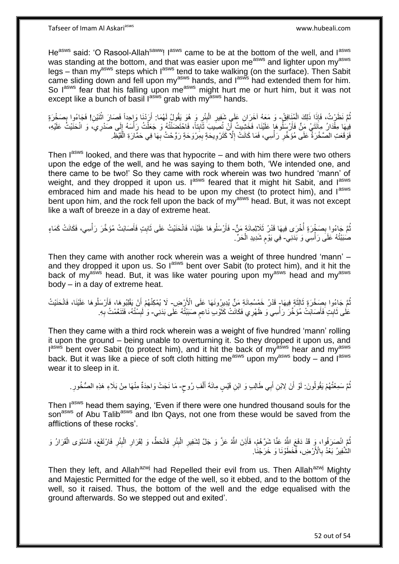He<sup>asws</sup> said: 'O Rasool-Allah<sup>saww</sup>! I<sup>asws</sup> came to be at the bottom of the well, and I<sup>asws</sup> was standing at the bottom, and that was easier upon me<sup>asws</sup> and lighter upon my<sup>asws</sup> legs – than my<sup>asws</sup> steps which lasws tend to take walking (on the surface). Then Sabit came sliding down and fell upon my<sup>asws</sup> hands, and  $I^{as\bar{w}\bar{s}}$  had extended them for him. So lasws fear that his falling upon measws might hurt me or hurt him, but it was not except like a bunch of basil l<sup>asws</sup> grab with my<sup>asws</sup> hands.

ُمَّ نَظَرْتُ، فَإِذَا ذَلِكَ الْمُنَافِقُ- وَ مَعَهُ آخَرَانِ عَلَىٍ شَفِيرِ الْبِئْرِ وَ هُوَ يَقُولُ لَهُمَا: أَرَدْنَا وَإِحداً فَصَارَ اثْنَيْنِ! فَجَاءُوا بِصَخْرَةٍ **∶** ْ َ **∶** ْ **∶** يْلِهَا مِقْدَارُ مِاَئَتَيْ مَنٍّ فَأَرْسَلُوهَا عَلَيْنَا، فَخَشِيتُ أَنْ تُصِيبَ ثَابِتاً، فَاحْتَضِنْتُهُ وَ جَعَلْتُ رَأْسَهُ إِلَى صَدْرِي، وَ انْحَنَيْتُ عَلَيْهِ، **!** َ َ َ ِ ة<br>أ ْ فَوَقَعَتِ الصَّخْرَةُ عَلَى مُؤَخَّرٍ رَأْسِي، فَمَا كَانَتْ إِلَّا كَتَرْوِيحَةٍ بِمِرْوَحَةٍ رَوَّحْتُ بِهَا فِي حَمَّارَةِ الْقَيْظِ **∶** ِ ِ ِ ْ **ٍ** ْ

Then  $I^{asws}$  looked, and there was that hypocrite – and with him there were two others upon the edge of the well, and he was saying to them both, 'We intended one, and there came to be two!' So they came with rock wherein was two hundred 'mann' of weight, and they dropped it upon us.  $I^{asws}$  feared that it might hit Sabit, and  $I^{asws}$ embraced him and made his head to be upon my chest (to protect him), and lasws bent upon him, and the rock fell upon the back of my<sup>asws</sup> head. But, it was not except like a waft of breeze in a day of extreme heat.

نُّمَّ جَاءُوا بِصَخْرَةٍ أُخْرَى فِيهَا قَدْرُ ثَلَاثِمِائَةٍ مَنٍّ- فَأَرْسَلُوهَا عَلَيْنَا، فَانْحَنَيْتُ عَلَى ثَابِتٍ فَأَصَابَتْ مُؤَخَّرَ رَأْسِي، فَكَانَتْ كَمَاءٍ ا<br>أ ِ **ٔ** َ ِ َ َ صَبَبْتُهُ عَلَى رَأْسِي وَ بَدَنِي- فِي يَوْم شَدِيدِ الْحَرِّ ْ ٍ

Then they came with another rock wherein was a weight of three hundred 'mann' – and they dropped it upon us. So l<sup>asws</sup> bent over Sabit (to protect him), and it hit the back of my<sup>asws</sup> head. But, it was like water pouring upon my<sup>asws</sup> head and my<sup>asws</sup> body – in a day of extreme heat.

ُّمَّ جَاءُوا بِصَخْرَةٍ ثَالِثَةٍ فِيهَا- قَدْرُ خَمْسُمِانَةِ مَنٍّ يُدِيرُونَهَا عَلَى الْأَرْضِ- لَا يُمْكِنُهُمْ أَنْ يَقْلِبُوهَا، فَأَرْسَلُوهَا عَلَيْنَا، فَانْحَنَيْتُ ِ ُ ٔ, أ َ عَلَى ثَابِتٍ فَأَصَابَتْ مُؤَخَّرَ رَأْسِي وَ ظَهْرِي فَكَانَتْ كَثَوْبٍ نَاعِمٍ صَبَبْتُهُ عَلَى بَدَنِي- وَ لَبِسْتُهُ، فَتَنَعَّمْتُ بِهِ. ֧֧֧֧֧֧֧֧֓֝֓֝֓֝֓֝֬֟֓֟֓֓֓֟֓֓֟֓֓<del>֛</del> َ :<br>أ َ **ِ** ة<br>أ ِ ِ

Then they came with a third rock wherein was a weight of five hundred 'mann' rolling it upon the ground – being unable to overturning it. So they dropped it upon us, and lasws bent over Sabit (to protect him), and it hit the back of myasws hear and myasws back. But it was like a piece of soft cloth hitting me<sup>asws</sup> upon my<sup>asws</sup> body – and l<sup>asws</sup> wear it to sleep in it.

نُمَّ سَمِعْتُهُمْ يَقُولُونَ: لَوْ أَنَ لِابْنِ أَبِي طَالِبٍ وَ ابْنِ قَيْسٍ مِائَةَ أَلْفِ رُوحٍ- مَا نَجَتْ وَاحِدَةٌ مِنْهَا مِنْ بَلَاءِ هَذِهِ الصُّخُورِ. اُ ُ ٍ ْ َ َ ِ

Then lasws head them saying, 'Even if there were one hundred thousand souls for the son<sup>asws</sup> of Abu Talib<sup>asws</sup> and Ibn Qays, not one from these would be saved from the afflictions of these rocks'.

ُمَّ اِنْصَرَفُوا، وَ قَدْ دَفَعَ اللَّهُ عَنَّا شَرَّهُمْ، فَأَذِنَ اللَّهُ عَزَّ وَ جَلَّ لِشَفِيرِ الْبِئْرِ فَانْحَطَّ، وَ لِقَرَارِ الْبِئْرِ فَارْتَفَعَ، فَاسْتَوَى الْقَرَارُ وَ **ٍ** ْ **∶** اُ ْ ِ ِ ْ ِ الشَّفِيرُ بَعْدُ بِالْأَرْضِ، فَخَطَوْنَا وَ خَرَجْنَا. ِ

Then they left, and Allah<sup>azwj</sup> had Repelled their evil from us. Then Allah<sup>azwj</sup> Mighty and Majestic Permitted for the edge of the well, so it ebbed, and to the bottom of the well, so it raised. Thus, the bottom of the well and the edge equalised with the ground afterwards. So we stepped out and exited'.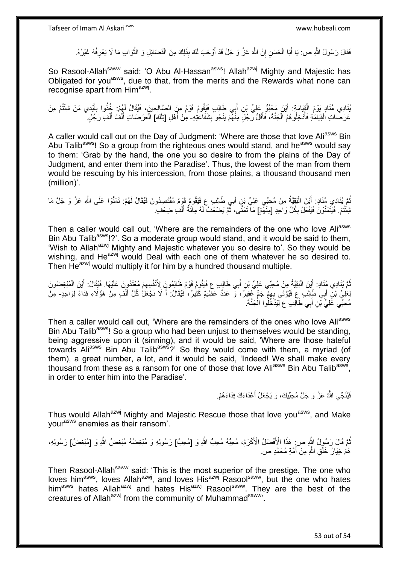فَقَالَ رَسُولُ الثَّهِ ص: يَا أَبَا الْحَسَنِ إِنَّ الثَّهَ عَزَّ وَ جَلَّ قَدْ أَوْجَبَ لَكَ بِذَلِكَ مِنَ الْفَضَائِلِ وَ الثَّوَابِ مَا لَا يَعْرِفُهُ غَيْرُهُ. ْ اُ ِ ْ َ ِ ه

So Rasool-Allah<sup>saww</sup> said: 'O Abu Al-Hassan<sup>asws</sup>! Allah<sup>azwj</sup> Mighty and Majestic has Obligated for you<sup>asws</sup>, due to that, from the merits and the Rewards what none can recognise apart from Him<sup>azwj</sup>.

يُّادِي مُذَادٍ يَوْمَ الْقِيَامَةِ: أَيْنَ مَحْبُوٌ عَلِيٍّ بْنِ أَبِي طَالِبٍ فَيَقُومُ قَوْمٌ مِنَ الصَّالِحِينَ، فَيُقَالُ لَهُمْ: خُذُوا بِأَيْدِي مَنْ شِئْتُمْ مِنْ َ َ ْ َ ِ عَرَصَاتِ الْقِيَامَةِ فَأَدْخِلُوهُمُ الْجَنَّةَ، فَأَقَلُّ رَجُلٍ مِنْهُمْ يَنْجُو بِشَفَاعَتِهِ- مِنْ أَهْلِ [تِلْكَ] الْعَرَصَاتِ أَلْفُ أَلْفِ رَجَلٍ ۚ **∣** َ ْ َ ْ ْ َ ْ َ ْ

A caller would call out on the Day of Judgment: 'Where are those that love Ali<sup>asws</sup> Bin Abu Talib<sup>asws</sup>! So a group from the righteous ones would stand, and he<sup>asws</sup> would say to them: 'Grab by the hand, the one you so desire to from the plains of the Day of Judgment, and enter them into the Paradise'. Thus, the lowest of the man from them would be rescuing by his intercession, from those plains, a thousand thousand men (million)'.

نُّمَّ بُنَادِي مُنَادٍ. أَيْنَ الْبَقِيَّةُ مِنْ مُحِبِّي عَلِيٍّ بْنِ أَبِي طَالِبٍ عِ فَيَقُومُ قَوْمٌ مُقْتَصِدُونَ فَيُقَالُ لَهُمْ. تَمَنَّوْا عَلَى اللَّهِ عَزَّ وَ جَلَّ مَا َ :<br>ا َ ُ تْشِنُّتُمْ. فَيَتَمَنَّوْنَ فَيَفْعَلُ بِكُلِّ وَاحِدٍ [مِنْهُمْ] مَا تَمَنَّى، ثُّمَّ يَضْعُفُ لَهُ مِائَةُ أَلْفِ ضِعْفٍ ِ ْ َ ្មី<br>=

Then a caller would call out, 'Where are the remainders of the one who love Aliasws Bin Abu Talib<sup>asws</sup>!?'. So a moderate group would stand, and it would be said to them. 'Wish to Allah<sup>azwj</sup> Mighty and Majestic whatever you so desire to'. So they would be wishing, and  $He^{azwj}$  would Deal with each one of them whatever he so desired to. Then He<sup>azwj</sup> would multiply it for him by a hundred thousand multiple.

ثُمَّ يُنَادِي مُنَادٍ: أَيْنَ الْبَقِيَّةُ مِنْ مُحِبِّي عَلِيِّ بْنِ أَبِي طَالِبٍ ع فَيَقُومُ قَوْمٌ ظَالِمُونَ لِأَنْفُسِهِمْ مُعْتَدُونَ عَلَيْهَا. فَيُقَالُ: أَيْنَ الْمُبْغِضُونَ َ :<br>ا َ ْ َ َ لِعَلِيِّ بْنِ أَبِي طَالِبٍ عِ فَيُؤْتَى بِهِمْ جَمٍّ غَفِيرٌ، وَ عَدَدٌ عَظِيمٌ كَثِيرٌ، فَيُقَالُ: أَ لَا نَجْعَلُ كُلَّ أَلْفٍ مِنْ هَؤُلَاءِ فِدَاءً لِوَاحِدٍ- مِنْ َ ِ مُحِبِّي عََلِيٍّ بِّنِ أَبِي طَالِبٍ عِ لِيَذْخُلُوا الْجَنَّةَ. ْ َ

Then a caller would call out, 'Where are the remainders of the ones who love Ali<sup>asws</sup> Bin Abu Talib<sup>asws</sup>! So a group who had been unjust to themselves would be standing, being aggressive upon it (sinning), and it would be said, 'Where are those hateful towards Ali<sup>asws</sup> Bin Abu Talib<sup>asws</sup>?' So they would come with them, a myriad (of them), a great number, a lot, and it would be said, 'Indeed! We shall make every thousand from these as a ransom for one of those that love Ali<sup>asws</sup> Bin Abu Talib<sup>asws</sup>, in order to enter him into the Paradise'.

> فَيُنَجِّي الثَّهُ عَزَّ وَ جَلَّ مُحِبِّيكَ، وَ يَجْعَلُ أَعْدَاءَكَ فِدَاءَهُمْ. َ

Thus would Allah<sup>azwj</sup> Mighty and Majestic Rescue those that love you<sup>asws</sup>, and Make yourasws enemies as their ransom'.

نُّمَّ قَالَ رَسُولُ اللَّهِ ص; هَذَا الْأَفْضَلُ الْأَكْرَمُ، مُحِبُّه مُحِبُّ اللَّهِ وَ [مُحِبُ] رَسُولِهِ وَ مُبْغِضُهُ مُبْغِضُ اللَّهِ وَ [مُبْغِضُ] رَسُولِهِ، هُمْ خِيَارُ خَلْقِ اللَّهِ مِنْ أُمَّةِ مُحَمَّدٍ ص. ؚ<br>ٌ ْ

Then Rasool-Allah<sup>saww</sup> said: 'This is the most superior of the prestige. The one who loves him<sup>asws</sup>, loves Allah<sup>azwj</sup>, and loves His<sup>azwj</sup> Rasool<sup>saww</sup>, but the one who hates him<sup>asws</sup> hates Allah<sup>azwj</sup> and hates His<sup>azwj</sup> Rasool<sup>saww</sup>. They are the best of the creatures of Allah<sup>azwj</sup> from the community of Muhammad<sup>saww</sup>.